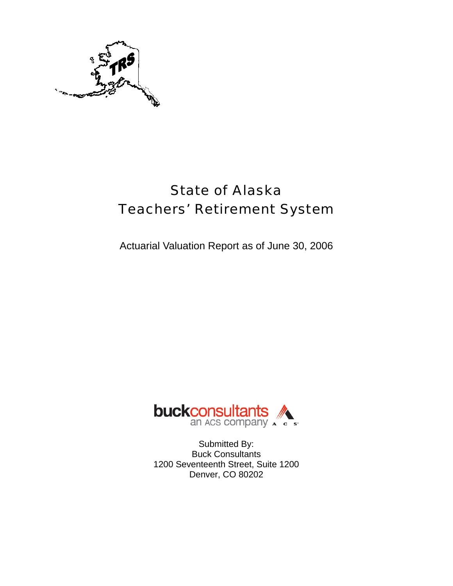

# State of Alaska Teachers' Retirement System

Actuarial Valuation Report as of June 30, 2006



Submitted By: Buck Consultants 1200 Seventeenth Street, Suite 1200 Denver, CO 80202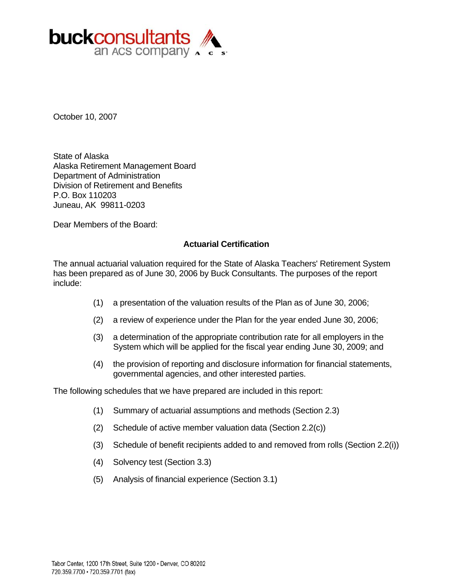

October 10, 2007

State of Alaska Alaska Retirement Management Board Department of Administration Division of Retirement and Benefits P.O. Box 110203 Juneau, AK 99811-0203

Dear Members of the Board:

### **Actuarial Certification**

The annual actuarial valuation required for the State of Alaska Teachers' Retirement System has been prepared as of June 30, 2006 by Buck Consultants. The purposes of the report include:

- (1) a presentation of the valuation results of the Plan as of June 30, 2006;
- (2) a review of experience under the Plan for the year ended June 30, 2006;
- (3) a determination of the appropriate contribution rate for all employers in the System which will be applied for the fiscal year ending June 30, 2009; and
- (4) the provision of reporting and disclosure information for financial statements, governmental agencies, and other interested parties.

The following schedules that we have prepared are included in this report:

- (1) Summary of actuarial assumptions and methods (Section 2.3)
- (2) Schedule of active member valuation data (Section 2.2(c))
- (3) Schedule of benefit recipients added to and removed from rolls (Section 2.2(i))
- (4) Solvency test (Section 3.3)
- (5) Analysis of financial experience (Section 3.1)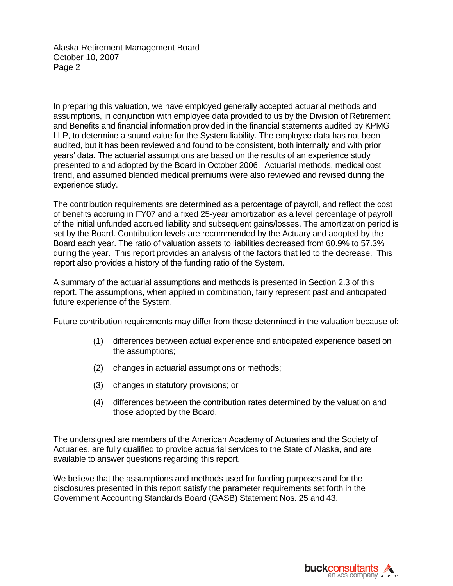Alaska Retirement Management BoardOctober 10, 2007 Page 2

In preparing this valuation, we have employed generally accepted actuarial methods and assumptions, in conjunction with employee data provided to us by the Division of Retirement and Benefits and financial information provided in the financial statements audited by KPMG LLP, to determine a sound value for the System liability. The employee data has not been audited, but it has been reviewed and found to be consistent, both internally and with prior years' data. The actuarial assumptions are based on the results of an experience study presented to and adopted by the Board in October 2006. Actuarial methods, medical cost trend, and assumed blended medical premiums were also reviewed and revised during the experience study.

The contribution requirements are determined as a percentage of payroll, and reflect the cost of benefits accruing in FY07 and a fixed 25-year amortization as a level percentage of payroll of the initial unfunded accrued liability and subsequent gains/losses. The amortization period is set by the Board. Contribution levels are recommended by the Actuary and adopted by the Board each year. The ratio of valuation assets to liabilities decreased from 60.9% to 57.3% during the year. This report provides an analysis of the factors that led to the decrease. This report also provides a history of the funding ratio of the System.

A summary of the actuarial assumptions and methods is presented in Section 2.3 of this report. The assumptions, when applied in combination, fairly represent past and anticipated future experience of the System.

Future contribution requirements may differ from those determined in the valuation because of:

- (1) differences between actual experience and anticipated experience based on the assumptions;
- (2) changes in actuarial assumptions or methods;
- (3) changes in statutory provisions; or
- (4) differences between the contribution rates determined by the valuation and those adopted by the Board.

The undersigned are members of the American Academy of Actuaries and the Society of Actuaries, are fully qualified to provide actuarial services to the State of Alaska, and are available to answer questions regarding this report.

We believe that the assumptions and methods used for funding purposes and for the disclosures presented in this report satisfy the parameter requirements set forth in the Government Accounting Standards Board (GASB) Statement Nos. 25 and 43.

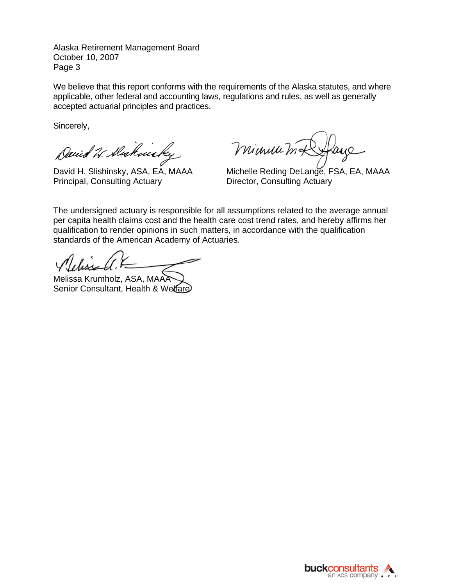Alaska Retirement Management BoardOctober 10, 2007 Page 3

We believe that this report conforms with the requirements of the Alaska statutes, and where applicable, other federal and accounting laws, regulations and rules, as well as generally accepted actuarial principles and practices.

Sincerely,

David W. Alakmicky

Principal, Consulting Actuary **Director, Consulting Actuary** 

minum mx

David H. Slishinsky, ASA, EA, MAAA Michelle Reding DeLange, FSA, EA, MAAA

The undersigned actuary is responsible for all assumptions related to the average annual per capita health claims cost and the health care cost trend rates, and hereby affirms her qualification to render opinions in such matters, in accordance with the qualification standards of the American Academy of Actuaries.

Melissa Krumholz, ASA, MAA Senior Consultant, Health & Welfare

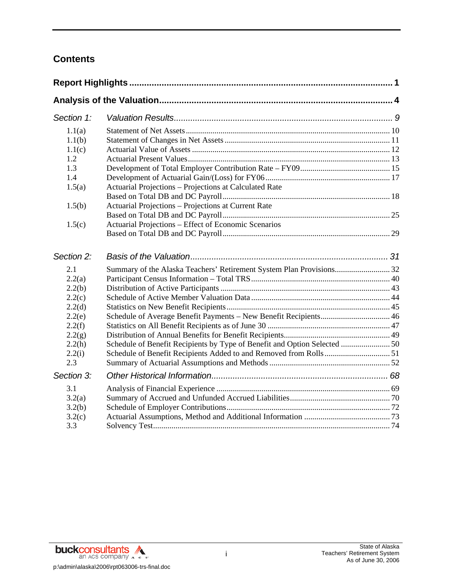# **Contents**

| Section 1:                                                                                           |                                                                                                                                               |  |
|------------------------------------------------------------------------------------------------------|-----------------------------------------------------------------------------------------------------------------------------------------------|--|
| 1.1(a)<br>1.1(b)<br>1.1(c)<br>1.2                                                                    |                                                                                                                                               |  |
| 1.3<br>1.4<br>1.5(a)                                                                                 | Actuarial Projections - Projections at Calculated Rate                                                                                        |  |
| 1.5(b)<br>1.5(c)                                                                                     | Actuarial Projections - Projections at Current Rate<br>Actuarial Projections – Effect of Economic Scenarios                                   |  |
| Section 2:                                                                                           |                                                                                                                                               |  |
| 2.1<br>2.2(a)<br>2.2(b)<br>2.2(c)<br>2.2(d)<br>2.2(e)<br>2.2(f)<br>2.2(g)<br>2.2(h)<br>2.2(i)<br>2.3 | Schedule of Average Benefit Payments - New Benefit Recipients 46<br>Schedule of Benefit Recipients by Type of Benefit and Option Selected  50 |  |
| Section 3:<br>3.1<br>3.2(a)<br>3.2(b)<br>3.2(c)<br>3.3                                               |                                                                                                                                               |  |

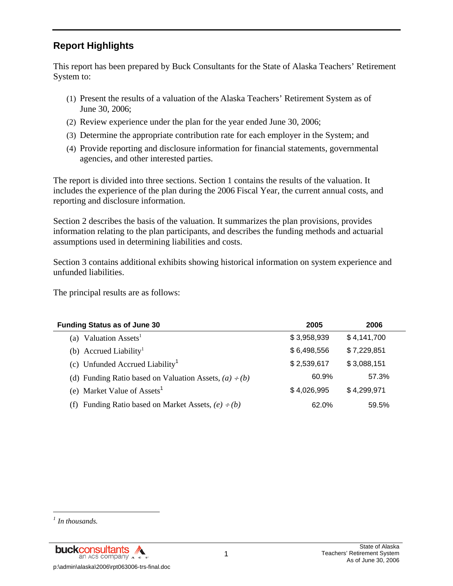# **Report Highlights**

This report has been prepared by Buck Consultants for the State of Alaska Teachers' Retirement System to:

- (1) Present the results of a valuation of the Alaska Teachers' Retirement System as of June 30, 2006;
- (2) Review experience under the plan for the year ended June 30, 2006;
- (3) Determine the appropriate contribution rate for each employer in the System; and
- (4) Provide reporting and disclosure information for financial statements, governmental agencies, and other interested parties.

The report is divided into three sections. Section 1 contains the results of the valuation. It includes the experience of the plan during the 2006 Fiscal Year, the current annual costs, and reporting and disclosure information.

Section 2 describes the basis of the valuation. It summarizes the plan provisions, provides information relating to the plan participants, and describes the funding methods and actuarial assumptions used in determining liabilities and costs.

Section 3 contains additional exhibits showing historical information on system experience and unfunded liabilities.

The principal results are as follows:

| <b>Funding Status as of June 30</b>                         | 2005        | 2006        |
|-------------------------------------------------------------|-------------|-------------|
| Valuation Assets <sup>1</sup><br>(a)                        | \$3,958,939 | \$4,141,700 |
| (b) Accrued Liability <sup>1</sup>                          | \$6,498,556 | \$7,229,851 |
| (c) Unfunded Accrued Liability <sup>1</sup>                 | \$2,539,617 | \$3,088,151 |
| (d) Funding Ratio based on Valuation Assets, $(a) \div (b)$ | 60.9%       | 57.3%       |
| (e) Market Value of Assets <sup>1</sup>                     | \$4,026,995 | \$4,299,971 |
| Funding Ratio based on Market Assets, $(e) \div (b)$<br>(f) | 62.0%       | 59.5%       |

l

*<sup>1</sup> In thousands.*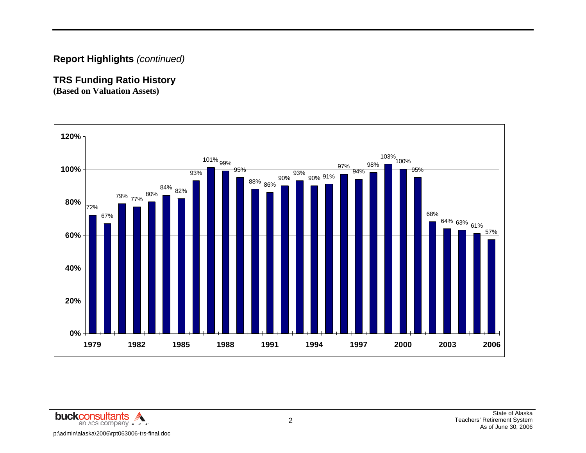# **Report Highlights** *(continued)*

# **TRS Funding Ratio History**

**(Based on Valuation Assets)** 

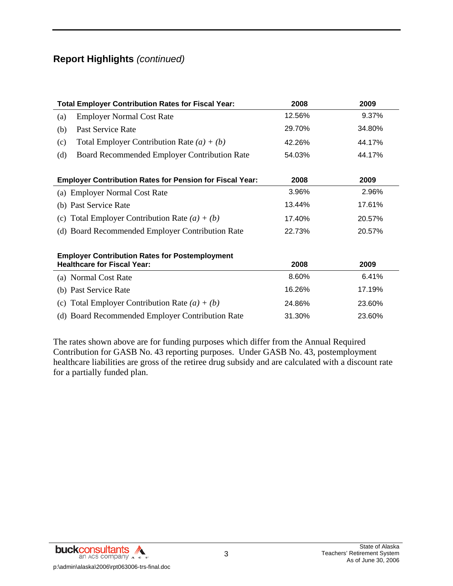# **Report Highlights** *(continued)*

| <b>Total Employer Contribution Rates for Fiscal Year:</b>                                   | 2008   | 2009   |
|---------------------------------------------------------------------------------------------|--------|--------|
| <b>Employer Normal Cost Rate</b><br>(a)                                                     | 12.56% | 9.37%  |
| Past Service Rate<br>(b)                                                                    | 29.70% | 34.80% |
| Total Employer Contribution Rate $(a) + (b)$<br>(c)                                         | 42.26% | 44.17% |
| Board Recommended Employer Contribution Rate<br>(d)                                         | 54.03% | 44.17% |
| <b>Employer Contribution Rates for Pension for Fiscal Year:</b>                             | 2008   | 2009   |
| (a) Employer Normal Cost Rate                                                               | 3.96%  | 2.96%  |
| (b) Past Service Rate                                                                       | 13.44% | 17.61% |
| (c) Total Employer Contribution Rate $(a) + (b)$                                            | 17.40% | 20.57% |
| (d) Board Recommended Employer Contribution Rate                                            | 22.73% | 20.57% |
| <b>Employer Contribution Rates for Postemployment</b><br><b>Healthcare for Fiscal Year:</b> | 2008   | 2009   |
| (a) Normal Cost Rate                                                                        | 8.60%  | 6.41%  |
| (b) Past Service Rate                                                                       | 16.26% | 17.19% |
| (c) Total Employer Contribution Rate $(a) + (b)$                                            | 24.86% | 23.60% |
| (d) Board Recommended Employer Contribution Rate                                            | 31.30% | 23.60% |

The rates shown above are for funding purposes which differ from the Annual Required Contribution for GASB No. 43 reporting purposes. Under GASB No. 43, postemployment healthcare liabilities are gross of the retiree drug subsidy and are calculated with a discount rate for a partially funded plan.

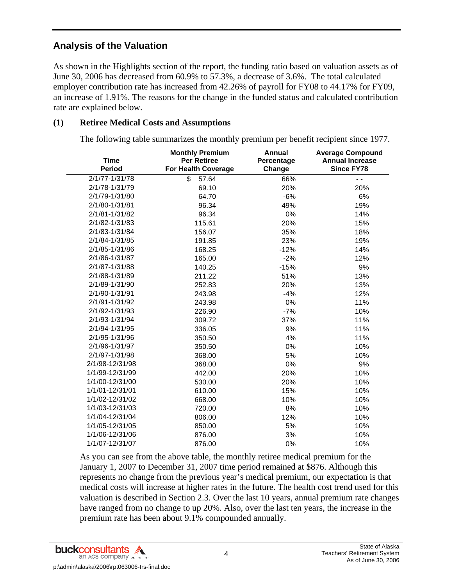# **Analysis of the Valuation**

As shown in the Highlights section of the report, the funding ratio based on valuation assets as of June 30, 2006 has decreased from 60.9% to 57.3%, a decrease of 3.6%. The total calculated employer contribution rate has increased from 42.26% of payroll for FY08 to 44.17% for FY09, an increase of 1.91%. The reasons for the change in the funded status and calculated contribution rate are explained below.

### **(1) Retiree Medical Costs and Assumptions**

The following table summarizes the monthly premium per benefit recipient since 1977.

| Time            | <b>Monthly Premium</b><br><b>Per Retiree</b> | <b>Annual</b><br>Percentage | <b>Average Compound</b><br><b>Annual Increase</b> |
|-----------------|----------------------------------------------|-----------------------------|---------------------------------------------------|
| <b>Period</b>   | <b>For Health Coverage</b>                   | Change                      | <b>Since FY78</b>                                 |
| 2/1/77-1/31/78  | \$<br>57.64                                  | 66%                         | $ -$                                              |
| 2/1/78-1/31/79  | 69.10                                        | 20%                         | 20%                                               |
| 2/1/79-1/31/80  | 64.70                                        | $-6%$                       | 6%                                                |
| 2/1/80-1/31/81  | 96.34                                        | 49%                         | 19%                                               |
| 2/1/81-1/31/82  | 96.34                                        | 0%                          | 14%                                               |
| 2/1/82-1/31/83  | 115.61                                       | 20%                         | 15%                                               |
| 2/1/83-1/31/84  | 156.07                                       | 35%                         | 18%                                               |
| 2/1/84-1/31/85  | 191.85                                       | 23%                         | 19%                                               |
| 2/1/85-1/31/86  | 168.25                                       | $-12%$                      | 14%                                               |
| 2/1/86-1/31/87  | 165.00                                       | $-2%$                       | 12%                                               |
| 2/1/87-1/31/88  | 140.25                                       | $-15%$                      | 9%                                                |
| 2/1/88-1/31/89  | 211.22                                       | 51%                         | 13%                                               |
| 2/1/89-1/31/90  | 252.83                                       | 20%                         | 13%                                               |
| 2/1/90-1/31/91  | 243.98                                       | $-4%$                       | 12%                                               |
| 2/1/91-1/31/92  | 243.98                                       | 0%                          | 11%                                               |
| 2/1/92-1/31/93  | 226.90                                       | $-7%$                       | 10%                                               |
| 2/1/93-1/31/94  | 309.72                                       | 37%                         | 11%                                               |
| 2/1/94-1/31/95  | 336.05                                       | 9%                          | 11%                                               |
| 2/1/95-1/31/96  | 350.50                                       | 4%                          | 11%                                               |
| 2/1/96-1/31/97  | 350.50                                       | 0%                          | 10%                                               |
| 2/1/97-1/31/98  | 368.00                                       | 5%                          | 10%                                               |
| 2/1/98-12/31/98 | 368.00                                       | 0%                          | 9%                                                |
| 1/1/99-12/31/99 | 442.00                                       | 20%                         | 10%                                               |
| 1/1/00-12/31/00 | 530.00                                       | 20%                         | 10%                                               |
| 1/1/01-12/31/01 | 610.00                                       | 15%                         | 10%                                               |
| 1/1/02-12/31/02 | 668.00                                       | 10%                         | 10%                                               |
| 1/1/03-12/31/03 | 720.00                                       | 8%                          | 10%                                               |
| 1/1/04-12/31/04 | 806.00                                       | 12%                         | 10%                                               |
| 1/1/05-12/31/05 | 850.00                                       | 5%                          | 10%                                               |
| 1/1/06-12/31/06 | 876.00                                       | 3%                          | 10%                                               |
| 1/1/07-12/31/07 | 876.00                                       | 0%                          | 10%                                               |

As you can see from the above table, the monthly retiree medical premium for the January 1, 2007 to December 31, 2007 time period remained at \$876. Although this represents no change from the previous year's medical premium, our expectation is that medical costs will increase at higher rates in the future. The health cost trend used for this valuation is described in Section 2.3. Over the last 10 years, annual premium rate changes have ranged from no change to up 20%. Also, over the last ten years, the increase in the premium rate has been about 9.1% compounded annually.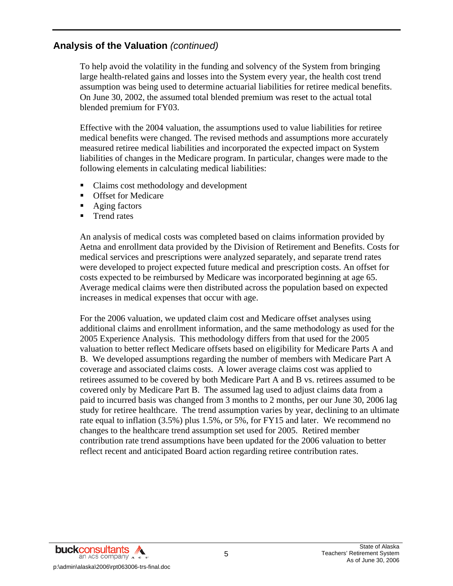To help avoid the volatility in the funding and solvency of the System from bringing large health-related gains and losses into the System every year, the health cost trend assumption was being used to determine actuarial liabilities for retiree medical benefits. On June 30, 2002, the assumed total blended premium was reset to the actual total blended premium for FY03.

Effective with the 2004 valuation, the assumptions used to value liabilities for retiree medical benefits were changed. The revised methods and assumptions more accurately measured retiree medical liabilities and incorporated the expected impact on System liabilities of changes in the Medicare program. In particular, changes were made to the following elements in calculating medical liabilities:

- Claims cost methodology and development
- Offset for Medicare
- Aging factors
- **Trend rates**

An analysis of medical costs was completed based on claims information provided by Aetna and enrollment data provided by the Division of Retirement and Benefits. Costs for medical services and prescriptions were analyzed separately, and separate trend rates were developed to project expected future medical and prescription costs. An offset for costs expected to be reimbursed by Medicare was incorporated beginning at age 65. Average medical claims were then distributed across the population based on expected increases in medical expenses that occur with age.

For the 2006 valuation, we updated claim cost and Medicare offset analyses using additional claims and enrollment information, and the same methodology as used for the 2005 Experience Analysis. This methodology differs from that used for the 2005 valuation to better reflect Medicare offsets based on eligibility for Medicare Parts A and B. We developed assumptions regarding the number of members with Medicare Part A coverage and associated claims costs. A lower average claims cost was applied to retirees assumed to be covered by both Medicare Part A and B vs. retirees assumed to be covered only by Medicare Part B. The assumed lag used to adjust claims data from a paid to incurred basis was changed from 3 months to 2 months, per our June 30, 2006 lag study for retiree healthcare. The trend assumption varies by year, declining to an ultimate rate equal to inflation (3.5%) plus 1.5%, or 5%, for FY15 and later. We recommend no changes to the healthcare trend assumption set used for 2005. Retired member contribution rate trend assumptions have been updated for the 2006 valuation to better reflect recent and anticipated Board action regarding retiree contribution rates.

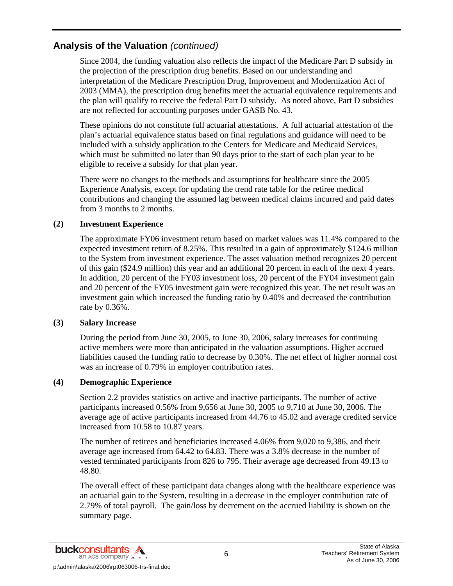Since 2004, the funding valuation also reflects the impact of the Medicare Part D subsidy in the projection of the prescription drug benefits. Based on our understanding and interpretation of the Medicare Prescription Drug, Improvement and Modernization Act of 2003 (MMA), the prescription drug benefits meet the actuarial equivalence requirements and the plan will qualify to receive the federal Part D subsidy. As noted above, Part D subsidies are not reflected for accounting purposes under GASB No. 43.

These opinions do not constitute full actuarial attestations. A full actuarial attestation of the plan's actuarial equivalence status based on final regulations and guidance will need to be included with a subsidy application to the Centers for Medicare and Medicaid Services, which must be submitted no later than 90 days prior to the start of each plan year to be eligible to receive a subsidy for that plan year.

There were no changes to the methods and assumptions for healthcare since the 2005 Experience Analysis, except for updating the trend rate table for the retiree medical contributions and changing the assumed lag between medical claims incurred and paid dates from 3 months to 2 months.

### **(2) Investment Experience**

The approximate FY06 investment return based on market values was 11.4% compared to the expected investment return of 8.25%. This resulted in a gain of approximately \$124.6 million to the System from investment experience. The asset valuation method recognizes 20 percent of this gain (\$24.9 million) this year and an additional 20 percent in each of the next 4 years. In addition, 20 percent of the FY03 investment loss, 20 percent of the FY04 investment gain and 20 percent of the FY05 investment gain were recognized this year. The net result was an investment gain which increased the funding ratio by 0.40% and decreased the contribution rate by 0.36%.

### **(3) Salary Increase**

During the period from June 30, 2005, to June 30, 2006, salary increases for continuing active members were more than anticipated in the valuation assumptions. Higher accrued liabilities caused the funding ratio to decrease by 0.30%. The net effect of higher normal cost was an increase of 0.79% in employer contribution rates.

### **(4) Demographic Experience**

Section 2.2 provides statistics on active and inactive participants. The number of active participants increased 0.56% from 9,656 at June 30, 2005 to 9,710 at June 30, 2006. The average age of active participants increased from 44.76 to 45.02 and average credited service increased from 10.58 to 10.87 years.

The number of retirees and beneficiaries increased 4.06% from 9,020 to 9,386, and their average age increased from 64.42 to 64.83. There was a 3.8% decrease in the number of vested terminated participants from 826 to 795. Their average age decreased from 49.13 to 48.80.

The overall effect of these participant data changes along with the healthcare experience was an actuarial gain to the System, resulting in a decrease in the employer contribution rate of 2.79% of total payroll. The gain/loss by decrement on the accrued liability is shown on the summary page.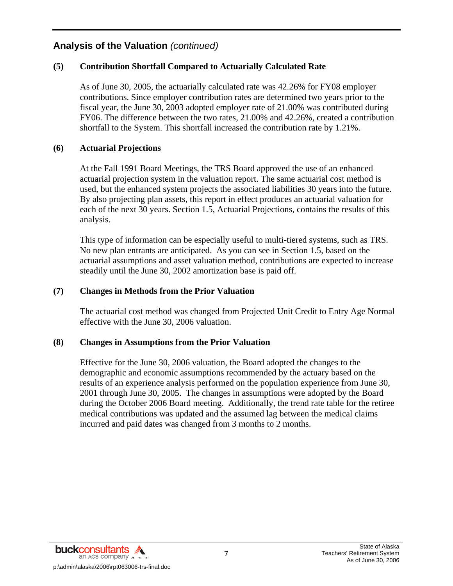### **(5) Contribution Shortfall Compared to Actuarially Calculated Rate**

As of June 30, 2005, the actuarially calculated rate was 42.26% for FY08 employer contributions. Since employer contribution rates are determined two years prior to the fiscal year, the June 30, 2003 adopted employer rate of 21.00% was contributed during FY06. The difference between the two rates, 21.00% and 42.26%, created a contribution shortfall to the System. This shortfall increased the contribution rate by 1.21%.

### **(6) Actuarial Projections**

At the Fall 1991 Board Meetings, the TRS Board approved the use of an enhanced actuarial projection system in the valuation report. The same actuarial cost method is used, but the enhanced system projects the associated liabilities 30 years into the future. By also projecting plan assets, this report in effect produces an actuarial valuation for each of the next 30 years. Section 1.5, Actuarial Projections, contains the results of this analysis.

This type of information can be especially useful to multi-tiered systems, such as TRS. No new plan entrants are anticipated. As you can see in Section 1.5, based on the actuarial assumptions and asset valuation method, contributions are expected to increase steadily until the June 30, 2002 amortization base is paid off.

### **(7) Changes in Methods from the Prior Valuation**

The actuarial cost method was changed from Projected Unit Credit to Entry Age Normal effective with the June 30, 2006 valuation.

### **(8) Changes in Assumptions from the Prior Valuation**

Effective for the June 30, 2006 valuation, the Board adopted the changes to the demographic and economic assumptions recommended by the actuary based on the results of an experience analysis performed on the population experience from June 30, 2001 through June 30, 2005. The changes in assumptions were adopted by the Board during the October 2006 Board meeting. Additionally, the trend rate table for the retiree medical contributions was updated and the assumed lag between the medical claims incurred and paid dates was changed from 3 months to 2 months.

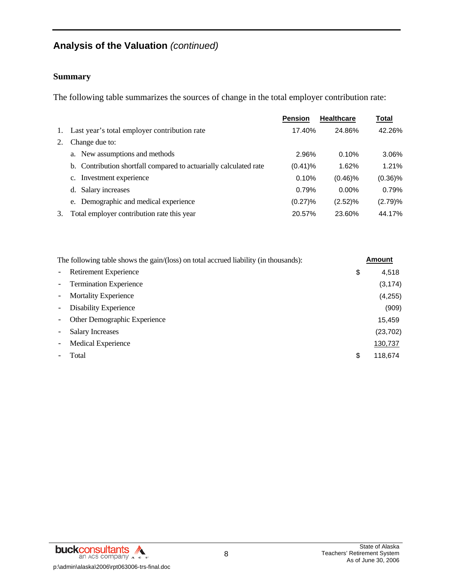### **Summary**

The following table summarizes the sources of change in the total employer contribution rate:

|    |                                                                   | <b>Pension</b> | <b>Healthcare</b> | <b>Total</b> |
|----|-------------------------------------------------------------------|----------------|-------------------|--------------|
|    | 1. Last year's total employer contribution rate                   | 17.40%         | 24.86%            | 42.26%       |
| 2. | Change due to:                                                    |                |                   |              |
|    | a. New assumptions and methods                                    | 2.96%          | 0.10%             | 3.06%        |
|    | b. Contribution shortfall compared to actuarially calculated rate | $(0.41)\%$     | 1.62%             | 1.21%        |
|    | c. Investment experience                                          | 0.10%          | $(0.46)\%$        | $(0.36)\%$   |
|    | Salary increases<br>d.                                            | 0.79%          | $0.00\%$          | 0.79%        |
|    | e. Demographic and medical experience                             | $(0.27)\%$     | (2.52)%           | (2.79)%      |
| 3. | Total employer contribution rate this year                        | 20.57%         | 23.60%            | 44.17%       |

|                          | The following table shows the gain/(loss) on total accrued liability (in thousands): |    | <b>Amount</b> |
|--------------------------|--------------------------------------------------------------------------------------|----|---------------|
| $\equiv$                 | Retirement Experience                                                                | \$ | 4,518         |
|                          | - Termination Experience                                                             |    | (3, 174)      |
| $\overline{\phantom{m}}$ | <b>Mortality Experience</b>                                                          |    | (4,255)       |
| $\overline{\phantom{a}}$ | Disability Experience                                                                |    | (909)         |
| $\overline{\phantom{m}}$ | Other Demographic Experience                                                         |    | 15,459        |
|                          | <b>Salary Increases</b>                                                              |    | (23, 702)     |
| $\overline{\phantom{0}}$ | <b>Medical Experience</b>                                                            |    | 130,737       |
|                          | Total                                                                                | S  | 118.674       |

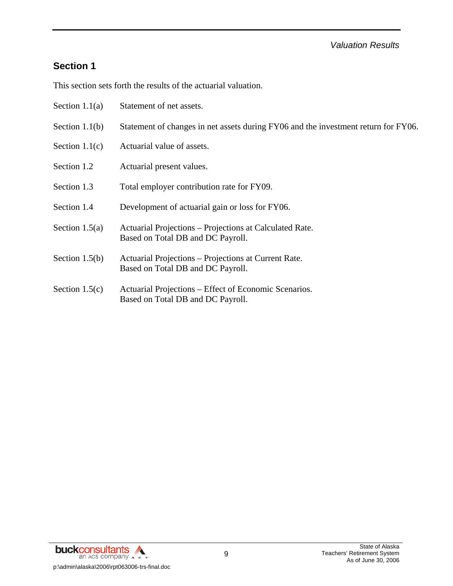### *Valuation Results*

# **Section 1**

This section sets forth the results of the actuarial valuation.

| Section $1.1(a)$ | Statement of net assets.                                                                     |
|------------------|----------------------------------------------------------------------------------------------|
| Section $1.1(b)$ | Statement of changes in net assets during FY06 and the investment return for FY06.           |
| Section $1.1(c)$ | Actuarial value of assets.                                                                   |
| Section 1.2      | Actuarial present values.                                                                    |
| Section 1.3      | Total employer contribution rate for FY09.                                                   |
| Section 1.4      | Development of actuarial gain or loss for FY06.                                              |
| Section $1.5(a)$ | Actuarial Projections – Projections at Calculated Rate.<br>Based on Total DB and DC Payroll. |
| Section $1.5(b)$ | Actuarial Projections – Projections at Current Rate.<br>Based on Total DB and DC Payroll.    |
| Section $1.5(c)$ | Actuarial Projections – Effect of Economic Scenarios.<br>Based on Total DB and DC Payroll.   |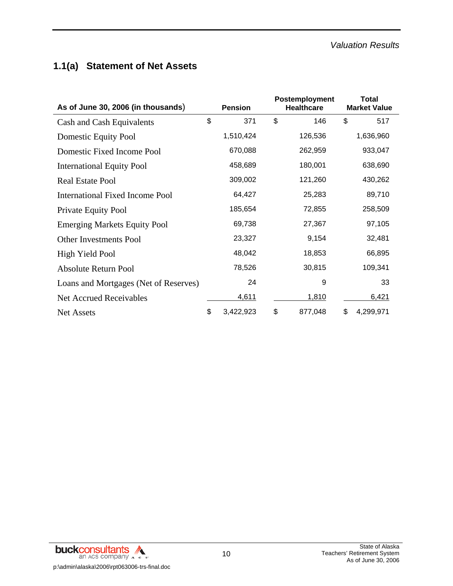# **1.1(a) Statement of Net Assets**

| As of June 30, 2006 (in thousands)    | <b>Pension</b> |           | Postemployment<br><b>Healthcare</b> |    | <b>Total</b><br><b>Market Value</b> |  |
|---------------------------------------|----------------|-----------|-------------------------------------|----|-------------------------------------|--|
| Cash and Cash Equivalents             | \$             | 371       | \$<br>146                           | \$ | 517                                 |  |
| <b>Domestic Equity Pool</b>           |                | 1,510,424 | 126,536                             |    | 1,636,960                           |  |
| Domestic Fixed Income Pool            |                | 670,088   | 262,959                             |    | 933,047                             |  |
| <b>International Equity Pool</b>      |                | 458,689   | 180,001                             |    | 638,690                             |  |
| <b>Real Estate Pool</b>               |                | 309,002   | 121,260                             |    | 430,262                             |  |
| International Fixed Income Pool       |                | 64,427    | 25,283                              |    | 89,710                              |  |
| Private Equity Pool                   |                | 185,654   | 72,855                              |    | 258,509                             |  |
| <b>Emerging Markets Equity Pool</b>   |                | 69,738    | 27,367                              |    | 97,105                              |  |
| <b>Other Investments Pool</b>         |                | 23,327    | 9,154                               |    | 32,481                              |  |
| High Yield Pool                       |                | 48,042    | 18,853                              |    | 66,895                              |  |
| <b>Absolute Return Pool</b>           |                | 78,526    | 30,815                              |    | 109,341                             |  |
| Loans and Mortgages (Net of Reserves) |                | 24        | 9                                   |    | 33                                  |  |
| <b>Net Accrued Receivables</b>        |                | 4,611     | 1,810                               |    | 6,421                               |  |
| <b>Net Assets</b>                     | \$             | 3,422,923 | \$<br>877,048                       | \$ | 4,299,971                           |  |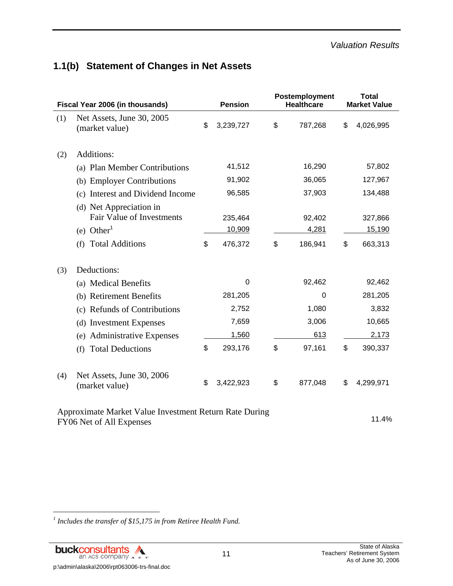# **1.1(b) Statement of Changes in Net Assets**

| Fiscal Year 2006 (in thousands) |                                                                                                                          | <b>Pension</b>                     | Postemployment<br><b>Healthcare</b> | <b>Total</b><br><b>Market Value</b> |
|---------------------------------|--------------------------------------------------------------------------------------------------------------------------|------------------------------------|-------------------------------------|-------------------------------------|
| (1)                             | Net Assets, June 30, 2005<br>(market value)                                                                              | \$<br>3,239,727                    | \$<br>787,268                       | \$<br>4,026,995                     |
| (2)                             | Additions:                                                                                                               |                                    |                                     |                                     |
|                                 | (a) Plan Member Contributions                                                                                            | 41,512                             | 16,290                              | 57,802                              |
|                                 | (b) Employer Contributions                                                                                               | 91,902                             | 36,065                              | 127,967                             |
|                                 | (c) Interest and Dividend Income                                                                                         | 96,585                             | 37,903                              | 134,488                             |
|                                 | (d) Net Appreciation in<br><b>Fair Value of Investments</b><br>$(e)$ Other <sup>1</sup><br><b>Total Additions</b><br>(f) | \$<br>235,464<br>10,909<br>476,372 | \$<br>92,402<br>4,281<br>186,941    | \$<br>327,866<br>15,190<br>663,313  |
|                                 |                                                                                                                          |                                    |                                     |                                     |
| (3)                             | Deductions:                                                                                                              |                                    |                                     |                                     |
|                                 | (a) Medical Benefits                                                                                                     | 0                                  | 92,462                              | 92,462                              |
|                                 | (b) Retirement Benefits                                                                                                  | 281,205                            | 0                                   | 281,205                             |
|                                 | (c) Refunds of Contributions                                                                                             | 2,752                              | 1,080                               | 3,832                               |
|                                 | (d) Investment Expenses                                                                                                  | 7,659                              | 3,006                               | 10,665                              |
|                                 | (e) Administrative Expenses                                                                                              | 1,560                              | 613                                 | 2,173                               |
|                                 | <b>Total Deductions</b><br>(f)                                                                                           | \$<br>293,176                      | \$<br>97,161                        | \$<br>390,337                       |
| (4)                             | Net Assets, June 30, 2006<br>(market value)                                                                              | \$<br>3,422,923                    | \$<br>877,048                       | \$<br>4,299,971                     |

Approximate Market Value Investment Return Rate During FY06 Net of All Expenses 11.4%

<sup>1</sup> Includes the transfer of \$15,175 in from Retiree Health Fund.

l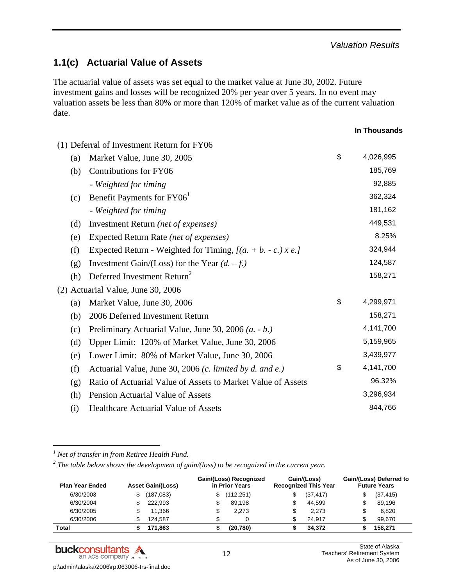# **1.1(c) Actuarial Value of Assets**

The actuarial value of assets was set equal to the market value at June 30, 2002. Future investment gains and losses will be recognized 20% per year over 5 years. In no event may valuation assets be less than 80% or more than 120% of market value as of the current valuation date.

|                                            |                                                                |    | In Thousands |
|--------------------------------------------|----------------------------------------------------------------|----|--------------|
| (1) Deferral of Investment Return for FY06 |                                                                |    |              |
| (a)                                        | Market Value, June 30, 2005                                    | \$ | 4,026,995    |
| (b)                                        | Contributions for FY06                                         |    | 185,769      |
|                                            | - Weighted for timing                                          |    | 92,885       |
| (c)                                        | Benefit Payments for FY06 <sup>1</sup>                         |    | 362,324      |
|                                            | - Weighted for timing                                          |    | 181,162      |
| (d)                                        | Investment Return (net of expenses)                            |    | 449,531      |
| (e)                                        | Expected Return Rate (net of expenses)                         |    | 8.25%        |
| (f)                                        | Expected Return - Weighted for Timing, $[(a. + b. - c.) x e.]$ |    | 324,944      |
| (g)                                        | Investment Gain/(Loss) for the Year $(d. -f.)$                 |    | 124,587      |
| (h)                                        | Deferred Investment Return <sup>2</sup>                        |    | 158,271      |
|                                            | (2) Actuarial Value, June 30, 2006                             |    |              |
| (a)                                        | Market Value, June 30, 2006                                    | \$ | 4,299,971    |
| (b)                                        | 2006 Deferred Investment Return                                |    | 158,271      |
| (c)                                        | Preliminary Actuarial Value, June 30, 2006 (a. - b.)           |    | 4,141,700    |
| (d)                                        | Upper Limit: 120% of Market Value, June 30, 2006               |    | 5,159,965    |
| (e)                                        | Lower Limit: 80% of Market Value, June 30, 2006                |    | 3,439,977    |
| (f)                                        | Actuarial Value, June 30, 2006 (c. limited by d. and e.)       | \$ | 4,141,700    |
| (g)                                        | Ratio of Actuarial Value of Assets to Market Value of Assets   |    | 96.32%       |
| (h)                                        | Pension Actuarial Value of Assets                              |    | 3,296,934    |
| (i)                                        | <b>Healthcare Actuarial Value of Assets</b>                    |    | 844,766      |
|                                            |                                                                |    |              |

*1 Net of transfer in from Retiree Health Fund.* 

l

<sup>2</sup> The table below shows the development of gain/(loss) to be recognized in the current year.

| <b>Plan Year Ended</b> | <b>Asset Gain/(Loss)</b> | Gain/(Loss) Recognized<br>in Prior Years | Gain/(Loss)<br><b>Recognized This Year</b> |           | Gain/(Loss) Deferred to<br><b>Future Years</b> |           |  |
|------------------------|--------------------------|------------------------------------------|--------------------------------------------|-----------|------------------------------------------------|-----------|--|
| 6/30/2003              | (187,083)                | (112,251)                                | \$                                         | (37, 417) |                                                | (37, 415) |  |
| 6/30/2004              | 222,993                  | \$<br>89.198                             | \$                                         | 44.599    |                                                | 89,196    |  |
| 6/30/2005              | 11.366                   | \$<br>2.273                              | \$                                         | 2.273     |                                                | 6,820     |  |
| 6/30/2006              | 124.587                  | \$<br>0                                  | \$                                         | 24.917    |                                                | 99.670    |  |
| Total                  | 171,863                  | (20, 780)                                |                                            | 34.372    |                                                | 158,271   |  |

buckconsultants A an ACS company A c s-

p:\admin\alaska\2006\rpt063006-trs-final.doc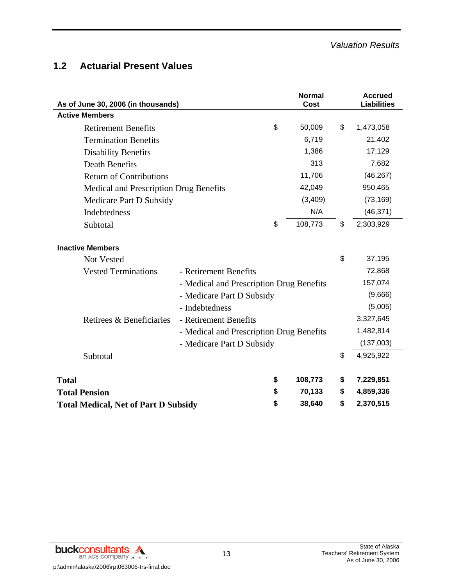# **1.2 Actuarial Present Values**

| As of June 30, 2006 (in thousands)          |                                          |                 | <b>Normal</b><br>Cost | <b>Accrued</b><br><b>Liabilities</b> |
|---------------------------------------------|------------------------------------------|-----------------|-----------------------|--------------------------------------|
| <b>Active Members</b>                       |                                          |                 |                       |                                      |
| <b>Retirement Benefits</b>                  |                                          | \$              | 50,009                | \$<br>1,473,058                      |
| <b>Termination Benefits</b>                 |                                          |                 | 6,719                 | 21,402                               |
| <b>Disability Benefits</b>                  |                                          |                 | 1,386                 | 17,129                               |
| <b>Death Benefits</b>                       |                                          |                 | 313                   | 7,682                                |
| <b>Return of Contributions</b>              |                                          |                 | 11,706                | (46, 267)                            |
| Medical and Prescription Drug Benefits      |                                          |                 | 42,049                | 950,465                              |
| Medicare Part D Subsidy                     |                                          |                 | (3,409)               | (73, 169)                            |
| Indebtedness                                |                                          |                 | N/A                   | (46, 371)                            |
| Subtotal                                    |                                          | \$              | 108,773               | \$<br>2,303,929                      |
| <b>Inactive Members</b>                     |                                          |                 |                       |                                      |
| <b>Not Vested</b>                           |                                          |                 |                       | \$<br>37,195                         |
| <b>Vested Terminations</b>                  | - Retirement Benefits                    |                 |                       | 72,868                               |
|                                             | - Medical and Prescription Drug Benefits |                 |                       | 157,074                              |
|                                             | - Medicare Part D Subsidy                |                 |                       | (9,666)                              |
|                                             | - Indebtedness                           |                 |                       | (5,005)                              |
| Retirees & Beneficiaries                    | - Retirement Benefits                    |                 |                       | 3,327,645                            |
|                                             | - Medical and Prescription Drug Benefits |                 |                       | 1,482,814                            |
|                                             | - Medicare Part D Subsidy                |                 |                       | (137,003)                            |
| Subtotal                                    |                                          |                 |                       | \$<br>4,925,922                      |
| <b>Total</b>                                |                                          | \$              | 108,773               | \$<br>7,229,851                      |
| <b>Total Pension</b>                        |                                          | \$              | 70,133                | \$<br>4,859,336                      |
| <b>Total Medical, Net of Part D Subsidy</b> | 38,640                                   | \$<br>2,370,515 |                       |                                      |

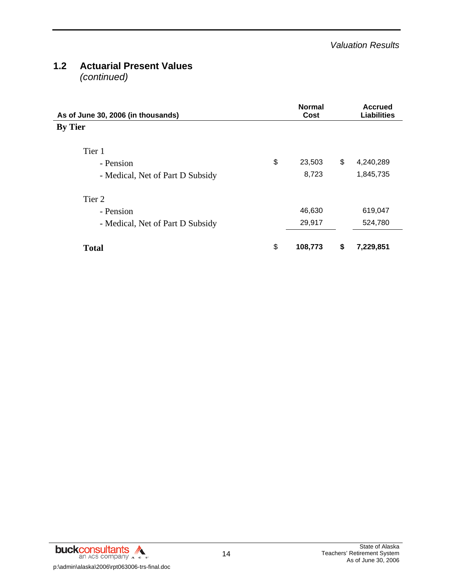# **1.2 Actuarial Present Values**

*(continued)*

| As of June 30, 2006 (in thousands) | <b>Normal</b><br>Cost | <b>Accrued</b><br><b>Liabilities</b> |
|------------------------------------|-----------------------|--------------------------------------|
| <b>By Tier</b>                     |                       |                                      |
| Tier 1                             |                       |                                      |
| - Pension                          | \$<br>23,503          | \$<br>4,240,289                      |
| - Medical, Net of Part D Subsidy   | 8,723                 | 1,845,735                            |
| Tier 2                             |                       |                                      |
| - Pension                          | 46,630                | 619,047                              |
| - Medical, Net of Part D Subsidy   | 29,917                | 524,780                              |
| <b>Total</b>                       | \$<br>108,773         | \$<br>7,229,851                      |

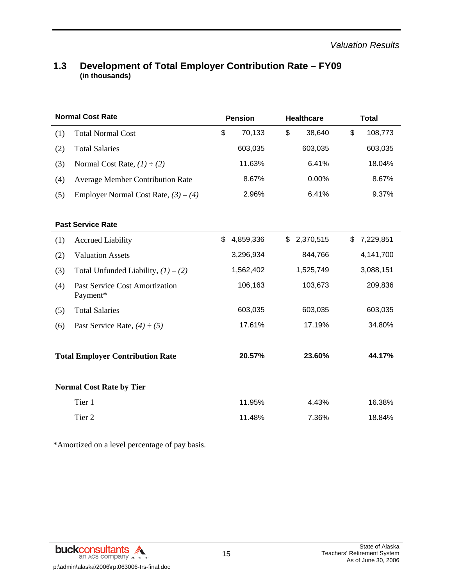### **1.3 Development of Total Employer Contribution Rate – FY09 (in thousands)**

|     | <b>Normal Cost Rate</b>                           | <b>Pension</b>  | <b>Healthcare</b> | <b>Total</b>    |  |  |
|-----|---------------------------------------------------|-----------------|-------------------|-----------------|--|--|
| (1) | <b>Total Normal Cost</b>                          | \$<br>70,133    | \$<br>38,640      | \$<br>108,773   |  |  |
| (2) | <b>Total Salaries</b>                             | 603,035         | 603,035           | 603,035         |  |  |
| (3) | Normal Cost Rate, $(1) \div (2)$                  | 11.63%          | 6.41%             | 18.04%          |  |  |
| (4) | <b>Average Member Contribution Rate</b>           | 8.67%           | 0.00%             | 8.67%           |  |  |
| (5) | Employer Normal Cost Rate, $(3) - (4)$            | 2.96%           | 6.41%             | 9.37%           |  |  |
|     |                                                   |                 |                   |                 |  |  |
|     | <b>Past Service Rate</b>                          |                 |                   |                 |  |  |
| (1) | <b>Accrued Liability</b>                          | \$<br>4,859,336 | \$<br>2,370,515   | \$<br>7,229,851 |  |  |
| (2) | <b>Valuation Assets</b>                           | 3,296,934       | 844,766           | 4,141,700       |  |  |
| (3) | Total Unfunded Liability, $(1) - (2)$             | 1,562,402       | 1,525,749         | 3,088,151       |  |  |
| (4) | <b>Past Service Cost Amortization</b><br>Payment* | 106,163         | 103,673           | 209,836         |  |  |
| (5) | <b>Total Salaries</b>                             | 603,035         | 603,035           | 603,035         |  |  |
| (6) | Past Service Rate, $(4) \div (5)$                 | 17.61%          | 17.19%            | 34.80%          |  |  |
|     |                                                   |                 |                   |                 |  |  |
|     | <b>Total Employer Contribution Rate</b>           | 20.57%          | 23.60%            | 44.17%          |  |  |
|     |                                                   |                 |                   |                 |  |  |
|     | <b>Normal Cost Rate by Tier</b>                   |                 |                   |                 |  |  |
|     | Tier 1                                            | 11.95%          | 4.43%             | 16.38%          |  |  |
|     | Tier 2                                            | 11.48%          | 7.36%             | 18.84%          |  |  |

\*Amortized on a level percentage of pay basis.

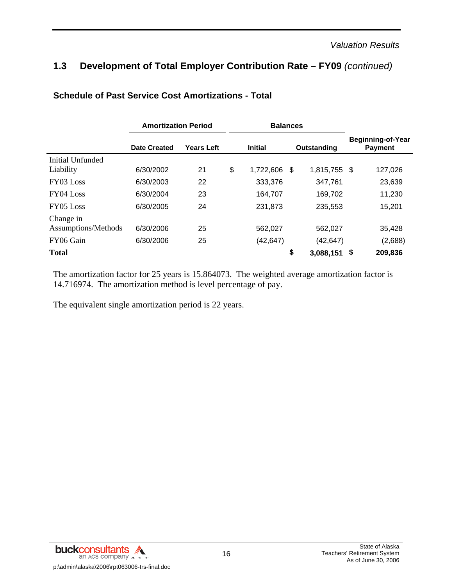# **1.3 Development of Total Employer Contribution Rate – FY09** *(continued)*

|                     | <b>Amortization Period</b> |                   |    | <b>Balances</b> |             |                |                                            |         |  |
|---------------------|----------------------------|-------------------|----|-----------------|-------------|----------------|--------------------------------------------|---------|--|
|                     | <b>Date Created</b>        | <b>Years Left</b> |    | <b>Initial</b>  | Outstanding |                | <b>Beginning-of-Year</b><br><b>Payment</b> |         |  |
| Initial Unfunded    |                            |                   |    |                 |             |                |                                            |         |  |
| Liability           | 6/30/2002                  | 21                | \$ | 1,722,606       | \$          | 1,815,755 \$   |                                            | 127,026 |  |
| FY03 Loss           | 6/30/2003                  | 22                |    | 333,376         |             | 347.761        |                                            | 23,639  |  |
| $FY04$ Loss         | 6/30/2004                  | 23                |    | 164,707         |             | 169,702        |                                            | 11,230  |  |
| FY05 Loss           | 6/30/2005                  | 24                |    | 231,873         |             | 235,553        |                                            | 15,201  |  |
| Change in           |                            |                   |    |                 |             |                |                                            |         |  |
| Assumptions/Methods | 6/30/2006                  | 25                |    | 562,027         |             | 562,027        |                                            | 35,428  |  |
| FY06 Gain           | 6/30/2006                  | 25                |    | (42, 647)       |             | (42, 647)      |                                            | (2,688) |  |
| <b>Total</b>        |                            |                   |    |                 | \$          | $3,088,151$ \$ |                                            | 209,836 |  |

### **Schedule of Past Service Cost Amortizations - Total**

The amortization factor for 25 years is 15.864073. The weighted average amortization factor is 14.716974. The amortization method is level percentage of pay.

The equivalent single amortization period is 22 years.

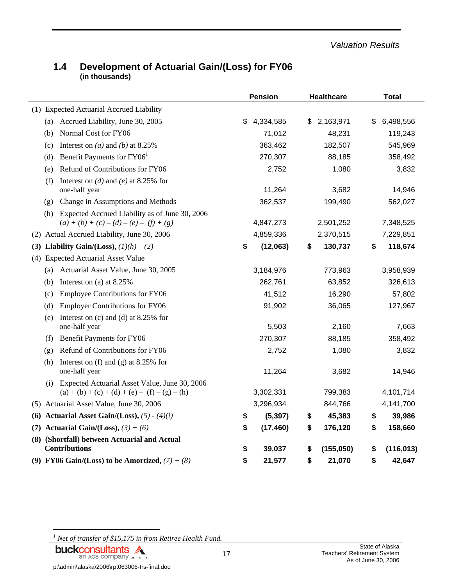*Valuation Results* 

### **1.4 Development of Actuarial Gain/(Loss) for FY06 (in thousands)**

|                                                                                                         | <b>Pension</b>  | <b>Healthcare</b> | <b>Total</b>     |  |  |
|---------------------------------------------------------------------------------------------------------|-----------------|-------------------|------------------|--|--|
| (1) Expected Actuarial Accrued Liability                                                                |                 |                   |                  |  |  |
| Accrued Liability, June 30, 2005<br>(a)                                                                 | \$<br>4,334,585 | 2,163,971<br>\$   | \$<br>6,498,556  |  |  |
| Normal Cost for FY06<br>(b)                                                                             | 71,012          | 48,231            | 119,243          |  |  |
| Interest on (a) and (b) at 8.25%<br>(c)                                                                 | 363,462         | 182,507           | 545,969          |  |  |
| Benefit Payments for FY06 <sup>1</sup><br>(d)                                                           | 270,307         | 88,185            | 358,492          |  |  |
| Refund of Contributions for FY06<br>(e)                                                                 | 2,752           | 1,080             | 3,832            |  |  |
| Interest on (d) and (e) at 8.25% for<br>(f)<br>one-half year                                            | 11,264          | 3,682             | 14,946           |  |  |
| Change in Assumptions and Methods<br>(g)                                                                | 362,537         | 199,490           | 562,027          |  |  |
| Expected Accrued Liability as of June 30, 2006<br>(h)                                                   |                 |                   |                  |  |  |
| $(a) + (b) + (c) - (d) - (e) - (f) + (g)$                                                               | 4,847,273       | 2,501,252         | 7,348,525        |  |  |
| Actual Accrued Liability, June 30, 2006<br>(2)                                                          | 4,859,336       | 2,370,515         | 7,229,851        |  |  |
| (3) Liability Gain/(Loss), $(1)(h) - (2)$                                                               | \$<br>(12,063)  | 130,737<br>\$     | 118,674<br>\$    |  |  |
| <b>Expected Actuarial Asset Value</b><br>(4)                                                            |                 |                   |                  |  |  |
| Actuarial Asset Value, June 30, 2005<br>(a)                                                             | 3,184,976       | 773,963           | 3,958,939        |  |  |
| Interest on (a) at 8.25%<br>(b)                                                                         | 262,761         | 63,852            | 326,613          |  |  |
| <b>Employee Contributions for FY06</b><br>(c)                                                           | 41,512          | 16,290            | 57,802           |  |  |
| <b>Employer Contributions for FY06</b><br>(d)                                                           | 91,902          | 36,065            | 127,967          |  |  |
| Interest on $(c)$ and $(d)$ at 8.25% for<br>(e)<br>one-half year                                        | 5,503           | 2,160             | 7,663            |  |  |
| Benefit Payments for FY06<br>(f)                                                                        | 270,307         | 88,185            | 358,492          |  |  |
| Refund of Contributions for FY06<br>(g)                                                                 | 2,752           | 1,080             | 3,832            |  |  |
| Interest on $(f)$ and $(g)$ at 8.25% for<br>(h)<br>one-half year                                        | 11,264          | 3,682             | 14,946           |  |  |
| Expected Actuarial Asset Value, June 30, 2006<br>(i)<br>$(a) + (b) + (c) + (d) + (e) - (f) - (g) - (h)$ | 3,302,331       | 799,383           | 4,101,714        |  |  |
| (5) Actuarial Asset Value, June 30, 2006                                                                | 3,296,934       | 844,766           | 4,141,700        |  |  |
| (6) Actuarial Asset Gain/(Loss), $(5) - (4)(i)$                                                         | (5, 397)<br>\$  | 45,383<br>\$      | 39,986<br>\$     |  |  |
| Actuarial Gain/(Loss), $(3) + (6)$<br>(7)                                                               | \$<br>(17, 460) | \$<br>176,120     | \$<br>158,660    |  |  |
| (8) (Shortfall) between Actuarial and Actual<br><b>Contributions</b>                                    | \$<br>39,037    | \$<br>(155,050)   | \$<br>(116, 013) |  |  |
| (9) FY06 Gain/(Loss) to be Amortized, $(7) + (8)$                                                       | \$<br>21,577    | \$<br>21,070      | \$<br>42,647     |  |  |

<sup>1</sup> Net of transfer of \$15,175 in from Retiree Health Fund.

# **buckconsultants**

l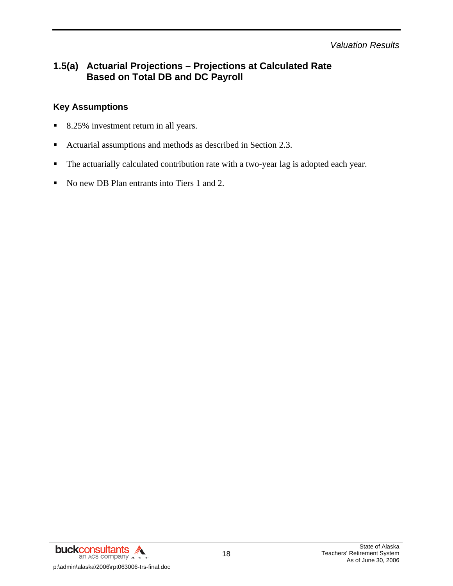*Valuation Results* 

# **1.5(a) Actuarial Projections – Projections at Calculated Rate Based on Total DB and DC Payroll**

### **Key Assumptions**

- 8.25% investment return in all years.
- Actuarial assumptions and methods as described in Section 2.3.
- The actuarially calculated contribution rate with a two-year lag is adopted each year.
- No new DB Plan entrants into Tiers 1 and 2.

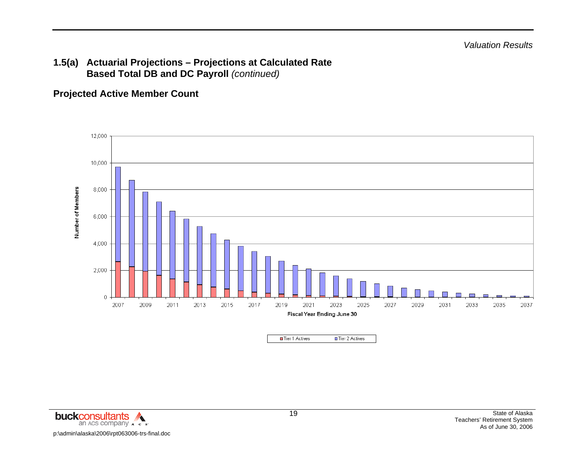# **Projected Active Member Count**



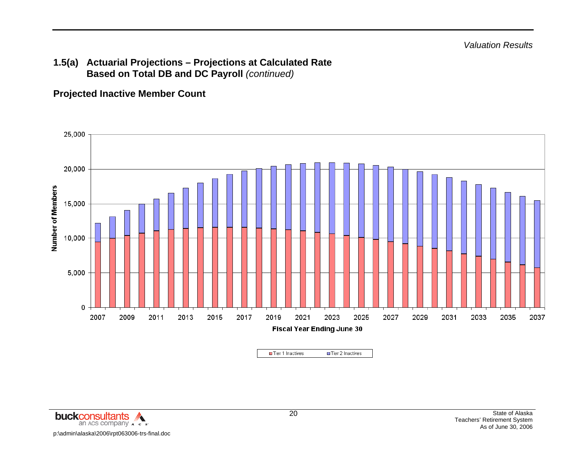### **Projected Inactive Member Count**



□ Tier 2 Inactives Tier 1 Inactives

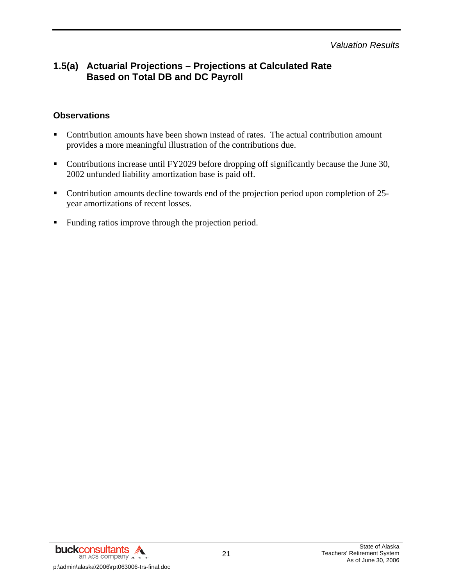*Valuation Results* 

# **1.5(a) Actuarial Projections – Projections at Calculated Rate Based on Total DB and DC Payroll**

### **Observations**

- Contribution amounts have been shown instead of rates. The actual contribution amount provides a more meaningful illustration of the contributions due.
- Contributions increase until FY2029 before dropping off significantly because the June 30, 2002 unfunded liability amortization base is paid off.
- Contribution amounts decline towards end of the projection period upon completion of 25year amortizations of recent losses.
- Funding ratios improve through the projection period.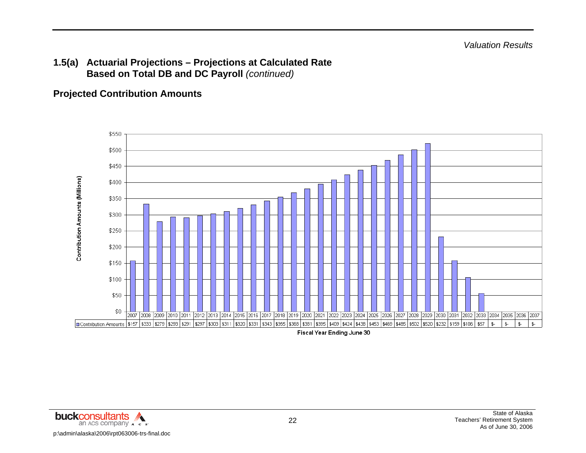### **Projected Contribution Amounts**



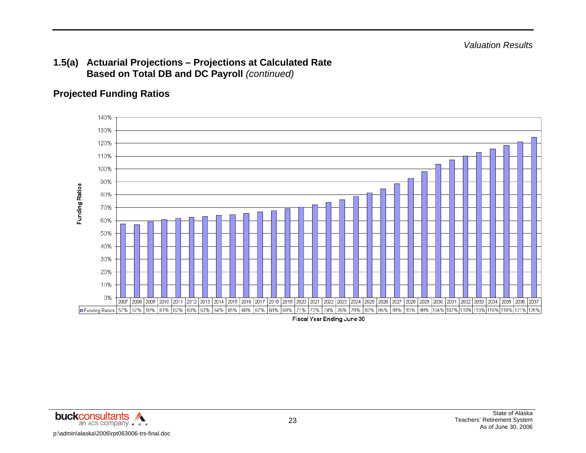# **Projected Funding Ratios**



Fiscal Year Ending June 30

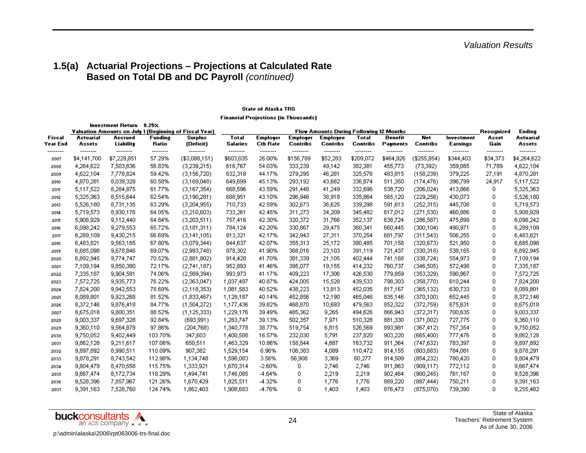#### **State of Alaska TRS**

**Financial Projections (in Thousands)** 

| Investment Return<br>$8.25\times$ |                          |                         |                    |                                                        |                                                |                             |                                    |                             |                          |                       |                         |                        |                      |                         |
|-----------------------------------|--------------------------|-------------------------|--------------------|--------------------------------------------------------|------------------------------------------------|-----------------------------|------------------------------------|-----------------------------|--------------------------|-----------------------|-------------------------|------------------------|----------------------|-------------------------|
|                                   |                          |                         |                    | Valuation Amounts on July 1 (Beginning of Fiscal Year) | <b>Flow Amounts During Following 12 Months</b> |                             |                                    |                             |                          |                       |                         |                        |                      | Ending                  |
| Fiscal<br>Year End                | Actuarial<br>Assets      | Accrued<br>Liability    | Funding<br>Ratio   | Surplus<br>(Deficit)                                   | <b>Total</b><br><b>Salaries</b>                | Employer<br><b>Ctb Rate</b> | <b>Employer</b><br><b>Contribs</b> | <b>Employee</b><br>Contribs | Total<br><b>Contribs</b> | Benefit<br>Payments   | Net<br><b>Contribs</b>  | Investment<br>Earnings | Asset<br>Gain        | Actuarial<br>Assets     |
| --------<br>2007                  | ---------<br>\$4,141,700 | --------<br>\$7,229,851 | --------<br>57.29% | --------<br>(\$3,088,151)                              | --------<br>\$603,035                          | --------<br>26.00%          | --------<br>\$156,789              | --------<br>\$52,283        | --------<br>\$209,072    | --------<br>\$464,926 | --------<br>(\$255,854) | --------<br>\$344,403  | --------<br>\$34,373 | --------<br>\$4,264,622 |
| 2008                              | 4,264,622                | 7,503,836               | 56.83%             | (3,239,215)                                            | 616,767                                        | 54.03%                      | 333,239                            | 49,142                      | 382,381                  | 455,773               | (73, 392)               | 359,085                | 71,789               | 4,622,104               |
| 2009                              | 4,622,104                | 7,778,824               | 59.42%             | (3,156,720)                                            | 632,318                                        | 44.17%                      | 279,295                            | 46,281                      | 325,576                  | 483,815               | (158, 239)              | 379,225                | 27,191               | 4,870,281               |
| 2010                              | 4,870,281                | 8,039,328               | 60.58%             | (3,169,048)                                            | 649,699                                        | 45.13%                      | 293,192                            | 43,682                      | 336,874                  | 511,350               | (174, 476)              | 396,799                | 24,917               | 5,117,522               |
| 2011                              | 5,117,522                | 8,284,875               | 61.77%             | (3,167,354)                                            | 668,596                                        | 43.59%                      | 291,448                            | 41,249                      | 332,696                  | 538,720               | (206, 024)              | 413,866                | 0                    | 5,325,363               |
| 2012                              | 5,325,363                | 8,515,644               | 62.54%             | (3,190,281)                                            | 688,951                                        | 43.10%                      | 296,946                            | 38,918                      | 335,864                  | 565,120               | (229, 256)              | 430,073                | 0                    | 5,526,180               |
| 2013                              | 5,526,180                | 8,731,135               | 63.29%             | (3,204,955)                                            | 710,733                                        | 42.59%                      | 302,673                            | 36,625                      | 339,298                  | 591,613               | (252, 315)              | 445,708                | 0                    | 5,719,573               |
| 2014                              | 5,719,573                | 8,930,176               | 64.05%             | (3,210,603)                                            | 733,261                                        | 42.45%                      | 311,273                            | 34,209                      | 345,482                  | 617,012               | (271, 530)              | 460,886                | 0                    | 5,908,929               |
| 2015                              | 5,908,929                | 9,112,440               | 64.84%             | (3,203,511)                                            | 757,416                                        | 42.30%                      | 320,372                            | 31,766                      | 352,137                  | 638,724               | (286, 587)              | 475,899                | 0                    | 6,098,242               |
| 2016                              | 6,098,242                | 9,279,553               | 65.72%             | (3,181,311)                                            | 784,124                                        | 42.20%                      | 330,867                            | 29,475                      | 360,341                  | 660,445               | (300, 104)              | 490,971                | 0                    | 6,289,109               |
| 2017                              | 6,289,109                | 9,430,215               | 66.69%             | (3,141,105)                                            | 813,321                                        | 42.17%                      | 342,943                            | 27,311                      | 370,254                  | 681,797               | (311, 543)              | 506,255                | 0                    | 6,483,821               |
| 2018                              | 6,483,821                | 9,563,165               | 67.80%             | (3,079,344)                                            | 844,637                                        | 42.07%                      | 355,313                            | 25,172                      | 380,485                  | 701,158               | (320, 673)              | 521,950                | 0                    | 6,685,098               |
| 2019                              | 6,685,098                | 9,678,846               | 69.07%             | (2,993,748)                                            | 878,302                                        | 41.90%                      | 368,016                            | 23,103                      | 391,119                  | 721,437               | (330,318)               | 538,165                | 0                    | 6,892,945               |
| 2020                              | 6,892,945                | 9,774,747               | 70.52%             | (2,881,802)                                            | 914,428                                        | 41.70%                      | 381,339                            | 21,105                      | 402,444                  | 741,168               | (338, 724)              | 554,973                | 0                    | 7,109,194               |
| 2021                              | 7,109,194                | 9,850,380               | 72.17%             | (2,741,187)                                            | 952,893                                        | 41.46%                      | 395,077                            | 19,155                      | 414,232                  | 760,737               | (346, 505)              | 572,498                | 0                    | 7,335,187               |
| 2022                              | 7,335,187                | 9,904,581               | 74.06%             | (2,569,394)                                            | 993,973                                        | 41.17%                      | 409,223                            | 17,306                      | 426,530                  | 779,859               | (353, 329)              | 590,867                | 0                    | 7,572,725               |
| 2023                              | 7,572,725                | 9,935,773               | 76.22%             | (2,363,047)                                            | 1,037,497                                      | 40.87%                      | 424,005                            | 15,528                      | 439,533                  | 798,303               | (358, 770)              | 610,244                | 0                    | 7,824,200               |
| 2024                              | 7,824,200                | 9,942,553               | 78.69%             | (2,118,353)                                            | 1,081,583                                      | 40.52%                      | 438,223                            | 13,813                      | 452,035                  | 817,167               | (365, 132)              | 630,733                | 0                    | 8,089,801               |
| 2025                              | 8,089,801                | 9,923,268               | 81.52%             | (1,833,467)                                            | 1,128,187                                      | 40.14%                      | 452,856                            | 12,190                      | 465,046                  | 835,146               | (370, 100)              | 652,445                | 0                    | 8,372,146               |
| 2026                              | 8,372,146                | 9,876,418               | 84.77%             | (1,504,272)                                            | 1,177,436                                      | 39.82%                      | 468,870                            | 10,693                      | 479,563                  | 852,322               | (372, 759)              | 675,631                | 0                    | 8,675,018               |
| 2027                              | 8,675,018                | 9,800,351               | 88.52%             | (1, 125, 333)                                          | 1,229,176                                      | 39.49%                      | 485,362                            | 9,265                       | 494,626                  | 866,943               | (372, 317)              | 700,635                | 0                    | 9,003,337               |
| 2028                              | 9,003,337                | 9,697,328               | 92.84%             | (693, 991)                                             | 1,283,747                                      | 39.13%                      | 502,357                            | 7,971                       | 510,328                  | 881,330               | (371,002)               | 727,775                | 0                    | 9,360,110               |
| 2029                              | 9,360,110                | 9,564,878               | 97.86%             | (204, 768)                                             | 1,340,778                                      | 38.77%                      | 519,754                            | 6,815                       | 526,569                  | 893,981               | (367, 412)              | 757,354                | 0                    | 9,750,052               |
| 2030                              | 9,750,052                | 9,402,449               | 103.70%            | 347,603                                                | 1,400,588                                      | 16.57%                      | 232,030                            | 5,791                       | 237,820                  | 903,220               | (665, 400)              | 777,476                | 0                    | 9,862,128               |
| 2031                              | 9,862,128                | 9,211,617               | 107.06%            | 650,511                                                | 1,463,329                                      | 10.86%                      | 158,844                            | 4,887                       | 163,732                  | 911,364               | (747, 632)              | 783,397                | 0                    | 9,897,892               |
| 2032                              | 9,897,892                | 8,990,511               | 110.09%            | 907,382                                                | 1,529,154                                      | 6.96%                       | 106,383                            | 4,089                       | 110,472                  | 914,155               | (803,683)               | 784,081                | 0                    | 9,878,291               |
| 2033                              | 9,878,291                | 8,743,542               | 112.98%            | 1,134,748                                              | 1,598,083                                      | 3.56%                       | 56,908                             | 3,369                       | 60,277                   | 914,509               | (854, 232)              | 780,420                | 0                    | 9,804,479               |
| 2034                              | 9,804,479                | 8,470,558               | 115.75%            | 1,333,921                                              | 1,670,314                                      | $-2.60%$                    | 0                                  | 2,746                       | 2,746                    | 911,863               | (909, 117)              | 772,112                | 0                    | 9,667,474               |
| 2035                              | 9,667,474                | 8,172,734               | 118.29%            | 1,494,741                                              | 1,746,085                                      | $-4.64%$                    | 0                                  | 2,219                       | 2,219                    | 902,464               | (900, 245)              | 761,167                | 0                    | 9,528,396               |
| 2036                              | 9,528,396                | 7,857,967               | 121.26%            | 1,670,429                                              | 1,825,511                                      | $-4.32%$                    | 0                                  | 1,776                       | 1,776                    | 889,220               | (887, 444)              | 750,211                | 0                    | 9,391,163               |
| 2037                              | 9,391,163                | 7,528,760               | 124.74%            | 1,862,403                                              | 1,908,683                                      | -4.76%                      | 0                                  | 1,403                       | 1,403                    | 876,473               | (875,070)               | 739,390                | 0                    | 9,255,482               |

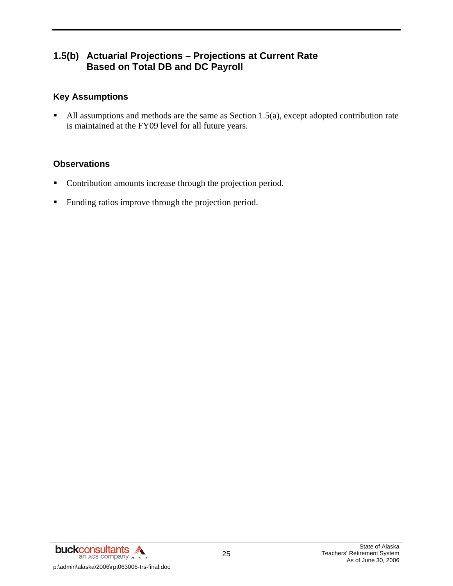# **1.5(b) Actuarial Projections – Projections at Current Rate Based on Total DB and DC Payroll**

### **Key Assumptions**

All assumptions and methods are the same as Section 1.5(a), except adopted contribution rate is maintained at the FY09 level for all future years.

### **Observations**

- Contribution amounts increase through the projection period.
- **Funding ratios improve through the projection period.**

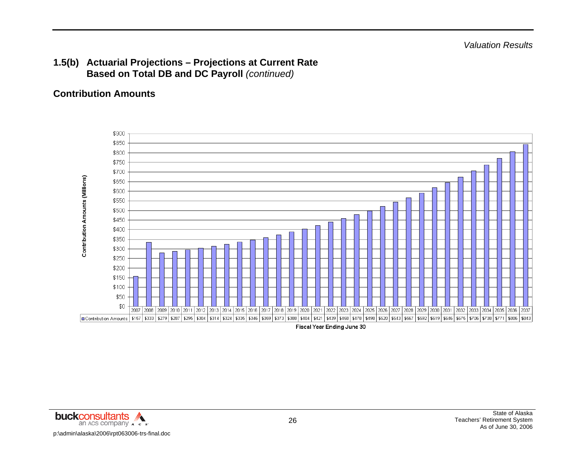# **Contribution Amounts**



Fiscal Year Ending June 30

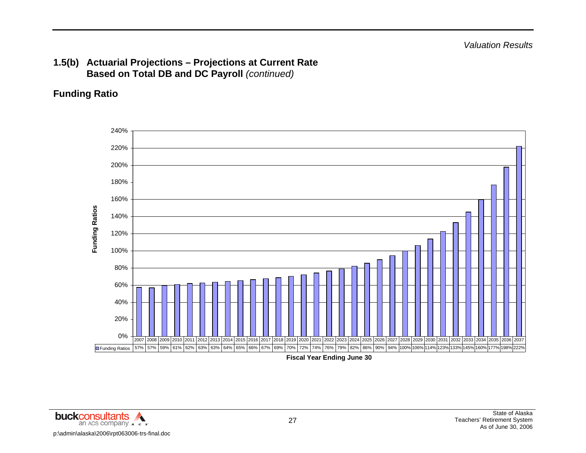# **Funding Ratio**



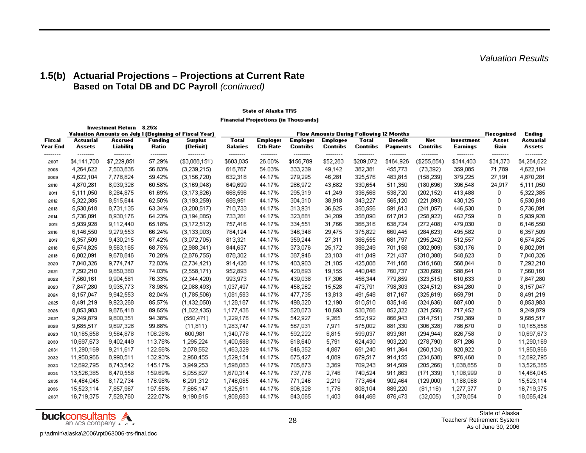*Valuation Results* 

### **1.5(b) Actuarial Projections – Projections at Current Rate Based on Total DB and DC Payroll** *(continued)*

#### **State of Alaska TRS**

**Financial Projections (in Thousands)** 

| $8.25\times$<br>Investment Return |                         |                         |                    |                                                        |                                                |                                    |                       |                             |                       |                       |                         |                        |                      |                            |
|-----------------------------------|-------------------------|-------------------------|--------------------|--------------------------------------------------------|------------------------------------------------|------------------------------------|-----------------------|-----------------------------|-----------------------|-----------------------|-------------------------|------------------------|----------------------|----------------------------|
|                                   |                         |                         |                    | Valuation Amounts on July 1 (Beginning of Fiscal Year) | <b>Flow Amounts During Following 12 Months</b> |                                    |                       |                             |                       |                       |                         |                        | Recognized           | Ending                     |
| Fiscal<br>Year End                | Actuarial<br>Assets     | Accrued<br>Liability    | Funding<br>Ratio   | <b>Surplus</b><br>(Deficit)                            | <b>Total</b><br>Salaries                       | <b>Employer</b><br><b>Ctb Rate</b> | Employer<br>Contribs  | <b>Employee</b><br>Contribs | Total<br>Contribs     | Benefit<br>Payments   | Net<br><b>Contribs</b>  | Investment<br>Earnings | Asset<br>Gain        | <b>Actuarial</b><br>Assets |
| --------<br>2007                  | --------<br>\$4,141,700 | --------<br>\$7,229,851 | --------<br>57.29% | --------<br>(\$3,088,151)                              | --------<br>\$603,035                          | --------<br>26.00%                 | --------<br>\$156,789 | --------<br>\$52,283        | --------<br>\$209,072 | --------<br>\$464,926 | --------<br>(\$255,854) | --------<br>\$344,403  | --------<br>\$34,373 | --------<br>\$4,264,622    |
| 2008                              | 4,264,622               | 7,503,836               | 56.83%             | (3,239,215)                                            | 616,767                                        | 54.03%                             | 333,239               | 49,142                      | 382,381               | 455,773               | (73, 392)               | 359,085                | 71,789               | 4,622,104                  |
| 2009                              | 4,622,104               | 7,778,824               | 59.42%             | (3,156,720)                                            | 632,318                                        | 44.17%                             | 279,295               | 46,281                      | 325,576               | 483,815               | (158, 239)              | 379,225                | 27,191               | 4,870,281                  |
| 2010                              | 4,870,281               | 8,039,328               | 60.58%             | (3,169,048)                                            | 649,699                                        | 44.17%                             | 286,972               | 43,682                      | 330,654               | 511,350               | (180, 696)              | 396,548                | 24,917               | 5,111,050                  |
| 2011                              | 5,111,050               | 8,284,875               | 61.69%             | (3,173,826)                                            | 668,596                                        | 44.17%                             | 295,319               | 41,249                      | 336,568               | 538,720               | (202, 152)              | 413,488                | 0                    | 5,322,385                  |
| 2012                              | 5,322,385               | 8,515,644               | 62.50%             | (3,193,259)                                            | 688,951                                        | 44.17%                             | 304,310               | 38,918                      | 343,227               | 565,120               | (221, 893)              | 430,125                | 0                    | 5,530,618                  |
| 2013                              | 5,530,618               | 8,731,135               | 63.34%             | (3,200,517)                                            | 710,733                                        | 44.17%                             | 313,931               | 36,625                      | 350,556               | 591,613               | (241, 057)              | 446,530                | 0                    | 5,736,091                  |
| 2014                              | 5,736,091               | 8,930,176               | 64.23%             | (3,194,085)                                            | 733,261                                        | 44.17%                             | 323,881               | 34,209                      | 358,090               | 617,012               | (258, 922)              | 462,759                | 0                    | 5,939,928                  |
| 2015                              | 5,939,928               | 9,112,440               | 65.18%             | (3,172,512)                                            | 757,416                                        | 44.17%                             | 334,551               | 31,766                      | 366,316               | 638,724               | (272, 408)              | 479,030                | 0                    | 6,146,550                  |
| 2016                              | 6,146,550               | 9,279,553               | 66.24%             | (3,133,003)                                            | 784,124                                        | 44.17%                             | 346,348               | 29,475                      | 375,822               | 660,445               | (284, 623)              | 495,582                | 0                    | 6,357,509                  |
| 2017                              | 6,357,509               | 9,430,215               | 67.42%             | (3,072,705)                                            | 813,321                                        | 44.17%                             | 359,244               | 27,311                      | 386,555               | 681,797               | (295, 242)              | 512,557                | 0                    | 6,574,825                  |
| 2018                              | 6,574,825               | 9,563,165               | 68.75%             | (2,988,341)                                            | 844,637                                        | 44.17%                             | 373,076               | 25,172                      | 398,249               | 701,158               | (302, 909)              | 530,176                | 0                    | 6,802,091                  |
| 2019                              | 6,802,091               | 9,678,846               | 70.28%             | (2,876,755)                                            | 878,302                                        | 44.17%                             | 387,946               | 23,103                      | 411,049               | 721,437               | (310, 388)              | 548,623                | 0                    | 7,040,326                  |
| 2020                              | 7,040,326               | 9,774,747               | 72.03%             | (2,734,421)                                            | 914,428                                        | 44.17%                             | 403,903               | 21,105                      | 425,008               | 741,168               | (316, 160)              | 568,044                | 0                    | 7,292,210                  |
| 2021                              | 7,292,210               | 9,850,380               | 74.03%             | (2,558,171)                                            | 952,893                                        | 44.17%                             | 420,893               | 19,155                      | 440,048               | 760,737               | (320, 689)              | 588,641                | 0                    | 7,560,161                  |
| 2022                              | 7,560,161               | 9,904,581               | 76.33%             | (2,344,420)                                            | 993,973                                        | 44.17%                             | 439,038               | 17,306                      | 456,344               | 779,859               | (323, 515)              | 610,633                | 0                    | 7,847,280                  |
| 2023                              | 7,847,280               | 9,935,773               | 78.98%             | (2,088,493)                                            | 1,037,497                                      | 44.17%                             | 458,262               | 15,528                      | 473,791               | 798,303               | (324, 512)              | 634,280                | 0                    | 8,157,047                  |
| 2024                              | 8,157,047               | 9,942,553               | 82.04%             | (1,785,506)                                            | 1,081,583                                      | 44.17%                             | 477,735               | 13,813                      | 491,548               | 817,167               | (325, 619)              | 659,791                | 0                    | 8,491,219                  |
| 2025                              | 8,491,219               | 9,923,268               | 85.57%             | (1,432,050)                                            | 1,128,187                                      | 44.17%                             | 498,320               | 12,190                      | 510,510               | 835,146               | (324, 636)              | 687,400                | 0                    | 8,853,983                  |
| 2026                              | 8,853,983               | 9,876,418               | 89.65%             | (1,022,435)                                            | 1,177,436                                      | 44.17%                             | 520,073               | 10,693                      | 530,766               | 852,322               | (321, 556)              | 717,452                | 0                    | 9,249,879                  |
| 2027                              | 9,249,879               | 9,800,351               | 94.38%             | (550, 471)                                             | 1,229,176                                      | 44.17%                             | 542,927               | 9,265                       | 552,192               | 866,943               | (314, 751)              | 750,389                | 0                    | 9,685,517                  |
| 2028                              | 9,685,517               | 9,697,328               | 99.88%             | (11, 811)                                              | 1,283,747                                      | 44.17%                             | 567,031               | 7,971                       | 575,002               | 881,330               | (306, 328)              | 786,670                | 0                    | 10,165,858                 |
| 2029                              | 10,165,858              | 9,564,878               | 106.28%            | 600,981                                                | 1,340,778                                      | 44.17%                             | 592,222               | 6,815                       | 599,037               | 893,981               | (294, 944)              | 826,758                | 0                    | 10,697,673                 |
| 2030                              | 10,697,673              | 9,402,449               | 113.78%            | 1,295,224                                              | 1,400,588                                      | 44.17%                             | 618,640               | 5,791                       | 624,430               | 903,220               | (278, 790)              | 871,286                | 0                    | 11,290,169                 |
| 2031                              | 11,290,169              | 9,211,617               | 122.56%            | 2,078,552                                              | 1,463,329                                      | 44.17%                             | 646,352               | 4,887                       | 651,240               | 911,364               | (260, 124)              | 920,922                | 0                    | 11,950,966                 |
| 2032                              | 11,950,966              | 8,990,511               | 132.93%            | 2,960,455                                              | 1,529,154                                      | 44.17%                             | 675,427               | 4,089                       | 679,517               | 914,155               | (234, 638)              | 976,468                | 0                    | 12,692,795                 |
| 2033                              | 12,692,795              | 8,743,542               | 145.17%            | 3,949,253                                              | 1,598,083                                      | 44.17%                             | 705,873               | 3,369                       | 709,243               | 914,509               | (205, 266)              | 1,038,856              | 0                    | 13,526,385                 |
| 2034                              | 13,526,385              | 8,470,558               | 159.69%            | 5,055,827                                              | 1,670,314                                      | 44.17%                             | 737,778               | 2,746                       | 740,524               | 911,863               | (171, 339)              | 1,108,999              | 0                    | 14,464,045                 |
| 2035                              | 14,464,045              | 8,172,734               | 176.98%            | 6,291,312                                              | 1,746,085                                      | 44.17%                             | 771,246               | 2,219                       | 773,464               | 902,464               | (129,000)               | 1,188,068              | 0                    | 15,523,114                 |
| 2036                              | 15,523,114              | 7,857,967               | 197.55%            | 7,665,147                                              | 1,825,511                                      | 44.17%                             | 806,328               | 1,776                       | 808,104               | 889,220               | (81, 116)               | 1,277,377              | 0                    | 16,719,375                 |
| 2037                              | 16,719,375              | 7,528,760               | 222.07%            | 9,190,615                                              | 1,908,683                                      | 44.17%                             | 843,065               | 1,403                       | 844,468               | 876,473               | (32,005)                | 1,378,054              | 0                    | 18,065,424                 |



State of Alaska Teachers' Retirement System As of June 30, 2006

p:\admin\alaska\2006\rpt063006-trs-final.doc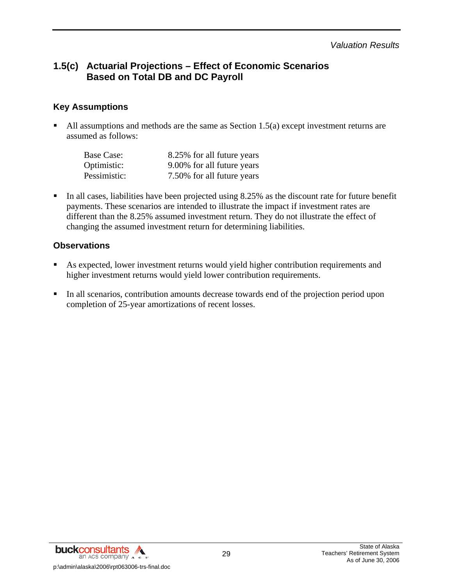*Valuation Results* 

# **1.5(c) Actuarial Projections – Effect of Economic Scenarios Based on Total DB and DC Payroll**

### **Key Assumptions**

All assumptions and methods are the same as Section  $1.5(a)$  except investment returns are assumed as follows:

| Base Case:   | 8.25% for all future years |
|--------------|----------------------------|
| Optimistic:  | 9.00% for all future years |
| Pessimistic: | 7.50% for all future years |

In all cases, liabilities have been projected using  $8.25\%$  as the discount rate for future benefit payments. These scenarios are intended to illustrate the impact if investment rates are different than the 8.25% assumed investment return. They do not illustrate the effect of changing the assumed investment return for determining liabilities.

### **Observations**

- As expected, lower investment returns would yield higher contribution requirements and higher investment returns would yield lower contribution requirements.
- In all scenarios, contribution amounts decrease towards end of the projection period upon completion of 25-year amortizations of recent losses.

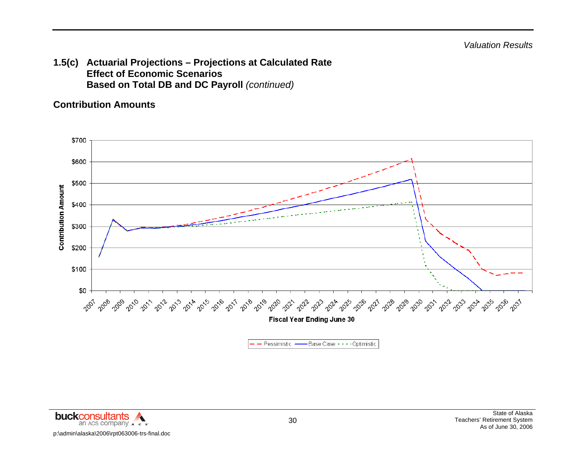**1.5(c) Actuarial Projections – Projections at Calculated Rate Effect of Economic Scenarios Based on Total DB and DC Payroll** *(continued)* 

### **Contribution Amounts**



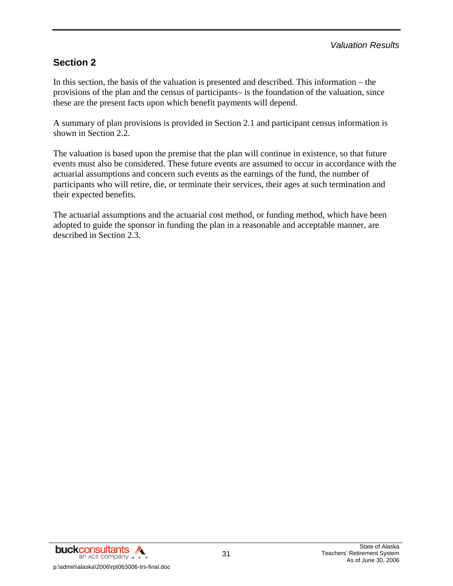# **Section 2**

In this section, the basis of the valuation is presented and described. This information – the provisions of the plan and the census of participants– is the foundation of the valuation, since these are the present facts upon which benefit payments will depend.

A summary of plan provisions is provided in Section 2.1 and participant census information is shown in Section 2.2.

The valuation is based upon the premise that the plan will continue in existence, so that future events must also be considered. These future events are assumed to occur in accordance with the actuarial assumptions and concern such events as the earnings of the fund, the number of participants who will retire, die, or terminate their services, their ages at such termination and their expected benefits.

The actuarial assumptions and the actuarial cost method, or funding method, which have been adopted to guide the sponsor in funding the plan in a reasonable and acceptable manner, are described in Section 2.3.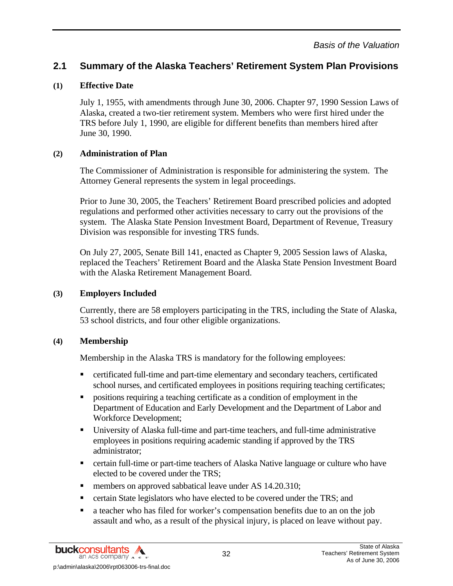## **(1) Effective Date**

July 1, 1955, with amendments through June 30, 2006. Chapter 97, 1990 Session Laws of Alaska, created a two-tier retirement system. Members who were first hired under the TRS before July 1, 1990, are eligible for different benefits than members hired after June 30, 1990.

## **(2) Administration of Plan**

The Commissioner of Administration is responsible for administering the system. The Attorney General represents the system in legal proceedings.

Prior to June 30, 2005, the Teachers' Retirement Board prescribed policies and adopted regulations and performed other activities necessary to carry out the provisions of the system. The Alaska State Pension Investment Board, Department of Revenue, Treasury Division was responsible for investing TRS funds.

On July 27, 2005, Senate Bill 141, enacted as Chapter 9, 2005 Session laws of Alaska, replaced the Teachers' Retirement Board and the Alaska State Pension Investment Board with the Alaska Retirement Management Board.

## **(3) Employers Included**

Currently, there are 58 employers participating in the TRS, including the State of Alaska, 53 school districts, and four other eligible organizations.

## **(4) Membership**

Membership in the Alaska TRS is mandatory for the following employees:

- certificated full-time and part-time elementary and secondary teachers, certificated school nurses, and certificated employees in positions requiring teaching certificates;
- positions requiring a teaching certificate as a condition of employment in the Department of Education and Early Development and the Department of Labor and Workforce Development;
- University of Alaska full-time and part-time teachers, and full-time administrative employees in positions requiring academic standing if approved by the TRS administrator;
- **Exercise 1** certain full-time or part-time teachers of Alaska Native language or culture who have elected to be covered under the TRS;
- members on approved sabbatical leave under AS 14.20.310;
- **Exercise 1** certain State legislators who have elected to be covered under the TRS; and
- a teacher who has filed for worker's compensation benefits due to an on the job assault and who, as a result of the physical injury, is placed on leave without pay.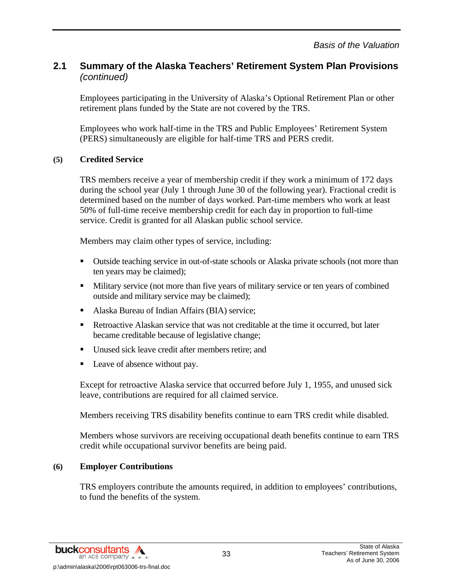Employees participating in the University of Alaska's Optional Retirement Plan or other retirement plans funded by the State are not covered by the TRS.

Employees who work half-time in the TRS and Public Employees' Retirement System (PERS) simultaneously are eligible for half-time TRS and PERS credit.

## **(5) Credited Service**

TRS members receive a year of membership credit if they work a minimum of 172 days during the school year (July 1 through June 30 of the following year). Fractional credit is determined based on the number of days worked. Part-time members who work at least 50% of full-time receive membership credit for each day in proportion to full-time service. Credit is granted for all Alaskan public school service.

Members may claim other types of service, including:

- Outside teaching service in out-of-state schools or Alaska private schools (not more than ten years may be claimed);
- **Military service (not more than five years of military service or ten years of combined** outside and military service may be claimed);
- Alaska Bureau of Indian Affairs (BIA) service;
- Retroactive Alaskan service that was not creditable at the time it occurred, but later became creditable because of legislative change;
- Unused sick leave credit after members retire; and
- Leave of absence without pay.

Except for retroactive Alaska service that occurred before July 1, 1955, and unused sick leave, contributions are required for all claimed service.

Members receiving TRS disability benefits continue to earn TRS credit while disabled.

Members whose survivors are receiving occupational death benefits continue to earn TRS credit while occupational survivor benefits are being paid.

## **(6) Employer Contributions**

TRS employers contribute the amounts required, in addition to employees' contributions, to fund the benefits of the system.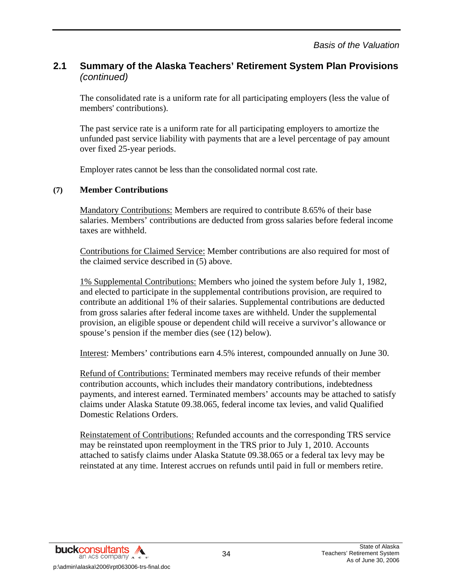The consolidated rate is a uniform rate for all participating employers (less the value of members' contributions).

The past service rate is a uniform rate for all participating employers to amortize the unfunded past service liability with payments that are a level percentage of pay amount over fixed 25-year periods.

Employer rates cannot be less than the consolidated normal cost rate.

### **(7) Member Contributions**

Mandatory Contributions: Members are required to contribute 8.65% of their base salaries. Members' contributions are deducted from gross salaries before federal income taxes are withheld.

Contributions for Claimed Service: Member contributions are also required for most of the claimed service described in (5) above.

1% Supplemental Contributions: Members who joined the system before July 1, 1982, and elected to participate in the supplemental contributions provision, are required to contribute an additional 1% of their salaries. Supplemental contributions are deducted from gross salaries after federal income taxes are withheld. Under the supplemental provision, an eligible spouse or dependent child will receive a survivor's allowance or spouse's pension if the member dies (see (12) below).

Interest: Members' contributions earn 4.5% interest, compounded annually on June 30.

Refund of Contributions: Terminated members may receive refunds of their member contribution accounts, which includes their mandatory contributions, indebtedness payments, and interest earned. Terminated members' accounts may be attached to satisfy claims under Alaska Statute 09.38.065, federal income tax levies, and valid Qualified Domestic Relations Orders.

Reinstatement of Contributions: Refunded accounts and the corresponding TRS service may be reinstated upon reemployment in the TRS prior to July 1, 2010. Accounts attached to satisfy claims under Alaska Statute 09.38.065 or a federal tax levy may be reinstated at any time. Interest accrues on refunds until paid in full or members retire.

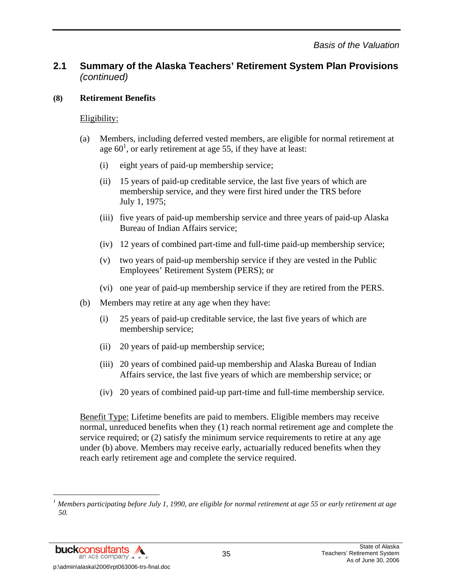### **(8) Retirement Benefits**

## Eligibility:

- (a) Members, including deferred vested members, are eligible for normal retirement at age  $60<sup>1</sup>$ , or early retirement at age 55, if they have at least:
	- (i) eight years of paid-up membership service;
	- (ii) 15 years of paid-up creditable service, the last five years of which are membership service, and they were first hired under the TRS before July 1, 1975;
	- (iii) five years of paid-up membership service and three years of paid-up Alaska Bureau of Indian Affairs service;
	- (iv) 12 years of combined part-time and full-time paid-up membership service;
	- (v) two years of paid-up membership service if they are vested in the Public Employees' Retirement System (PERS); or
	- (vi) one year of paid-up membership service if they are retired from the PERS.
- (b) Members may retire at any age when they have:
	- (i) 25 years of paid-up creditable service, the last five years of which are membership service;
	- (ii) 20 years of paid-up membership service;
	- (iii) 20 years of combined paid-up membership and Alaska Bureau of Indian Affairs service, the last five years of which are membership service; or
	- (iv) 20 years of combined paid-up part-time and full-time membership service.

Benefit Type: Lifetime benefits are paid to members. Eligible members may receive normal, unreduced benefits when they (1) reach normal retirement age and complete the service required; or (2) satisfy the minimum service requirements to retire at any age under (b) above. Members may receive early, actuarially reduced benefits when they reach early retirement age and complete the service required.

**buckconsultants** an ACS COMPANY A c p:\admin\alaska\2006\rpt063006-trs-final.doc

l

*<sup>1</sup> Members participating before July 1, 1990, are eligible for normal retirement at age 55 or early retirement at age 50.*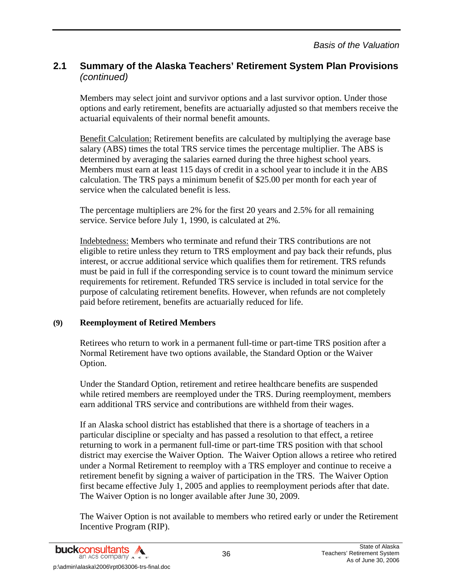Members may select joint and survivor options and a last survivor option. Under those options and early retirement, benefits are actuarially adjusted so that members receive the actuarial equivalents of their normal benefit amounts.

Benefit Calculation: Retirement benefits are calculated by multiplying the average base salary (ABS) times the total TRS service times the percentage multiplier. The ABS is determined by averaging the salaries earned during the three highest school years. Members must earn at least 115 days of credit in a school year to include it in the ABS calculation. The TRS pays a minimum benefit of \$25.00 per month for each year of service when the calculated benefit is less.

The percentage multipliers are 2% for the first 20 years and 2.5% for all remaining service. Service before July 1, 1990, is calculated at 2%.

Indebtedness: Members who terminate and refund their TRS contributions are not eligible to retire unless they return to TRS employment and pay back their refunds, plus interest, or accrue additional service which qualifies them for retirement. TRS refunds must be paid in full if the corresponding service is to count toward the minimum service requirements for retirement. Refunded TRS service is included in total service for the purpose of calculating retirement benefits. However, when refunds are not completely paid before retirement, benefits are actuarially reduced for life.

### **(9) Reemployment of Retired Members**

Retirees who return to work in a permanent full-time or part-time TRS position after a Normal Retirement have two options available, the Standard Option or the Waiver Option.

Under the Standard Option, retirement and retiree healthcare benefits are suspended while retired members are reemployed under the TRS. During reemployment, members earn additional TRS service and contributions are withheld from their wages.

If an Alaska school district has established that there is a shortage of teachers in a particular discipline or specialty and has passed a resolution to that effect, a retiree returning to work in a permanent full-time or part-time TRS position with that school district may exercise the Waiver Option. The Waiver Option allows a retiree who retired under a Normal Retirement to reemploy with a TRS employer and continue to receive a retirement benefit by signing a waiver of participation in the TRS. The Waiver Option first became effective July 1, 2005 and applies to reemployment periods after that date. The Waiver Option is no longer available after June 30, 2009.

The Waiver Option is not available to members who retired early or under the Retirement Incentive Program (RIP).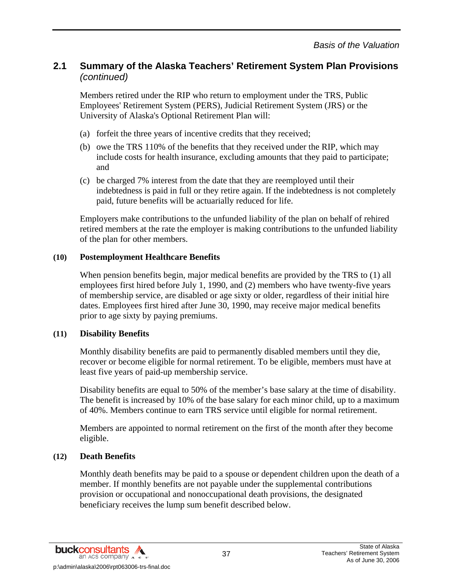Members retired under the RIP who return to employment under the TRS, Public Employees' Retirement System (PERS), Judicial Retirement System (JRS) or the University of Alaska's Optional Retirement Plan will:

- (a) forfeit the three years of incentive credits that they received;
- (b) owe the TRS 110% of the benefits that they received under the RIP, which may include costs for health insurance, excluding amounts that they paid to participate; and
- (c) be charged 7% interest from the date that they are reemployed until their indebtedness is paid in full or they retire again. If the indebtedness is not completely paid, future benefits will be actuarially reduced for life.

Employers make contributions to the unfunded liability of the plan on behalf of rehired retired members at the rate the employer is making contributions to the unfunded liability of the plan for other members.

### **(10) Postemployment Healthcare Benefits**

When pension benefits begin, major medical benefits are provided by the TRS to (1) all employees first hired before July 1, 1990, and (2) members who have twenty-five years of membership service, are disabled or age sixty or older, regardless of their initial hire dates. Employees first hired after June 30, 1990, may receive major medical benefits prior to age sixty by paying premiums.

### **(11) Disability Benefits**

Monthly disability benefits are paid to permanently disabled members until they die, recover or become eligible for normal retirement. To be eligible, members must have at least five years of paid-up membership service.

Disability benefits are equal to 50% of the member's base salary at the time of disability. The benefit is increased by 10% of the base salary for each minor child, up to a maximum of 40%. Members continue to earn TRS service until eligible for normal retirement.

Members are appointed to normal retirement on the first of the month after they become eligible.

### **(12) Death Benefits**

Monthly death benefits may be paid to a spouse or dependent children upon the death of a member. If monthly benefits are not payable under the supplemental contributions provision or occupational and nonoccupational death provisions, the designated beneficiary receives the lump sum benefit described below.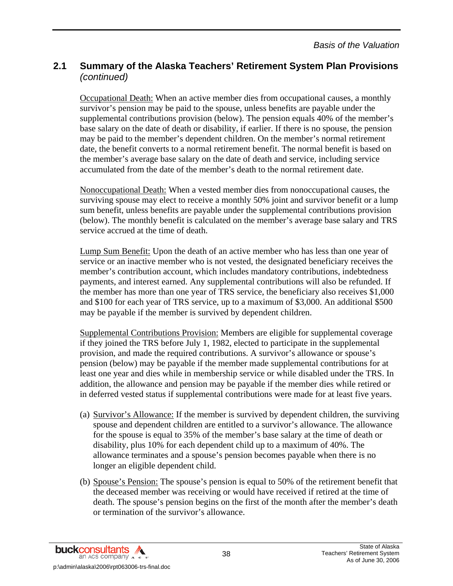Occupational Death: When an active member dies from occupational causes, a monthly survivor's pension may be paid to the spouse, unless benefits are payable under the supplemental contributions provision (below). The pension equals 40% of the member's base salary on the date of death or disability, if earlier. If there is no spouse, the pension may be paid to the member's dependent children. On the member's normal retirement date, the benefit converts to a normal retirement benefit. The normal benefit is based on the member's average base salary on the date of death and service, including service accumulated from the date of the member's death to the normal retirement date.

Nonoccupational Death: When a vested member dies from nonoccupational causes, the surviving spouse may elect to receive a monthly 50% joint and survivor benefit or a lump sum benefit, unless benefits are payable under the supplemental contributions provision (below). The monthly benefit is calculated on the member's average base salary and TRS service accrued at the time of death.

Lump Sum Benefit: Upon the death of an active member who has less than one year of service or an inactive member who is not vested, the designated beneficiary receives the member's contribution account, which includes mandatory contributions, indebtedness payments, and interest earned. Any supplemental contributions will also be refunded. If the member has more than one year of TRS service, the beneficiary also receives \$1,000 and \$100 for each year of TRS service, up to a maximum of \$3,000. An additional \$500 may be payable if the member is survived by dependent children.

Supplemental Contributions Provision: Members are eligible for supplemental coverage if they joined the TRS before July 1, 1982, elected to participate in the supplemental provision, and made the required contributions. A survivor's allowance or spouse's pension (below) may be payable if the member made supplemental contributions for at least one year and dies while in membership service or while disabled under the TRS. In addition, the allowance and pension may be payable if the member dies while retired or in deferred vested status if supplemental contributions were made for at least five years.

- (a) Survivor's Allowance: If the member is survived by dependent children, the surviving spouse and dependent children are entitled to a survivor's allowance. The allowance for the spouse is equal to 35% of the member's base salary at the time of death or disability, plus 10% for each dependent child up to a maximum of 40%. The allowance terminates and a spouse's pension becomes payable when there is no longer an eligible dependent child.
- (b) Spouse's Pension: The spouse's pension is equal to 50% of the retirement benefit that the deceased member was receiving or would have received if retired at the time of death. The spouse's pension begins on the first of the month after the member's death or termination of the survivor's allowance.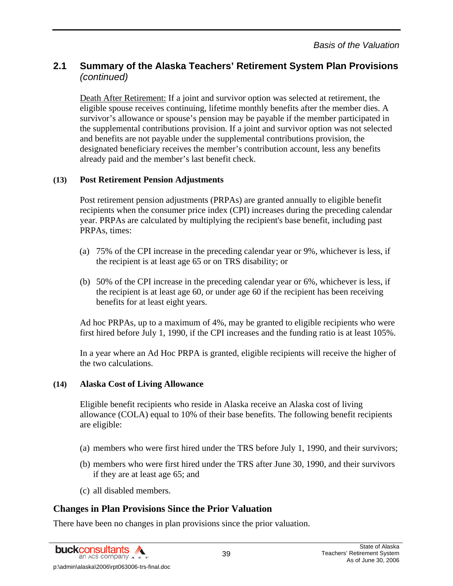Death After Retirement: If a joint and survivor option was selected at retirement, the eligible spouse receives continuing, lifetime monthly benefits after the member dies. A survivor's allowance or spouse's pension may be payable if the member participated in the supplemental contributions provision. If a joint and survivor option was not selected and benefits are not payable under the supplemental contributions provision, the designated beneficiary receives the member's contribution account, less any benefits already paid and the member's last benefit check.

### **(13) Post Retirement Pension Adjustments**

Post retirement pension adjustments (PRPAs) are granted annually to eligible benefit recipients when the consumer price index (CPI) increases during the preceding calendar year. PRPAs are calculated by multiplying the recipient's base benefit, including past PRPAs, times:

- (a) 75% of the CPI increase in the preceding calendar year or 9%, whichever is less, if the recipient is at least age 65 or on TRS disability; or
- (b) 50% of the CPI increase in the preceding calendar year or 6%, whichever is less, if the recipient is at least age 60, or under age 60 if the recipient has been receiving benefits for at least eight years.

Ad hoc PRPAs, up to a maximum of 4%, may be granted to eligible recipients who were first hired before July 1, 1990, if the CPI increases and the funding ratio is at least 105%.

In a year where an Ad Hoc PRPA is granted, eligible recipients will receive the higher of the two calculations.

### **(14) Alaska Cost of Living Allowance**

Eligible benefit recipients who reside in Alaska receive an Alaska cost of living allowance (COLA) equal to 10% of their base benefits. The following benefit recipients are eligible:

- (a) members who were first hired under the TRS before July 1, 1990, and their survivors;
- (b) members who were first hired under the TRS after June 30, 1990, and their survivors if they are at least age 65; and
- (c) all disabled members.

## **Changes in Plan Provisions Since the Prior Valuation**

There have been no changes in plan provisions since the prior valuation.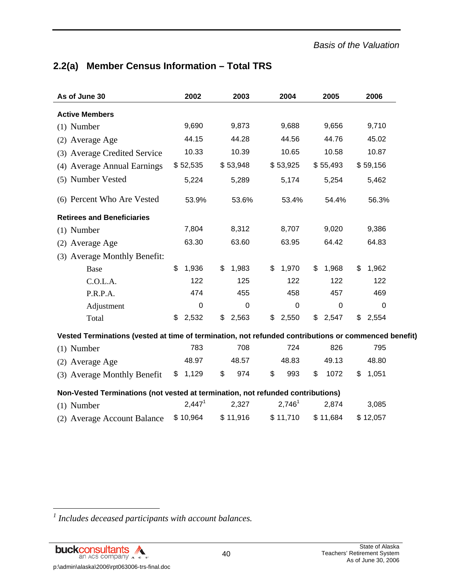# **2.2(a) Member Census Information – Total TRS**

| As of June 30                                                                                        | 2002               | 2003        | 2004               | 2005           | 2006        |
|------------------------------------------------------------------------------------------------------|--------------------|-------------|--------------------|----------------|-------------|
| <b>Active Members</b>                                                                                |                    |             |                    |                |             |
| $(1)$ Number                                                                                         | 9,690              | 9,873       | 9,688              | 9,656          | 9,710       |
| (2) Average Age                                                                                      | 44.15              | 44.28       | 44.56              | 44.76          | 45.02       |
| (3) Average Credited Service                                                                         | 10.33              | 10.39       | 10.65              | 10.58          | 10.87       |
| (4) Average Annual Earnings                                                                          | \$52,535           | \$53,948    | \$53,925           | \$55,493       | \$59,156    |
| (5) Number Vested                                                                                    | 5,224              | 5,289       | 5,174              | 5,254          | 5,462       |
| (6) Percent Who Are Vested                                                                           | 53.9%              | 53.6%       | 53.4%              | 54.4%          | 56.3%       |
| <b>Retirees and Beneficiaries</b>                                                                    |                    |             |                    |                |             |
| $(1)$ Number                                                                                         | 7,804              | 8,312       | 8,707              | 9,020          | 9,386       |
| (2) Average Age                                                                                      | 63.30              | 63.60       | 63.95              | 64.42          | 64.83       |
| (3) Average Monthly Benefit:                                                                         |                    |             |                    |                |             |
| Base                                                                                                 | \$<br>1,936        | 1,983<br>\$ | 1,970<br>\$        | \$<br>1,968    | \$<br>1,962 |
| C.O.L.A.                                                                                             | 122                | 125         | 122                | 122            | 122         |
| P.R.P.A.                                                                                             | 474                | 455         | 458                | 457            | 469         |
| Adjustment                                                                                           | $\mathbf 0$        | $\mathbf 0$ | $\mathbf 0$        | $\overline{0}$ | $\mathbf 0$ |
| Total                                                                                                | \$<br>2,532        | \$<br>2,563 | 2,550<br>\$        | \$<br>2,547    | 2,554<br>\$ |
| Vested Terminations (vested at time of termination, not refunded contributions or commenced benefit) |                    |             |                    |                |             |
| $(1)$ Number                                                                                         | 783                | 708         | 724                | 826            | 795         |
| (2) Average Age                                                                                      | 48.97              | 48.57       | 48.83              | 49.13          | 48.80       |
| (3) Average Monthly Benefit                                                                          | \$<br>1,129        | \$<br>974   | \$<br>993          | \$<br>1072     | \$<br>1,051 |
| Non-Vested Terminations (not vested at termination, not refunded contributions)                      |                    |             |                    |                |             |
| $(1)$ Number                                                                                         | 2,447 <sup>1</sup> | 2,327       | 2,746 <sup>1</sup> | 2,874          | 3,085       |
| (2) Average Account Balance                                                                          | \$10,964           | \$11,916    | \$11,710           | \$11,684       | \$12,057    |

*<sup>1</sup> Includes deceased participants with account balances.* 



l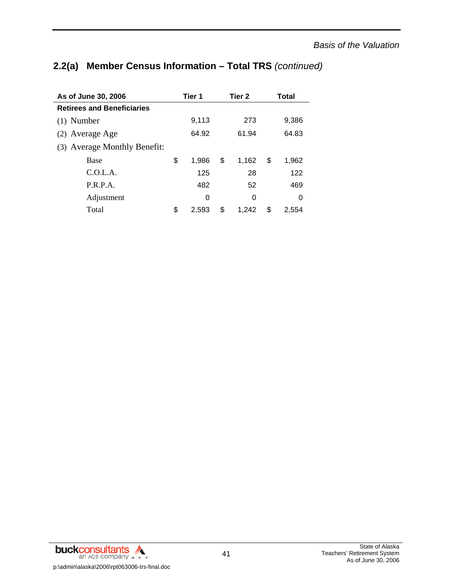# **2.2(a) Member Census Information – Total TRS** *(continued)*

| As of June 30, 2006               | Tier 1      | Tier 2      |    | Total |
|-----------------------------------|-------------|-------------|----|-------|
| <b>Retirees and Beneficiaries</b> |             |             |    |       |
| $(1)$ Number                      | 9,113       | 273         |    | 9,386 |
| (2) Average Age                   | 64.92       | 61.94       |    | 64.83 |
| (3) Average Monthly Benefit:      |             |             |    |       |
| <b>Base</b>                       | \$<br>1.986 | \$<br>1.162 | \$ | 1,962 |
| C.0.L.A.                          | 125         | 28          |    | 122   |
| P.R.P.A.                          | 482         | 52          |    | 469   |
| Adjustment                        | 0           | 0           |    | 0     |
| Total                             | \$<br>2.593 | \$<br>1.242 | S  | 2.554 |

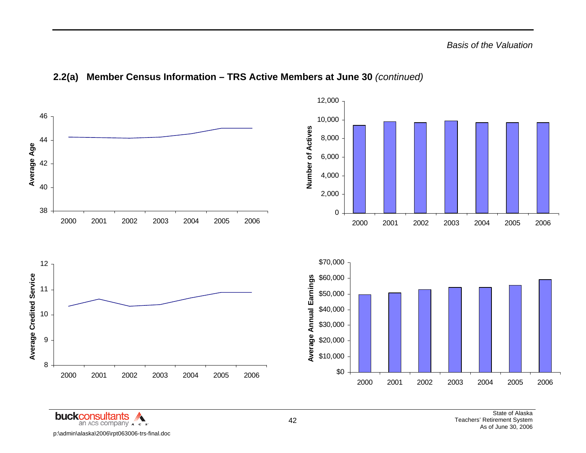

## **2.2(a) Member Census Information – TRS Active Members at June 30** *(continued)*

buckconsultants ' an ACS company  $\lambda$   $\epsilon$   $\epsilon$ p:\admin\alaska\2006\rpt063006-trs-final.doc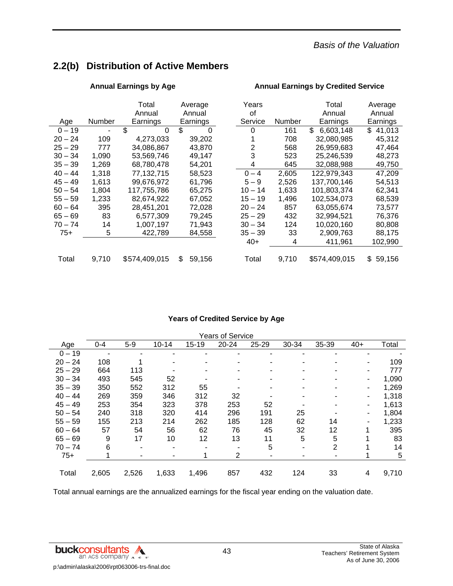# **2.2(b) Distribution of Active Members**

|           |        | Total         | Average        | Years     |        | Total           | Average      |
|-----------|--------|---------------|----------------|-----------|--------|-----------------|--------------|
|           |        | Annual        | Annual         | οf        |        | Annual          | Annual       |
| Age       | Number | Earnings      | Earnings       | Service   | Number | Earnings        | Earnings     |
| $0 - 19$  |        | \$<br>0       | \$<br>$\Omega$ | 0         | 161    | \$<br>6,603,148 | \$41,013     |
| 20 – 24   | 109    | 4,273,033     | 39,202         |           | 708    | 32,080,985      | 45,312       |
| 25 – 29   | 777    | 34,086,867    | 43,870         | 2         | 568    | 26,959,683      | 47,464       |
| 30 – 34   | 1,090  | 53,569,746    | 49,147         | 3         | 523    | 25,246,539      | 48,273       |
| 35 – 39   | 1,269  | 68,780,478    | 54,201         | 4         | 645    | 32,088,988      | 49,750       |
| 40 – 44   | 1.318  | 77,132,715    | 58,523         | $0 - 4$   | 2,605  | 122,979,343     | 47,209       |
| 45 – 49   | 1.613  | 99,676,972    | 61,796         | $5 - 9$   | 2,526  | 137,700,146     | 54,513       |
| $50 - 54$ | 1,804  | 117,755,786   | 65,275         | $10 - 14$ | 1,633  | 101,803,374     | 62,341       |
| 55 – 59   | 1,233  | 82,674,922    | 67,052         | $15 - 19$ | 1,496  | 102,534,073     | 68,539       |
| 60 – 64   | 395    | 28,451,201    | 72,028         | $20 - 24$ | 857    | 63,055,674      | 73,577       |
| 65 – 69   | 83     | 6,577,309     | 79,245         | $25 - 29$ | 432    | 32,994,521      | 76,376       |
| 70 – 74   | 14     | 1,007,197     | 71.943         | $30 - 34$ | 124    | 10,020,160      | 80,808       |
| $75+$     | 5      | 422,789       | 84,558         | $35 - 39$ | 33     | 2,909,763       | 88,175       |
|           |        |               |                | $40+$     | 4      | 411,961         | 102,990      |
|           |        |               |                |           |        |                 |              |
| Total     | 9,710  | \$574,409,015 | \$<br>59,156   | Total     | 9,710  | \$574,409,015   | \$<br>59,156 |

### Annual Earnings by Age **Annual Earnings by Credited Service Annual Earnings by Credited Service**

### **Years of Credited Service by Age**

|           |         |       |           |       | <b>Years of Service</b> |           |       |                |       |       |
|-----------|---------|-------|-----------|-------|-------------------------|-----------|-------|----------------|-------|-------|
| Age       | $0 - 4$ | $5-9$ | $10 - 14$ | 15-19 | $20 - 24$               | $25 - 29$ | 30-34 | 35-39          | $40+$ | Total |
| $0 - 19$  |         |       |           |       |                         | ۰         |       |                |       |       |
| $20 - 24$ | 108     |       |           |       |                         |           |       |                |       | 109   |
| $25 - 29$ | 664     | 113   |           |       |                         |           |       |                |       | 777   |
| $30 - 34$ | 493     | 545   | 52        |       |                         | ٠         | -     |                |       | 1,090 |
| $35 - 39$ | 350     | 552   | 312       | 55    |                         |           |       |                |       | 1,269 |
| $40 - 44$ | 269     | 359   | 346       | 312   | 32                      |           |       |                |       | 1,318 |
| $45 - 49$ | 253     | 354   | 323       | 378   | 253                     | 52        |       |                |       | 1,613 |
| $50 - 54$ | 240     | 318   | 320       | 414   | 296                     | 191       | 25    |                |       | 1,804 |
| $55 - 59$ | 155     | 213   | 214       | 262   | 185                     | 128       | 62    | 14             |       | 1,233 |
| $60 - 64$ | 57      | 54    | 56        | 62    | 76                      | 45        | 32    | 12             |       | 395   |
| $65 - 69$ | 9       | 17    | 10        | 12    | 13                      | 11        | 5     | 5              | 4     | 83    |
| $70 - 74$ | 6       | ٠     | -         |       |                         | 5         | ۰     | $\overline{2}$ |       | 14    |
| $75+$     |         |       |           |       | 2                       | ۰         |       |                |       | 5     |
|           |         |       |           |       |                         |           |       |                |       |       |
| Total     | 2,605   | 2,526 | 1,633     | 1,496 | 857                     | 432       | 124   | 33             | 4     | 9,710 |

Total annual earnings are the annualized earnings for the fiscal year ending on the valuation date.

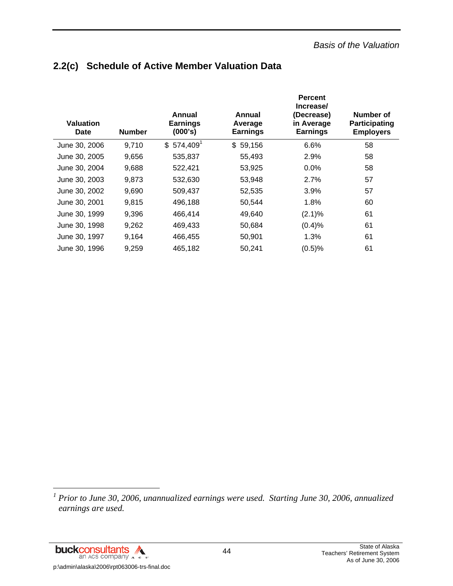# **2.2(c) Schedule of Active Member Valuation Data**

| <b>Valuation</b><br><b>Date</b> | <b>Number</b> | Annual<br><b>Earnings</b><br>(000's) | Annual<br>Average<br><b>Earnings</b> | <b>Percent</b><br>Increase/<br>(Decrease)<br>in Average<br><b>Earnings</b> | Number of<br>Participating<br><b>Employers</b> |
|---------------------------------|---------------|--------------------------------------|--------------------------------------|----------------------------------------------------------------------------|------------------------------------------------|
| June 30, 2006                   | 9,710         | $$574,409$ <sup>1</sup>              | \$59,156                             | 6.6%                                                                       | 58                                             |
| June 30, 2005                   | 9,656         | 535,837                              | 55,493                               | 2.9%                                                                       | 58                                             |
| June 30, 2004                   | 9,688         | 522,421                              | 53,925                               | 0.0%                                                                       | 58                                             |
| June 30, 2003                   | 9,873         | 532,630                              | 53,948                               | 2.7%                                                                       | 57                                             |
| June 30, 2002                   | 9,690         | 509,437                              | 52,535                               | 3.9%                                                                       | 57                                             |
| June 30, 2001                   | 9,815         | 496,188                              | 50,544                               | 1.8%                                                                       | 60                                             |
| June 30, 1999                   | 9,396         | 466,414                              | 49,640                               | (2.1)%                                                                     | 61                                             |
| June 30, 1998                   | 9,262         | 469,433                              | 50,684                               | (0.4)%                                                                     | 61                                             |
| June 30, 1997                   | 9,164         | 466,455                              | 50,901                               | 1.3%                                                                       | 61                                             |
| June 30, 1996                   | 9,259         | 465,182                              | 50,241                               | (0.5)%                                                                     | 61                                             |

<sup>1</sup> Prior to June 30, 2006, unannualized earnings were used. Starting June 30, 2006, annualized *earnings are used.* 

buckconsultants p:\admin\alaska\2006\rpt063006-trs-final.doc

l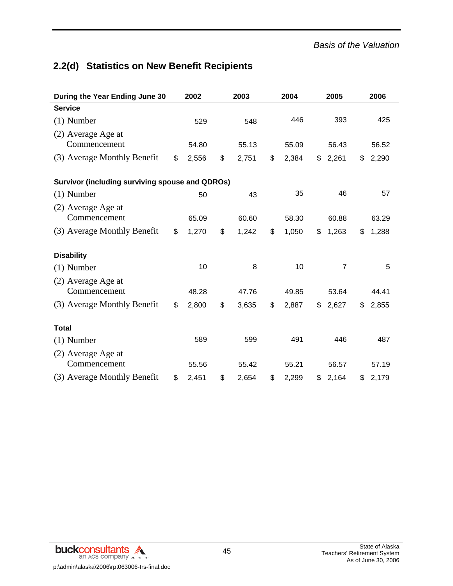# **2.2(d) Statistics on New Benefit Recipients**

| During the Year Ending June 30                         | 2002        | 2003        | 2004        | 2005           | 2006        |
|--------------------------------------------------------|-------------|-------------|-------------|----------------|-------------|
| <b>Service</b>                                         |             |             |             |                |             |
| $(1)$ Number                                           | 529         | 548         | 446         | 393            | 425         |
| (2) Average Age at<br>Commencement                     | 54.80       | 55.13       | 55.09       | 56.43          | 56.52       |
| (3) Average Monthly Benefit                            | \$<br>2,556 | \$<br>2,751 | \$<br>2,384 | \$<br>2,261    | \$<br>2,290 |
| <b>Survivor (including surviving spouse and QDROs)</b> |             |             |             |                |             |
| $(1)$ Number                                           | 50          | 43          | 35          | 46             | 57          |
| (2) Average Age at<br>Commencement                     | 65.09       | 60.60       | 58.30       | 60.88          | 63.29       |
| (3) Average Monthly Benefit                            | \$<br>1,270 | \$<br>1,242 | \$<br>1,050 | \$<br>1,263    | \$<br>1,288 |
| <b>Disability</b>                                      |             |             |             |                |             |
| $(1)$ Number                                           | 10          | 8           | 10          | $\overline{7}$ | 5           |
| (2) Average Age at<br>Commencement                     | 48.28       | 47.76       | 49.85       | 53.64          | 44.41       |
| (3) Average Monthly Benefit                            | \$<br>2,800 | \$<br>3,635 | \$<br>2,887 | \$<br>2,627    | \$<br>2,855 |
| <b>Total</b>                                           |             |             |             |                |             |
| $(1)$ Number                                           | 589         | 599         | 491         | 446            | 487         |
| (2) Average Age at<br>Commencement                     | 55.56       | 55.42       | 55.21       | 56.57          | 57.19       |
| (3) Average Monthly Benefit                            | \$<br>2,451 | \$<br>2,654 | \$<br>2,299 | \$<br>2,164    | \$<br>2,179 |

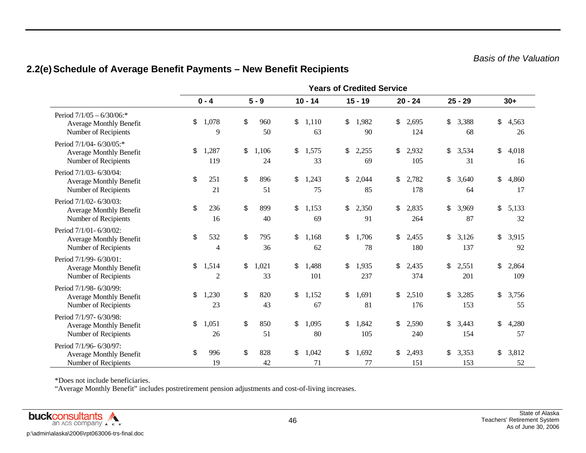## **2.2(e) Schedule of Average Benefit Payments – New Benefit Recipients**

|                                                                                        |                    |                   |                    | <b>Years of Credited Service</b> |                    |                    |                    |
|----------------------------------------------------------------------------------------|--------------------|-------------------|--------------------|----------------------------------|--------------------|--------------------|--------------------|
|                                                                                        | $0 - 4$            | $5 - 9$           | $10 - 14$          | $15 - 19$                        | $20 - 24$          | $25 - 29$          | $30+$              |
| Period $7/1/05 - 6/30/06$ :*<br><b>Average Monthly Benefit</b><br>Number of Recipients | \$<br>1,078<br>9   | \$<br>960<br>50   | \$<br>1,110<br>63  | \$<br>1,982<br>90                | \$<br>2,695<br>124 | \$<br>3,388<br>68  | \$<br>4,563<br>26  |
| Period 7/1/04-6/30/05:*<br><b>Average Monthly Benefit</b><br>Number of Recipients      | \$<br>1,287<br>119 | \$<br>1,106<br>24 | \$<br>1,575<br>33  | \$<br>2,255<br>69                | \$<br>2,932<br>105 | \$<br>3,534<br>31  | \$<br>4,018<br>16  |
| Period 7/1/03-6/30/04:<br><b>Average Monthly Benefit</b><br>Number of Recipients       | \$<br>251<br>21    | \$<br>896<br>51   | \$<br>1,243<br>75  | \$<br>2,044<br>85                | \$<br>2,782<br>178 | \$<br>3,640<br>64  | \$<br>4,860<br>17  |
| Period 7/1/02-6/30/03:<br><b>Average Monthly Benefit</b><br>Number of Recipients       | \$<br>236<br>16    | \$<br>899<br>40   | \$<br>1,153<br>69  | \$<br>2,350<br>91                | \$<br>2,835<br>264 | \$<br>3,969<br>87  | \$<br>5,133<br>32  |
| Period 7/1/01-6/30/02:<br><b>Average Monthly Benefit</b><br>Number of Recipients       | \$<br>532<br>4     | \$<br>795<br>36   | \$<br>1,168<br>62  | \$<br>1,706<br>78                | \$<br>2,455<br>180 | \$<br>3,126<br>137 | \$<br>3,915<br>92  |
| Period 7/1/99-6/30/01:<br><b>Average Monthly Benefit</b><br>Number of Recipients       | \$<br>1,514<br>2   | \$<br>1,021<br>33 | \$<br>1,488<br>101 | \$<br>1,935<br>237               | \$<br>2,435<br>374 | \$<br>2,551<br>201 | \$<br>2,864<br>109 |
| Period 7/1/98-6/30/99:<br><b>Average Monthly Benefit</b><br>Number of Recipients       | \$<br>1,230<br>23  | \$<br>820<br>43   | \$<br>1,152<br>67  | \$<br>1,691<br>81                | \$<br>2,510<br>176 | \$<br>3,285<br>153 | \$<br>3,756<br>55  |
| Period 7/1/97-6/30/98:<br><b>Average Monthly Benefit</b><br>Number of Recipients       | \$<br>1,051<br>26  | \$<br>850<br>51   | \$<br>1,095<br>80  | \$<br>1,842<br>105               | \$<br>2,590<br>240 | \$<br>3,443<br>154 | \$<br>4,280<br>57  |
| Period 7/1/96-6/30/97:<br><b>Average Monthly Benefit</b><br>Number of Recipients       | \$<br>996<br>19    | \$<br>828<br>42   | \$<br>1,042<br>71  | \$<br>1,692<br>77                | \$<br>2,493<br>151 | \$<br>3,353<br>153 | \$<br>3,812<br>52  |

\*Does not include beneficiaries.

"Average Monthly Benefit" includes postretirement pension adjustments and cost-of-living increases.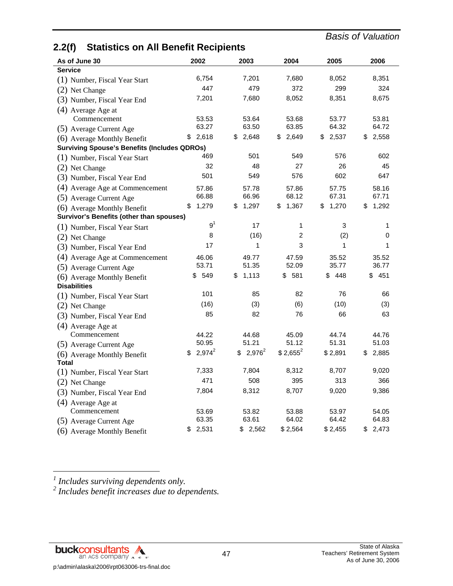# **2.2(f) Statistics on All Benefit Recipients**

| As of June 30                                       | 2002            | 2003        | 2004        | 2005        | 2006        |
|-----------------------------------------------------|-----------------|-------------|-------------|-------------|-------------|
| <b>Service</b>                                      |                 |             |             |             |             |
| (1) Number, Fiscal Year Start                       | 6,754           | 7,201       | 7,680       | 8,052       | 8,351       |
| (2) Net Change                                      | 447             | 479         | 372         | 299         | 324         |
| (3) Number, Fiscal Year End                         | 7,201           | 7,680       | 8,052       | 8,351       | 8,675       |
| (4) Average Age at                                  |                 |             |             |             |             |
| Commencement                                        | 53.53           | 53.64       | 53.68       | 53.77       | 53.81       |
| (5) Average Current Age                             | 63.27           | 63.50       | 63.85       | 64.32       | 64.72       |
| (6) Average Monthly Benefit                         | \$2,618         | 2,648<br>\$ | 2,649<br>\$ | 2,537<br>\$ | 2,558<br>\$ |
| <b>Surviving Spouse's Benefits (Includes QDROs)</b> |                 |             |             |             |             |
| (1) Number, Fiscal Year Start                       | 469             | 501         | 549         | 576         | 602         |
| (2) Net Change                                      | 32              | 48          | 27          | 26          | 45          |
| (3) Number, Fiscal Year End                         | 501             | 549         | 576         | 602         | 647         |
| (4) Average Age at Commencement                     | 57.86           | 57.78       | 57.86       | 57.75       | 58.16       |
| (5) Average Current Age                             | 66.88           | 66.96       | 68.12       | 67.31       | 67.71       |
| (6) Average Monthly Benefit                         | 1,279<br>\$     | 1,297<br>\$ | 1,367<br>\$ | 1,270<br>\$ | \$<br>1,292 |
| Survivor's Benefits (other than spouses)            |                 |             |             |             |             |
| (1) Number, Fiscal Year Start                       | 9 <sup>1</sup>  | 17          | 1           | 3           | 1           |
| (2) Net Change                                      | 8               | (16)        | 2           | (2)         | 0           |
| (3) Number, Fiscal Year End                         | 17              | 1           | 3           | 1           | 1           |
| (4) Average Age at Commencement                     | 46.06           | 49.77       | 47.59       | 35.52       | 35.52       |
| (5) Average Current Age                             | 53.71           | 51.35       | 52.09       | 35.77       | 36.77       |
| (6) Average Monthly Benefit                         | 549<br>\$       | 1,113<br>\$ | 581<br>\$   | 448<br>\$   | - 451<br>\$ |
| <b>Disabilities</b>                                 |                 |             |             |             |             |
| (1) Number, Fiscal Year Start                       | 101             | 85          | 82          | 76          | 66          |
| (2) Net Change                                      | (16)            | (3)         | (6)         | (10)        | (3)         |
| (3) Number, Fiscal Year End                         | 85              | 82          | 76          | 66          | 63          |
| (4) Average Age at                                  |                 |             |             |             |             |
| Commencement                                        | 44.22           | 44.68       | 45.09       | 44.74       | 44.76       |
| (5) Average Current Age                             | 50.95           | 51.21       | 51.12       | 51.31       | 51.03       |
| (6) Average Monthly Benefit                         | $2,974^2$<br>\$ | $$2,976^2$  | $$2,655^2$  | \$2,891     | 2,885<br>\$ |
| <b>Total</b>                                        |                 |             |             |             |             |
| (1) Number, Fiscal Year Start                       | 7,333           | 7,804       | 8,312       | 8,707       | 9,020       |
| (2) Net Change                                      | 471             | 508         | 395         | 313         | 366         |
| (3) Number, Fiscal Year End                         | 7,804           | 8,312       | 8,707       | 9,020       | 9,386       |
| (4) Average Age at                                  |                 |             |             |             |             |
| Commencement                                        | 53.69           | 53.82       | 53.88       | 53.97       | 54.05       |
| (5) Average Current Age                             | 63.35           | 63.61       | 64.02       | 64.42       | 64.83       |
| (6) Average Monthly Benefit                         | \$2,531         | \$2,562     | \$2,564     | \$2,455     | 2,473<br>\$ |

l

<sup>1</sup> Includes surviving dependents only.<br><sup>2</sup> Includes benefit increases due to dependents.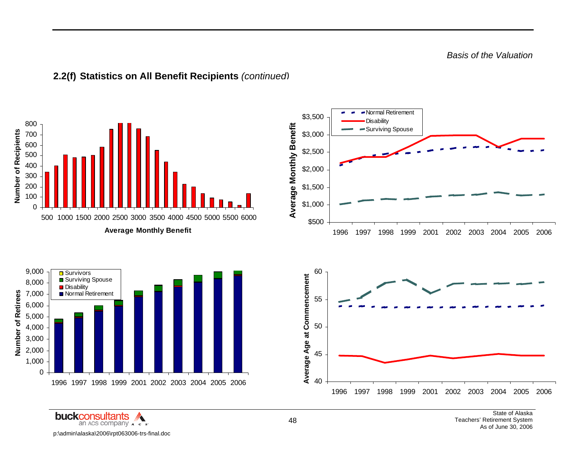*Basis of the Valuation* 



**2.2(f) Statistics on All Benefit Recipients** *(continued)* 

**buckconsultants**  $\mathbb{Z}$ an ACS COMPANY A c s p:\admin\alaska\2006\rpt063006-trs-final.doc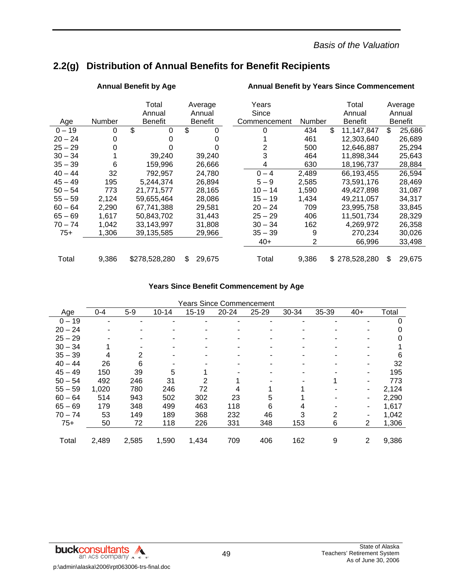*Basis of the Valuation* 

# **2.2(g) Distribution of Annual Benefits for Benefit Recipients**

|           |               | Total<br>Annual | Average<br>Annual | Years<br>Since |                | Total<br>Annual  |     | Average<br>Annual |
|-----------|---------------|-----------------|-------------------|----------------|----------------|------------------|-----|-------------------|
| Age       | <b>Number</b> | <b>Benefit</b>  | <b>Benefit</b>    | Commencement   | Number         | <b>Benefit</b>   |     | Benefit           |
| $0 - 19$  | 0             | \$<br>$\Omega$  | \$<br>0           | 0              | 434            | \$<br>11,147,847 | \$. | 25,686            |
| $20 - 24$ | 0             | 0               |                   |                | 461            | 12,303,640       |     | 26,689            |
| $25 - 29$ | 0             |                 |                   | 2              | 500            | 12,646,887       |     | 25,294            |
| $30 - 34$ |               | 39,240          | 39,240            | 3              | 464            | 11,898,344       |     | 25,643            |
| $35 - 39$ | 6             | 159,996         | 26,666            | 4              | 630            | 18,196,737       |     | 28,884            |
| $40 - 44$ | 32            | 792,957         | 24,780            | $0 - 4$        | 2,489          | 66,193,455       |     | 26,594            |
| $45 - 49$ | 195           | 5,244,374       | 26,894            | $5 - 9$        | 2,585          | 73.591.176       |     | 28.469            |
| $50 - 54$ | 773           | 21,771,577      | 28,165            | $10 - 14$      | 1,590          | 49,427,898       |     | 31,087            |
| $55 - 59$ | 2,124         | 59,655,464      | 28,086            | $15 - 19$      | 1,434          | 49,211,057       |     | 34,317            |
| $60 - 64$ | 2,290         | 67,741,388      | 29.581            | $20 - 24$      | 709            | 23,995,758       |     | 33,845            |
| $65 - 69$ | 1,617         | 50,843,702      | 31,443            | $25 - 29$      | 406            | 11,501,734       |     | 28,329            |
| $70 - 74$ | 1,042         | 33,143,997      | 31,808            | $30 - 34$      | 162            | 4,269,972        |     | 26,358            |
| $75+$     | 1,306         | 39,135,585      | 29,966            | $35 - 39$      | 9              | 270,234          |     | 30,026            |
|           |               |                 |                   | $40+$          | $\overline{2}$ | 66,996           |     | 33,498            |
| Total     | 9,386         | \$278,528,280   | 29.675<br>\$.     | Total          | 9,386          | \$278,528,280    | \$  | 29,675            |

### Annual Benefit by Age **Annual Benefit by Years Since Commencement**

### **Years Since Benefit Commencement by Age**

|           |         |       |           |       | rears Since Commencement |       |       |       |       |       |
|-----------|---------|-------|-----------|-------|--------------------------|-------|-------|-------|-------|-------|
| Age       | $0 - 4$ | $5-9$ | $10 - 14$ | 15-19 | $20 - 24$                | 25-29 | 30-34 | 35-39 | $40+$ | Total |
| $0 - 19$  |         |       |           |       |                          |       |       |       |       | 0     |
| $20 - 24$ |         |       |           |       |                          |       |       |       |       |       |
| $25 - 29$ |         |       |           |       |                          |       |       |       |       | 0     |
| $30 - 34$ |         |       |           |       |                          |       |       |       |       |       |
| $35 - 39$ | 4       | 2     |           |       |                          |       |       |       |       | 6     |
| $40 - 44$ | 26      | 6     |           |       |                          |       |       |       |       | 32    |
| $45 - 49$ | 150     | 39    | 5         |       |                          |       |       |       |       | 195   |
| $50 - 54$ | 492     | 246   | 31        | 2     |                          |       |       |       |       | 773   |
| $55 - 59$ | 1,020   | 780   | 246       | 72    |                          |       |       |       |       | 2,124 |
| $60 - 64$ | 514     | 943   | 502       | 302   | 23                       | 5     |       |       |       | 2,290 |
| $65 - 69$ | 179     | 348   | 499       | 463   | 118                      | 6     | 4     |       |       | 1,617 |
| $70 - 74$ | 53      | 149   | 189       | 368   | 232                      | 46    | 3     | 2     |       | 1,042 |
| $75+$     | 50      | 72    | 118       | 226   | 331                      | 348   | 153   | 6     | 2     | 1,306 |
|           |         |       |           |       |                          |       |       |       |       |       |
| Total     | 2,489   | 2,585 | 1,590     | 1,434 | 709                      | 406   | 162   | 9     | 2     | 9,386 |

### Years Since Commencement

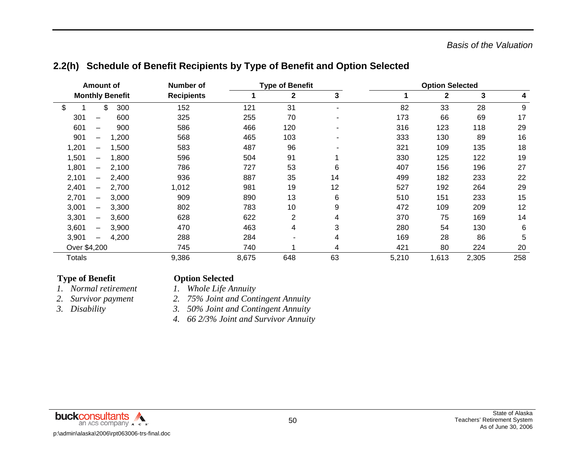| <b>Amount of</b>                           | Number of         |       | <b>Type of Benefit</b> |    |       | <b>Option Selected</b> |       |     |
|--------------------------------------------|-------------------|-------|------------------------|----|-------|------------------------|-------|-----|
| <b>Monthly Benefit</b>                     | <b>Recipients</b> | 1     | $\mathbf{2}$           | 3  |       | 2                      | 3     | 4   |
| \$<br>\$<br>300                            | 152               | 121   | 31                     |    | 82    | 33                     | 28    | 9   |
| 301<br>600                                 | 325               | 255   | 70                     |    | 173   | 66                     | 69    | 17  |
| 601<br>900                                 | 586               | 466   | 120                    |    | 316   | 123                    | 118   | 29  |
| 901<br>1,200<br>$\qquad \qquad -$          | 568               | 465   | 103                    |    | 333   | 130                    | 89    | 16  |
| 1,201<br>1,500<br>$\qquad \qquad -$        | 583               | 487   | 96                     |    | 321   | 109                    | 135   | 18  |
| 1,501<br>1,800<br>$\qquad \qquad -$        | 596               | 504   | 91                     | 1  | 330   | 125                    | 122   | 19  |
| 1,801<br>2,100<br>$\overline{\phantom{0}}$ | 786               | 727   | 53                     | 6  | 407   | 156                    | 196   | 27  |
| 2,101<br>2,400<br>$\overline{\phantom{0}}$ | 936               | 887   | 35                     | 14 | 499   | 182                    | 233   | 22  |
| 2,401<br>2,700<br>$\overline{\phantom{0}}$ | 1,012             | 981   | 19                     | 12 | 527   | 192                    | 264   | 29  |
| 2,701<br>3,000<br>$\overline{\phantom{0}}$ | 909               | 890   | 13                     | 6  | 510   | 151                    | 233   | 15  |
| 3,001<br>3,300<br>$\overline{\phantom{0}}$ | 802               | 783   | 10                     | 9  | 472   | 109                    | 209   | 12  |
| 3,301<br>3,600<br>$\qquad \qquad -$        | 628               | 622   | $\overline{2}$         | 4  | 370   | 75                     | 169   | 14  |
| 3,601<br>3,900<br>$\overline{\phantom{0}}$ | 470               | 463   | 4                      | 3  | 280   | 54                     | 130   | 6   |
| 3,901<br>4,200<br>$\qquad \qquad -$        | 288               | 284   |                        | 4  | 169   | 28                     | 86    | 5   |
| Over \$4,200                               | 745               | 740   |                        | 4  | 421   | 80                     | 224   | 20  |
| <b>Totals</b>                              | 9,386             | 8,675 | 648                    | 63 | 5,210 | 1,613                  | 2,305 | 258 |

## **2.2(h) Schedule of Benefit Recipients by Type of Benefit and Option Selected**

### **Type of Benefit Contract Option Selected**

- *1. Normal retirement 1. Whole Life Annuity* 
	-
	-
- 
- *2. Survivor payment 2. 75% Joint and Contingent Annuity*
- *3. Disability 3. 50% Joint and Contingent Annuity* 
	- *4. 66 2/3% Joint and Survivor Annuity*

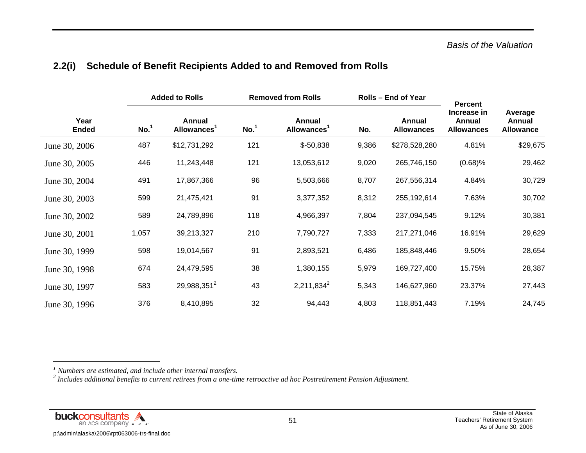|  | 2.2(i) Schedule of Benefit Recipients Added to and Removed from Rolls |
|--|-----------------------------------------------------------------------|
|--|-----------------------------------------------------------------------|

|                      |                  | <b>Added to Rolls</b>                    |                  | <b>Removed from Rolls</b>                |       | <b>Rolls - End of Year</b>         | <b>Percent</b>                             |                                       |
|----------------------|------------------|------------------------------------------|------------------|------------------------------------------|-------|------------------------------------|--------------------------------------------|---------------------------------------|
| Year<br><b>Ended</b> | No. <sup>1</sup> | <b>Annual</b><br>Allowances <sup>1</sup> | No. <sup>1</sup> | <b>Annual</b><br>Allowances <sup>1</sup> | No.   | <b>Annual</b><br><b>Allowances</b> | Increase in<br>Annual<br><b>Allowances</b> | Average<br>Annual<br><b>Allowance</b> |
| June 30, 2006        | 487              | \$12,731,292                             | 121              | $$-50,838$                               | 9,386 | \$278,528,280                      | 4.81%                                      | \$29,675                              |
| June 30, 2005        | 446              | 11,243,448                               | 121              | 13,053,612                               | 9,020 | 265,746,150                        | (0.68)%                                    | 29,462                                |
| June 30, 2004        | 491              | 17,867,366                               | 96               | 5,503,666                                | 8,707 | 267,556,314                        | 4.84%                                      | 30,729                                |
| June 30, 2003        | 599              | 21,475,421                               | 91               | 3,377,352                                | 8,312 | 255,192,614                        | 7.63%                                      | 30,702                                |
| June 30, 2002        | 589              | 24,789,896                               | 118              | 4,966,397                                | 7,804 | 237,094,545                        | 9.12%                                      | 30,381                                |
| June 30, 2001        | 1,057            | 39,213,327                               | 210              | 7,790,727                                | 7,333 | 217,271,046                        | 16.91%                                     | 29,629                                |
| June 30, 1999        | 598              | 19,014,567                               | 91               | 2,893,521                                | 6,486 | 185,848,446                        | 9.50%                                      | 28,654                                |
| June 30, 1998        | 674              | 24,479,595                               | 38               | 1,380,155                                | 5,979 | 169,727,400                        | 15.75%                                     | 28,387                                |
| June 30, 1997        | 583              | 29,988,351 <sup>2</sup>                  | 43               | $2,211,834^2$                            | 5,343 | 146,627,960                        | 23.37%                                     | 27,443                                |
| June 30, 1996        | 376              | 8,410,895                                | 32               | 94,443                                   | 4,803 | 118,851,443                        | 7.19%                                      | 24,745                                |



*<sup>1</sup> Numbers are estimated, and include other internal transfers.*

*<sup>2</sup> Includes additional benefits to current retirees from a one-time retroactive ad hoc Postretirement Pension Adjustment.*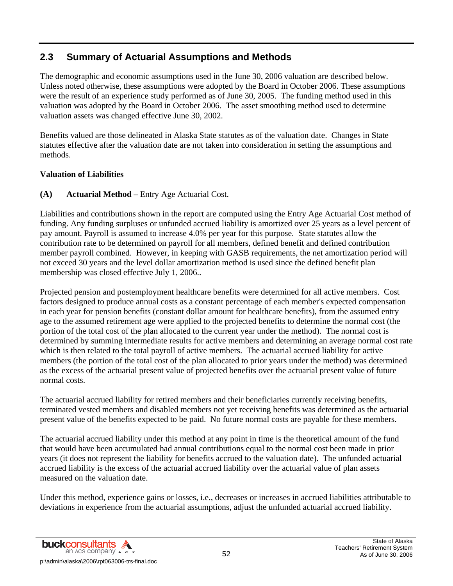## **2.3 Summary of Actuarial Assumptions and Methods**

The demographic and economic assumptions used in the June 30, 2006 valuation are described below. Unless noted otherwise, these assumptions were adopted by the Board in October 2006. These assumptions were the result of an experience study performed as of June 30, 2005. The funding method used in this valuation was adopted by the Board in October 2006. The asset smoothing method used to determine valuation assets was changed effective June 30, 2002.

Benefits valued are those delineated in Alaska State statutes as of the valuation date. Changes in State statutes effective after the valuation date are not taken into consideration in setting the assumptions and methods.

### **Valuation of Liabilities**

### **(A) Actuarial Method** – Entry Age Actuarial Cost.

Liabilities and contributions shown in the report are computed using the Entry Age Actuarial Cost method of funding. Any funding surpluses or unfunded accrued liability is amortized over 25 years as a level percent of pay amount. Payroll is assumed to increase 4.0% per year for this purpose. State statutes allow the contribution rate to be determined on payroll for all members, defined benefit and defined contribution member payroll combined. However, in keeping with GASB requirements, the net amortization period will not exceed 30 years and the level dollar amortization method is used since the defined benefit plan membership was closed effective July 1, 2006..

Projected pension and postemployment healthcare benefits were determined for all active members. Cost factors designed to produce annual costs as a constant percentage of each member's expected compensation in each year for pension benefits (constant dollar amount for healthcare benefits), from the assumed entry age to the assumed retirement age were applied to the projected benefits to determine the normal cost (the portion of the total cost of the plan allocated to the current year under the method). The normal cost is determined by summing intermediate results for active members and determining an average normal cost rate which is then related to the total payroll of active members. The actuarial accrued liability for active members (the portion of the total cost of the plan allocated to prior years under the method) was determined as the excess of the actuarial present value of projected benefits over the actuarial present value of future normal costs.

The actuarial accrued liability for retired members and their beneficiaries currently receiving benefits, terminated vested members and disabled members not yet receiving benefits was determined as the actuarial present value of the benefits expected to be paid. No future normal costs are payable for these members.

The actuarial accrued liability under this method at any point in time is the theoretical amount of the fund that would have been accumulated had annual contributions equal to the normal cost been made in prior years (it does not represent the liability for benefits accrued to the valuation date). The unfunded actuarial accrued liability is the excess of the actuarial accrued liability over the actuarial value of plan assets measured on the valuation date.

Under this method, experience gains or losses, i.e., decreases or increases in accrued liabilities attributable to deviations in experience from the actuarial assumptions, adjust the unfunded actuarial accrued liability.

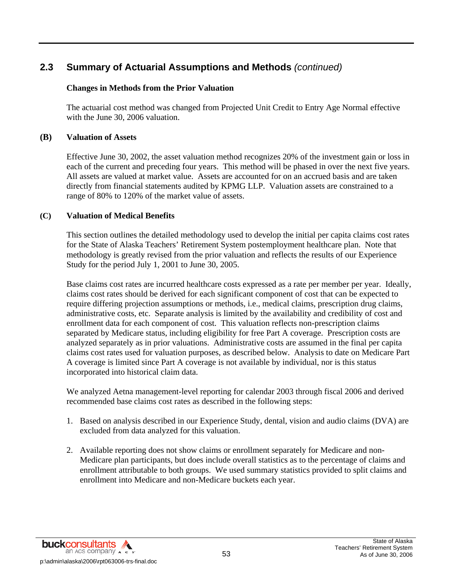### **Changes in Methods from the Prior Valuation**

 The actuarial cost method was changed from Projected Unit Credit to Entry Age Normal effective with the June 30, 2006 valuation.

### **(B) Valuation of Assets**

Effective June 30, 2002, the asset valuation method recognizes 20% of the investment gain or loss in each of the current and preceding four years. This method will be phased in over the next five years. All assets are valued at market value. Assets are accounted for on an accrued basis and are taken directly from financial statements audited by KPMG LLP. Valuation assets are constrained to a range of 80% to 120% of the market value of assets.

### **(C) Valuation of Medical Benefits**

This section outlines the detailed methodology used to develop the initial per capita claims cost rates for the State of Alaska Teachers' Retirement System postemployment healthcare plan. Note that methodology is greatly revised from the prior valuation and reflects the results of our Experience Study for the period July 1, 2001 to June 30, 2005.

Base claims cost rates are incurred healthcare costs expressed as a rate per member per year. Ideally, claims cost rates should be derived for each significant component of cost that can be expected to require differing projection assumptions or methods, i.e., medical claims, prescription drug claims, administrative costs, etc. Separate analysis is limited by the availability and credibility of cost and enrollment data for each component of cost. This valuation reflects non-prescription claims separated by Medicare status, including eligibility for free Part A coverage. Prescription costs are analyzed separately as in prior valuations. Administrative costs are assumed in the final per capita claims cost rates used for valuation purposes, as described below. Analysis to date on Medicare Part A coverage is limited since Part A coverage is not available by individual, nor is this status incorporated into historical claim data.

We analyzed Aetna management-level reporting for calendar 2003 through fiscal 2006 and derived recommended base claims cost rates as described in the following steps:

- 1. Based on analysis described in our Experience Study, dental, vision and audio claims (DVA) are excluded from data analyzed for this valuation.
- 2. Available reporting does not show claims or enrollment separately for Medicare and non-Medicare plan participants, but does include overall statistics as to the percentage of claims and enrollment attributable to both groups. We used summary statistics provided to split claims and enrollment into Medicare and non-Medicare buckets each year.

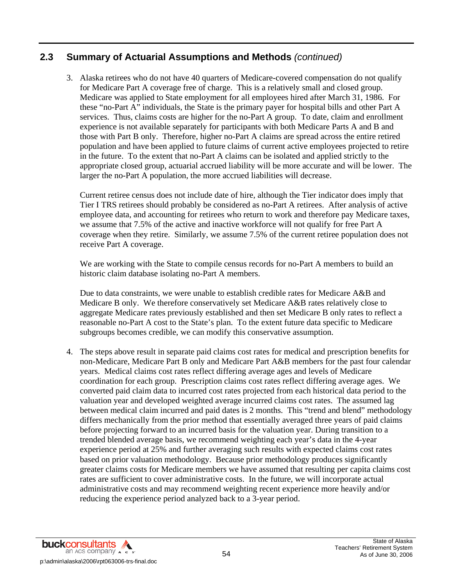3. Alaska retirees who do not have 40 quarters of Medicare-covered compensation do not qualify for Medicare Part A coverage free of charge. This is a relatively small and closed group. Medicare was applied to State employment for all employees hired after March 31, 1986. For these "no-Part A" individuals, the State is the primary payer for hospital bills and other Part A services. Thus, claims costs are higher for the no-Part A group. To date, claim and enrollment experience is not available separately for participants with both Medicare Parts A and B and those with Part B only. Therefore, higher no-Part A claims are spread across the entire retired population and have been applied to future claims of current active employees projected to retire in the future. To the extent that no-Part A claims can be isolated and applied strictly to the appropriate closed group, actuarial accrued liability will be more accurate and will be lower. The larger the no-Part A population, the more accrued liabilities will decrease.

Current retiree census does not include date of hire, although the Tier indicator does imply that Tier I TRS retirees should probably be considered as no-Part A retirees. After analysis of active employee data, and accounting for retirees who return to work and therefore pay Medicare taxes, we assume that 7.5% of the active and inactive workforce will not qualify for free Part A coverage when they retire. Similarly, we assume 7.5% of the current retiree population does not receive Part A coverage.

We are working with the State to compile census records for no-Part A members to build an historic claim database isolating no-Part A members.

Due to data constraints, we were unable to establish credible rates for Medicare A&B and Medicare B only. We therefore conservatively set Medicare A&B rates relatively close to aggregate Medicare rates previously established and then set Medicare B only rates to reflect a reasonable no-Part A cost to the State's plan. To the extent future data specific to Medicare subgroups becomes credible, we can modify this conservative assumption.

4. The steps above result in separate paid claims cost rates for medical and prescription benefits for non-Medicare, Medicare Part B only and Medicare Part A&B members for the past four calendar years. Medical claims cost rates reflect differing average ages and levels of Medicare coordination for each group. Prescription claims cost rates reflect differing average ages. We converted paid claim data to incurred cost rates projected from each historical data period to the valuation year and developed weighted average incurred claims cost rates. The assumed lag between medical claim incurred and paid dates is 2 months. This "trend and blend" methodology differs mechanically from the prior method that essentially averaged three years of paid claims before projecting forward to an incurred basis for the valuation year. During transition to a trended blended average basis, we recommend weighting each year's data in the 4-year experience period at 25% and further averaging such results with expected claims cost rates based on prior valuation methodology. Because prior methodology produces significantly greater claims costs for Medicare members we have assumed that resulting per capita claims cost rates are sufficient to cover administrative costs. In the future, we will incorporate actual administrative costs and may recommend weighting recent experience more heavily and/or reducing the experience period analyzed back to a 3-year period.

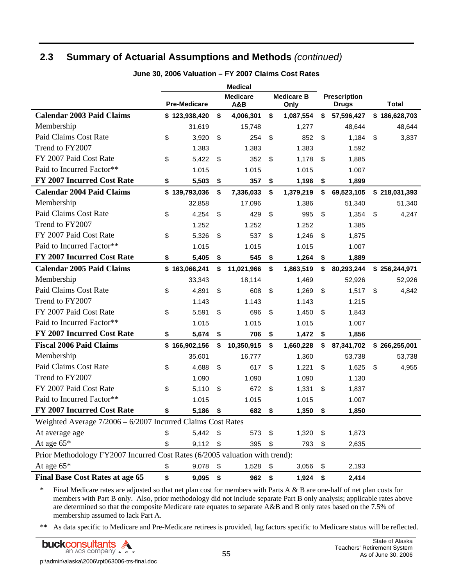|                                                                             | <b>Medical</b> |                     |      |                        |    |                           |                                     |               |
|-----------------------------------------------------------------------------|----------------|---------------------|------|------------------------|----|---------------------------|-------------------------------------|---------------|
|                                                                             |                | <b>Pre-Medicare</b> |      | <b>Medicare</b><br>A&B |    | <b>Medicare B</b><br>Only | <b>Prescription</b><br><b>Drugs</b> | <b>Total</b>  |
| <b>Calendar 2003 Paid Claims</b>                                            |                | \$123,938,420       | \$   | 4,006,301              | \$ | 1,087,554                 | \$<br>57,596,427                    | \$186,628,703 |
| Membership                                                                  |                | 31,619              |      | 15,748                 |    | 1,277                     | 48,644                              | 48,644        |
| <b>Paid Claims Cost Rate</b>                                                | \$             | 3,920               | \$   | 254                    | \$ | 852                       | \$<br>1,184                         | \$<br>3,837   |
| Trend to FY2007                                                             |                | 1.383               |      | 1.383                  |    | 1.383                     | 1.592                               |               |
| FY 2007 Paid Cost Rate                                                      | \$             | 5,422               | \$   | 352                    | \$ | 1,178                     | \$<br>1,885                         |               |
| Paid to Incurred Factor**                                                   |                | 1.015               |      | 1.015                  |    | 1.015                     | 1.007                               |               |
| FY 2007 Incurred Cost Rate                                                  | \$             | 5,503               | \$   | 357                    | \$ | 1,196                     | \$<br>1,899                         |               |
| <b>Calendar 2004 Paid Claims</b>                                            |                | \$139,793,036       | \$   | 7,336,033              | \$ | 1,379,219                 | \$<br>69,523,105                    | \$218,031,393 |
| Membership                                                                  |                | 32,858              |      | 17,096                 |    | 1,386                     | 51,340                              | 51,340        |
| Paid Claims Cost Rate                                                       | \$             | 4,254               | \$   | 429                    | \$ | 995                       | \$<br>1,354                         | \$<br>4,247   |
| Trend to FY2007                                                             |                | 1.252               |      | 1.252                  |    | 1.252                     | 1.385                               |               |
| FY 2007 Paid Cost Rate                                                      | \$             | 5,326               | \$   | 537                    | \$ | 1,246                     | \$<br>1,875                         |               |
| Paid to Incurred Factor**                                                   |                | 1.015               |      | 1.015                  |    | 1.015                     | 1.007                               |               |
| <b>FY 2007 Incurred Cost Rate</b>                                           | \$             | 5,405               | \$   | 545                    | \$ | 1,264                     | \$<br>1,889                         |               |
| <b>Calendar 2005 Paid Claims</b>                                            |                | \$163,066,241       | \$   | 11,021,966             | \$ | 1,863,519                 | \$<br>80,293,244                    | \$256,244,971 |
| Membership                                                                  |                | 33,343              |      | 18,114                 |    | 1,469                     | 52,926                              | 52,926        |
| Paid Claims Cost Rate                                                       | \$             | 4,891               | \$   | 608                    | \$ | 1,269                     | \$<br>1,517                         | \$<br>4,842   |
| Trend to FY2007                                                             |                | 1.143               |      | 1.143                  |    | 1.143                     | 1.215                               |               |
| FY 2007 Paid Cost Rate                                                      | \$             | 5,591               | \$   | 696                    | \$ | 1,450                     | \$<br>1,843                         |               |
| Paid to Incurred Factor**                                                   |                | 1.015               |      | 1.015                  |    | 1.015                     | 1.007                               |               |
| FY 2007 Incurred Cost Rate                                                  | \$             | 5,674               | \$   | 706                    | \$ | 1,472                     | \$<br>1,856                         |               |
| <b>Fiscal 2006 Paid Claims</b>                                              |                | \$166,902,156       | \$   | 10,350,915             | \$ | 1,660,228                 | \$<br>87,341,702                    | \$266,255,001 |
| Membership                                                                  |                | 35,601              |      | 16,777                 |    | 1,360                     | 53,738                              | 53,738        |
| Paid Claims Cost Rate                                                       | \$             | 4,688               | \$   | 617                    | \$ | 1,221                     | \$<br>1,625                         | \$<br>4,955   |
| Trend to FY2007                                                             |                | 1.090               |      | 1.090                  |    | 1.090                     | 1.130                               |               |
| FY 2007 Paid Cost Rate                                                      | \$             | 5,110               | \$   | 672                    | \$ | 1,331                     | \$<br>1,837                         |               |
| Paid to Incurred Factor**                                                   |                | 1.015               |      | 1.015                  |    | 1.015                     | 1.007                               |               |
| FY 2007 Incurred Cost Rate                                                  | \$             | 5,186               | \$   | 682                    | \$ | 1,350                     | \$<br>1,850                         |               |
| Weighted Average $7/2006 - 6/2007$ Incurred Claims Cost Rates               |                |                     |      |                        |    |                           |                                     |               |
| At average age                                                              | \$             | 5,442               | - \$ | 573                    | \$ | 1,320                     | \$<br>1,873                         |               |
| At age 65*                                                                  | \$             | 9,112               | \$   | 395                    | \$ | 793                       | \$<br>2,635                         |               |
| Prior Methodology FY2007 Incurred Cost Rates (6/2005 valuation with trend): |                |                     |      |                        |    |                           |                                     |               |
| At age 65*                                                                  | \$             | 9,078               | \$   | 1,528                  | \$ | 3,056                     | \$<br>2,193                         |               |
| <b>Final Base Cost Rates at age 65</b>                                      | \$             | 9,095               | \$   | 962                    | \$ | 1,924                     | \$<br>2,414                         |               |

**June 30, 2006 Valuation – FY 2007 Claims Cost Rates** 

\* Final Medicare rates are adjusted so that net plan cost for members with Parts A & B are one-half of net plan costs for members with Part B only. Also, prior methodology did not include separate Part B only analysis; applicable rates above are determined so that the composite Medicare rate equates to separate A&B and B only rates based on the 7.5% of membership assumed to lack Part A.

\*\* As data specific to Medicare and Pre-Medicare retirees is provided, lag factors specific to Medicare status will be reflected.

 $\mathbb{Z}$ **buckconsultants** an ACS COMPANY A c s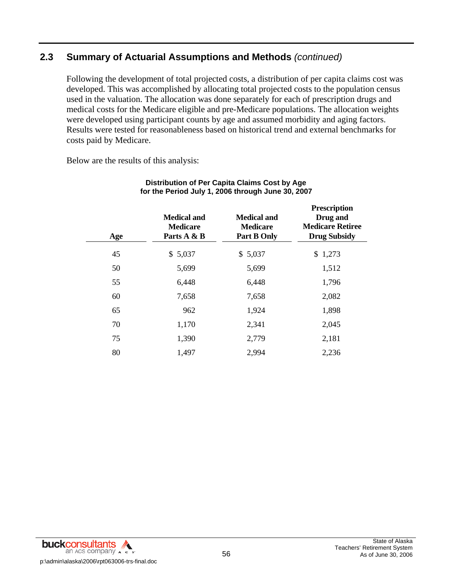Following the development of total projected costs, a distribution of per capita claims cost was developed. This was accomplished by allocating total projected costs to the population census used in the valuation. The allocation was done separately for each of prescription drugs and medical costs for the Medicare eligible and pre-Medicare populations. The allocation weights were developed using participant counts by age and assumed morbidity and aging factors. Results were tested for reasonableness based on historical trend and external benchmarks for costs paid by Medicare.

Below are the results of this analysis:

| Age | <b>Medical and</b><br><b>Medicare</b><br>Parts A & B | <b>Medical and</b><br><b>Medicare</b><br><b>Part B Only</b> | <b>Prescription</b><br>Drug and<br><b>Medicare Retiree</b><br><b>Drug Subsidy</b> |
|-----|------------------------------------------------------|-------------------------------------------------------------|-----------------------------------------------------------------------------------|
| 45  | \$5,037                                              | \$5,037                                                     | \$1,273                                                                           |
| 50  | 5,699                                                | 5,699                                                       | 1,512                                                                             |
| 55  | 6,448                                                | 6,448                                                       | 1,796                                                                             |
| 60  | 7,658                                                | 7,658                                                       | 2,082                                                                             |
| 65  | 962                                                  | 1,924                                                       | 1,898                                                                             |
| 70  | 1,170                                                | 2,341                                                       | 2,045                                                                             |
| 75  | 1,390                                                | 2,779                                                       | 2,181                                                                             |
| 80  | 1,497                                                | 2,994                                                       | 2,236                                                                             |

### **Distribution of Per Capita Claims Cost by Age for the Period July 1, 2006 through June 30, 2007**

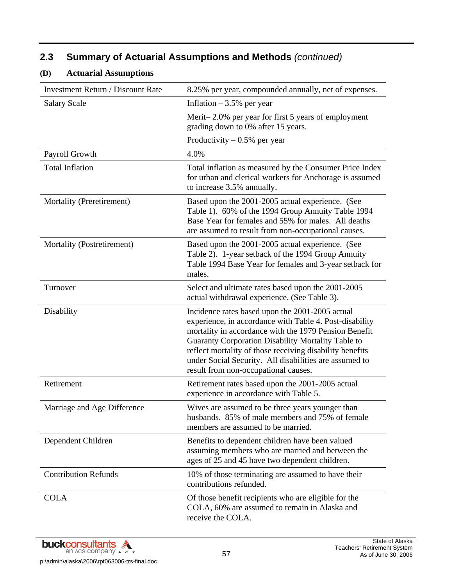### **(D) Actuarial Assumptions**

| <b>Investment Return / Discount Rate</b> | 8.25% per year, compounded annually, net of expenses.                                                                                                                                                                                                                                                                                                                                   |
|------------------------------------------|-----------------------------------------------------------------------------------------------------------------------------------------------------------------------------------------------------------------------------------------------------------------------------------------------------------------------------------------------------------------------------------------|
| <b>Salary Scale</b>                      | Inflation $-3.5%$ per year                                                                                                                                                                                                                                                                                                                                                              |
|                                          | Merit-2.0% per year for first 5 years of employment<br>grading down to 0% after 15 years.                                                                                                                                                                                                                                                                                               |
|                                          | Productivity $-0.5%$ per year                                                                                                                                                                                                                                                                                                                                                           |
| Payroll Growth                           | 4.0%                                                                                                                                                                                                                                                                                                                                                                                    |
| <b>Total Inflation</b>                   | Total inflation as measured by the Consumer Price Index<br>for urban and clerical workers for Anchorage is assumed<br>to increase 3.5% annually.                                                                                                                                                                                                                                        |
| Mortality (Preretirement)                | Based upon the 2001-2005 actual experience. (See<br>Table 1). 60% of the 1994 Group Annuity Table 1994<br>Base Year for females and 55% for males. All deaths<br>are assumed to result from non-occupational causes.                                                                                                                                                                    |
| Mortality (Postretirement)               | Based upon the 2001-2005 actual experience. (See<br>Table 2). 1-year setback of the 1994 Group Annuity<br>Table 1994 Base Year for females and 3-year setback for<br>males.                                                                                                                                                                                                             |
| Turnover                                 | Select and ultimate rates based upon the 2001-2005<br>actual withdrawal experience. (See Table 3).                                                                                                                                                                                                                                                                                      |
| Disability                               | Incidence rates based upon the 2001-2005 actual<br>experience, in accordance with Table 4. Post-disability<br>mortality in accordance with the 1979 Pension Benefit<br>Guaranty Corporation Disability Mortality Table to<br>reflect mortality of those receiving disability benefits<br>under Social Security. All disabilities are assumed to<br>result from non-occupational causes. |
| Retirement                               | Retirement rates based upon the 2001-2005 actual<br>experience in accordance with Table 5.                                                                                                                                                                                                                                                                                              |
| Marriage and Age Difference              | Wives are assumed to be three years younger than<br>husbands. 85% of male members and 75% of female<br>members are assumed to be married.                                                                                                                                                                                                                                               |
| Dependent Children                       | Benefits to dependent children have been valued<br>assuming members who are married and between the<br>ages of 25 and 45 have two dependent children.                                                                                                                                                                                                                                   |
| <b>Contribution Refunds</b>              | 10% of those terminating are assumed to have their<br>contributions refunded.                                                                                                                                                                                                                                                                                                           |
| <b>COLA</b>                              | Of those benefit recipients who are eligible for the<br>COLA, 60% are assumed to remain in Alaska and<br>receive the COLA.                                                                                                                                                                                                                                                              |

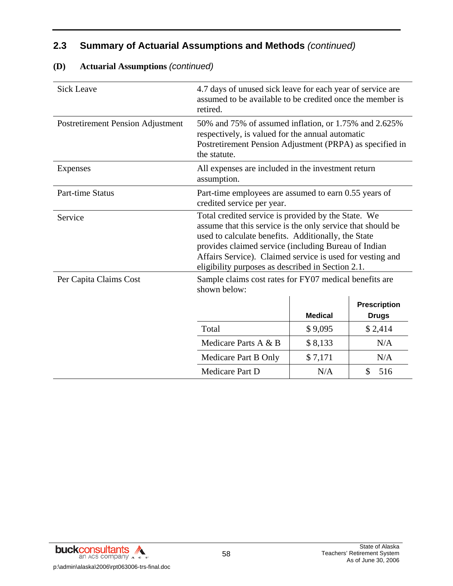| <b>Sick Leave</b>                 | 4.7 days of unused sick leave for each year of service are<br>assumed to be available to be credited once the member is<br>retired.                                                                                                                                                                                                                 |                |                     |  |  |
|-----------------------------------|-----------------------------------------------------------------------------------------------------------------------------------------------------------------------------------------------------------------------------------------------------------------------------------------------------------------------------------------------------|----------------|---------------------|--|--|
| Postretirement Pension Adjustment | 50% and 75% of assumed inflation, or 1.75% and 2.625%<br>respectively, is valued for the annual automatic<br>Postretirement Pension Adjustment (PRPA) as specified in<br>the statute.                                                                                                                                                               |                |                     |  |  |
| Expenses                          | All expenses are included in the investment return<br>assumption.                                                                                                                                                                                                                                                                                   |                |                     |  |  |
| <b>Part-time Status</b>           | Part-time employees are assumed to earn 0.55 years of<br>credited service per year.                                                                                                                                                                                                                                                                 |                |                     |  |  |
| Service                           | Total credited service is provided by the State. We<br>assume that this service is the only service that should be<br>used to calculate benefits. Additionally, the State<br>provides claimed service (including Bureau of Indian<br>Affairs Service). Claimed service is used for vesting and<br>eligibility purposes as described in Section 2.1. |                |                     |  |  |
| Per Capita Claims Cost            | Sample claims cost rates for FY07 medical benefits are<br>shown below:                                                                                                                                                                                                                                                                              |                |                     |  |  |
|                                   |                                                                                                                                                                                                                                                                                                                                                     |                | <b>Prescription</b> |  |  |
|                                   |                                                                                                                                                                                                                                                                                                                                                     | <b>Medical</b> | <b>Drugs</b>        |  |  |
|                                   | Total                                                                                                                                                                                                                                                                                                                                               | \$9,095        | \$2,414             |  |  |
|                                   | Medicare Parts A & B                                                                                                                                                                                                                                                                                                                                | \$8,133        | N/A                 |  |  |
|                                   | Medicare Part B Only                                                                                                                                                                                                                                                                                                                                | \$7,171        | N/A                 |  |  |
|                                   | Medicare Part D                                                                                                                                                                                                                                                                                                                                     | N/A            | \$<br>516           |  |  |

### **(D) Actuarial Assumptions** *(continued)*

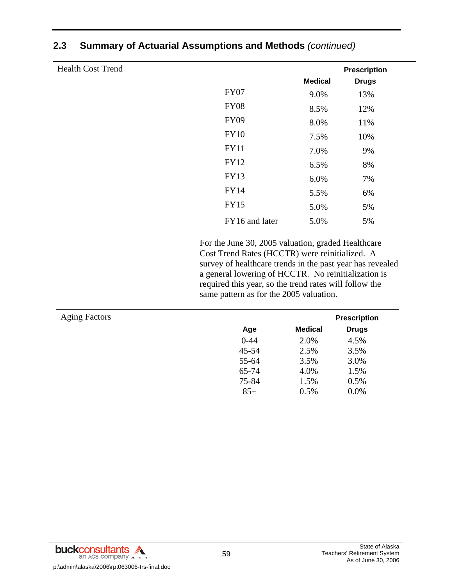| <b>Health Cost Trend</b> |                |                | <b>Prescription</b> |
|--------------------------|----------------|----------------|---------------------|
|                          |                | <b>Medical</b> | <b>Drugs</b>        |
|                          | <b>FY07</b>    | 9.0%           | 13%                 |
|                          | <b>FY08</b>    | 8.5%           | 12%                 |
|                          | <b>FY09</b>    | 8.0%           | 11%                 |
|                          | <b>FY10</b>    | 7.5%           | 10%                 |
|                          | <b>FY11</b>    | 7.0%           | 9%                  |
|                          | <b>FY12</b>    | 6.5%           | 8%                  |
|                          | <b>FY13</b>    | 6.0%           | 7%                  |
|                          | <b>FY14</b>    | 5.5%           | 6%                  |
|                          | <b>FY15</b>    | 5.0%           | 5%                  |
|                          | FY16 and later | 5.0%           | 5%                  |
|                          |                |                |                     |

 For the June 30, 2005 valuation, graded Healthcare Cost Trend Rates (HCCTR) were reinitialized. A survey of healthcare trends in the past year has revealed a general lowering of HCCTR. No reinitialization is required this year, so the trend rates will follow the same pattern as for the 2005 valuation.

| <b>Aging Factors</b> |          |                | <b>Prescription</b> |
|----------------------|----------|----------------|---------------------|
|                      | Age      | <b>Medical</b> | <b>Drugs</b>        |
|                      | $0 - 44$ | 2.0%           | 4.5%                |
|                      | 45-54    | 2.5%           | 3.5%                |
|                      | 55-64    | 3.5%           | 3.0%                |
|                      | 65-74    | 4.0%           | 1.5%                |
|                      | 75-84    | 1.5%           | 0.5%                |
|                      | $85+$    | 0.5%           | 0.0%                |

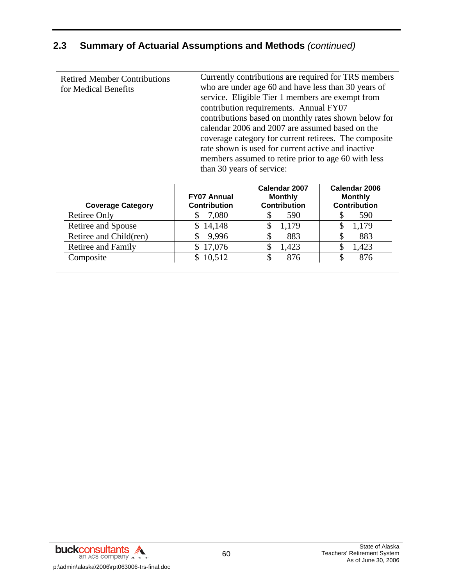| Currently contributions are required for TRS members<br><b>Retired Member Contributions</b><br>who are under age 60 and have less than 30 years of<br>for Medical Benefits<br>service. Eligible Tier 1 members are exempt from<br>contribution requirements. Annual FY07<br>contributions based on monthly rates shown below for<br>calendar 2006 and 2007 are assumed based on the<br>coverage category for current retirees. The composite<br>rate shown is used for current active and inactive<br>members assumed to retire prior to age 60 with less<br>than 30 years of service: |
|----------------------------------------------------------------------------------------------------------------------------------------------------------------------------------------------------------------------------------------------------------------------------------------------------------------------------------------------------------------------------------------------------------------------------------------------------------------------------------------------------------------------------------------------------------------------------------------|
|                                                                                                                                                                                                                                                                                                                                                                                                                                                                                                                                                                                        |

| <b>Coverage Category</b>  | <b>FY07 Annual</b><br><b>Contribution</b> | Calendar 2007<br><b>Monthly</b><br><b>Contribution</b> | Calendar 2006<br><b>Monthly</b><br><b>Contribution</b> |
|---------------------------|-------------------------------------------|--------------------------------------------------------|--------------------------------------------------------|
| <b>Retiree Only</b>       | 7,080<br>S                                | 590                                                    | 590                                                    |
| Retiree and Spouse        | 14,148                                    | 1,179                                                  | 1,179                                                  |
| Retiree and Child(ren)    | 9,996                                     | 883                                                    | 883                                                    |
| <b>Retiree and Family</b> | 17,076<br>S.                              | 1,423                                                  | 1,423                                                  |
| Composite                 | \$10,512                                  | 876                                                    | 876                                                    |

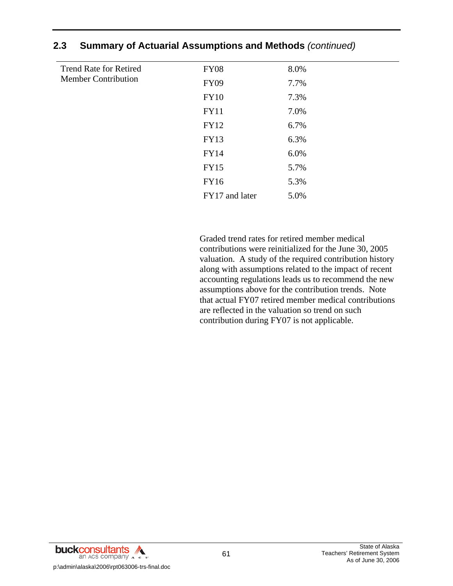| <b>Trend Rate for Retired</b><br><b>Member Contribution</b> | <b>FY08</b>    | 8.0% |  |
|-------------------------------------------------------------|----------------|------|--|
|                                                             | <b>FY09</b>    | 7.7% |  |
|                                                             | <b>FY10</b>    | 7.3% |  |
|                                                             | <b>FY11</b>    | 7.0% |  |
|                                                             | <b>FY12</b>    | 6.7% |  |
|                                                             | <b>FY13</b>    | 6.3% |  |
|                                                             | <b>FY14</b>    | 6.0% |  |
|                                                             | <b>FY15</b>    | 5.7% |  |
|                                                             | FY16           | 5.3% |  |
|                                                             | FY17 and later | 5.0% |  |

 Graded trend rates for retired member medical contributions were reinitialized for the June 30, 2005 valuation. A study of the required contribution history along with assumptions related to the impact of recent accounting regulations leads us to recommend the new assumptions above for the contribution trends. Note that actual FY07 retired member medical contributions are reflected in the valuation so trend on such contribution during FY07 is not applicable.

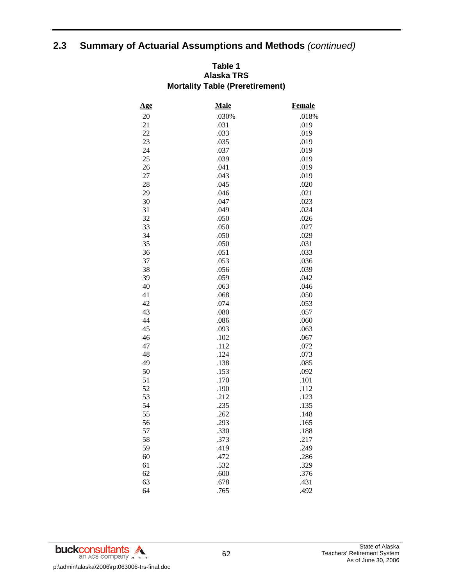### **Table 1 Alaska TRS Mortality Table (Preretirement)**

| <u>Age</u> | Male  | <b>Female</b> |
|------------|-------|---------------|
| 20         | .030% | .018%         |
| 21         | .031  | .019          |
| 22         | .033  | .019          |
| 23         | .035  | .019          |
| 24         | .037  | .019          |
| 25         | .039  | .019          |
| 26         | .041  | .019          |
| 27         | .043  | .019          |
| 28         | .045  | .020          |
| 29         | .046  | .021          |
| 30         | .047  | .023          |
| 31         | .049  | .024          |
| 32         | .050  | .026          |
| 33         | .050  | .027          |
| 34         | .050  | .029          |
| 35         | .050  | .031          |
| 36         | .051  | .033          |
| 37         | .053  | .036          |
| 38         | .056  | .039          |
| 39         | .059  | .042          |
| 40         | .063  | .046          |
| 41         | .068  | .050          |
| 42         | .074  | .053          |
| 43         | .080  | .057          |
| 44         | .086  | .060          |
| 45         | .093  | .063          |
| 46         | .102  | .067          |
| 47         | .112  | .072          |
| 48         | .124  | .073          |
| 49         | .138  | .085          |
| 50         | .153  | .092          |
| 51         | .170  | .101          |
| 52         | .190  | .112          |
| 53         | .212  | .123          |
| 54         | .235  | .135          |
| 55         | .262  | .148          |
| 56         | .293  | .165          |
| 57         | .330  | .188          |
| 58         | .373  | .217          |
| 59         | .419  | .249          |
| 60         | .472  | .286          |
| 61         | .532  | .329          |
| 62         | .600  | .376          |
| 63         | .678  | .431          |
| 64         | .765  | .492          |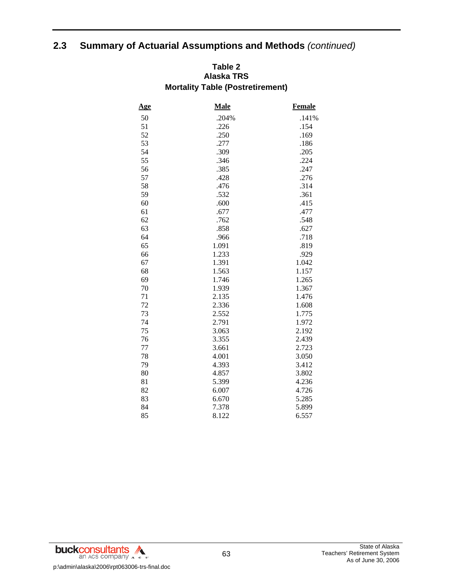### **Table 2 Alaska TRS Mortality Table (Postretirement)**

| <u>Age</u> | <b>Male</b> | Female |
|------------|-------------|--------|
| 50         | .204%       | .141%  |
| 51         | .226        | .154   |
| 52         | .250        | .169   |
| 53         | .277        | .186   |
| 54         | .309        | .205   |
| 55         | .346        | .224   |
| 56         | .385        | .247   |
| 57         | .428        | .276   |
| 58         | .476        | .314   |
| 59         | .532        | .361   |
| 60         | .600        | .415   |
| 61         | .677        | .477   |
| 62         | .762        | .548   |
| 63         | .858        | .627   |
| 64         | .966        | .718   |
| 65         | 1.091       | .819   |
| 66         | 1.233       | .929   |
| 67         | 1.391       | 1.042  |
| 68         | 1.563       | 1.157  |
| 69         | 1.746       | 1.265  |
| 70         | 1.939       | 1.367  |
| 71         | 2.135       | 1.476  |
| 72         | 2.336       | 1.608  |
| 73         | 2.552       | 1.775  |
| 74         | 2.791       | 1.972  |
| 75         | 3.063       | 2.192  |
| 76         | 3.355       | 2.439  |
| 77         | 3.661       | 2.723  |
| 78         | 4.001       | 3.050  |
| 79         | 4.393       | 3.412  |
| 80         | 4.857       | 3.802  |
| 81         | 5.399       | 4.236  |
| 82         | 6.007       | 4.726  |
| 83         | 6.670       | 5.285  |
| 84         | 7.378       | 5.899  |
| 85         | 8.122       | 6.557  |

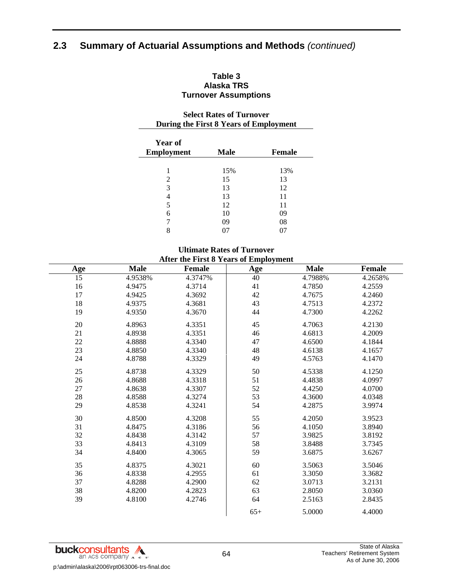### **Table 3 Alaska TRS Turnover Assumptions**

### **Select Rates of Turnover During the First 8 Years of Employment**

| <b>Year of</b>    |             |               |
|-------------------|-------------|---------------|
| <b>Employment</b> | <b>Male</b> | <b>Female</b> |
|                   |             |               |
| 1                 | 15%         | 13%           |
| 2                 | 15          | 13            |
| 3                 | 13          | 12            |
|                   | 13          | 11            |
| 5                 | 12          | 11            |
| 6                 | 10          | 09            |
| 7                 | 09          | 08            |
| 8                 |             |               |

### **Ultimate Rates of Turnover After the First 8 Years of Employment**

| <b>Age</b> | <b>Male</b> | <b>Female</b> | <b>Age</b> | <b>Male</b> | Female  |
|------------|-------------|---------------|------------|-------------|---------|
| 15         | 4.9538%     | 4.3747%       | 40         | 4.7988%     | 4.2658% |
| 16         | 4.9475      | 4.3714        | 41         | 4.7850      | 4.2559  |
| 17         | 4.9425      | 4.3692        | 42         | 4.7675      | 4.2460  |
| 18         | 4.9375      | 4.3681        | 43         | 4.7513      | 4.2372  |
| 19         | 4.9350      | 4.3670        | 44         | 4.7300      | 4.2262  |
| 20         | 4.8963      | 4.3351        | 45         | 4.7063      | 4.2130  |
| 21         | 4.8938      | 4.3351        | 46         | 4.6813      | 4.2009  |
| 22         | 4.8888      | 4.3340        | 47         | 4.6500      | 4.1844  |
| 23         | 4.8850      | 4.3340        | 48         | 4.6138      | 4.1657  |
| 24         | 4.8788      | 4.3329        | 49         | 4.5763      | 4.1470  |
| 25         | 4.8738      | 4.3329        | 50         | 4.5338      | 4.1250  |
| 26         | 4.8688      | 4.3318        | 51         | 4.4838      | 4.0997  |
| 27         | 4.8638      | 4.3307        | 52         | 4.4250      | 4.0700  |
| $28\,$     | 4.8588      | 4.3274        | 53         | 4.3600      | 4.0348  |
| 29         | 4.8538      | 4.3241        | 54         | 4.2875      | 3.9974  |
| 30         | 4.8500      | 4.3208        | 55         | 4.2050      | 3.9523  |
| 31         | 4.8475      | 4.3186        | 56         | 4.1050      | 3.8940  |
| 32         | 4.8438      | 4.3142        | 57         | 3.9825      | 3.8192  |
| 33         | 4.8413      | 4.3109        | 58         | 3.8488      | 3.7345  |
| 34         | 4.8400      | 4.3065        | 59         | 3.6875      | 3.6267  |
| 35         | 4.8375      | 4.3021        | 60         | 3.5063      | 3.5046  |
| 36         | 4.8338      | 4.2955        | 61         | 3.3050      | 3.3682  |
| 37         | 4.8288      | 4.2900        | 62         | 3.0713      | 3.2131  |
| 38         | 4.8200      | 4.2823        | 63         | 2.8050      | 3.0360  |
| 39         | 4.8100      | 4.2746        | 64         | 2.5163      | 2.8435  |
|            |             |               | $65+$      | 5.0000      | 4.4000  |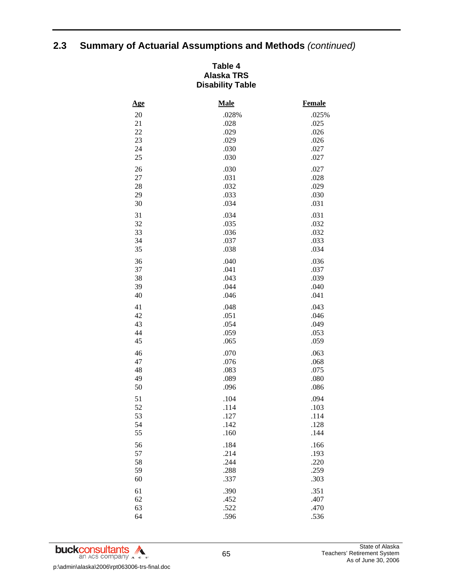### **Table 4 Alaska TRS Disability Table**

| <u>Age</u> | <b>Male</b> | <b>Female</b> |
|------------|-------------|---------------|
| 20         | .028%       | .025%         |
| 21         | .028        | .025          |
| 22         | .029        | .026          |
| 23         | .029        | .026          |
| 24         | .030        | .027          |
| 25         | .030        | .027          |
| 26         | .030        | .027          |
| 27         | .031        | .028          |
| 28         | .032        | .029          |
| 29         | .033        | .030          |
| 30         | .034        | .031          |
| 31         | .034        | .031          |
| 32         | .035        | .032          |
| 33         | .036        | .032          |
| 34         | .037        | .033          |
| 35         | .038        | .034          |
| 36         | .040        | .036          |
| 37         | .041        | .037          |
| 38         | .043        | .039          |
| 39         | .044        | .040          |
| 40         | .046        | .041          |
| 41         | .048        | .043          |
| 42         | .051        | .046          |
| 43         | .054        | .049          |
| 44         | .059        | .053          |
| 45         | .065        | .059          |
| 46         | .070        | .063          |
| 47         | .076        | .068          |
| 48         | .083        | .075          |
| 49         | .089        | .080          |
| 50         | .096        | .086          |
| 51         | .104        | .094          |
| 52         | .114        | .103          |
| 53         | .127        | .114          |
| 54         | .142        | .128          |
| 55         | .160        | .144          |
| 56         | .184        | .166          |
| 57         | .214        | .193          |
| 58         | .244        | .220          |
| 59         | .288        | .259          |
| 60         | .337        | .303          |
| 61         | .390        | .351          |
| 62         | .452        | .407          |
| 63         | .522        | .470          |
| 64         | .596        | .536          |

**buckconsultants** p:\admin\alaska\2006\rpt063006-trs-final.doc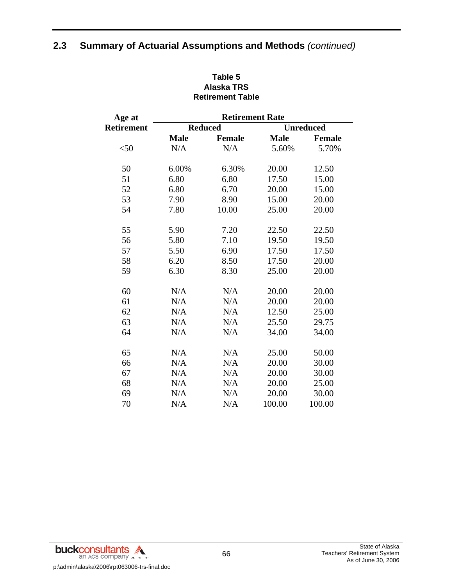| Age at     | <b>Retirement Rate</b> |                |             |                  |  |
|------------|------------------------|----------------|-------------|------------------|--|
| Retirement |                        | <b>Reduced</b> |             | <b>Unreduced</b> |  |
|            | <b>Male</b>            | <b>Female</b>  | <b>Male</b> | <b>Female</b>    |  |
| $<$ 50     | N/A                    | N/A            | 5.60%       | 5.70%            |  |
| 50         | 6.00%                  | 6.30%          | 20.00       | 12.50            |  |
| 51         | 6.80                   | 6.80           | 17.50       | 15.00            |  |
| 52         | 6.80                   | 6.70           | 20.00       | 15.00            |  |
| 53         | 7.90                   | 8.90           | 15.00       | 20.00            |  |
| 54         | 7.80                   | 10.00          | 25.00       | 20.00            |  |
| 55         | 5.90                   | 7.20           | 22.50       | 22.50            |  |
| 56         | 5.80                   | 7.10           | 19.50       | 19.50            |  |
| 57         | 5.50                   | 6.90           | 17.50       | 17.50            |  |
| 58         | 6.20                   | 8.50           | 17.50       | 20.00            |  |
| 59         | 6.30                   | 8.30           | 25.00       | 20.00            |  |
| 60         | N/A                    | N/A            | 20.00       | 20.00            |  |
| 61         | N/A                    | N/A            | 20.00       | 20.00            |  |
| 62         | N/A                    | N/A            | 12.50       | 25.00            |  |
| 63         | N/A                    | N/A            | 25.50       | 29.75            |  |
| 64         | N/A                    | N/A            | 34.00       | 34.00            |  |
| 65         | N/A                    | N/A            | 25.00       | 50.00            |  |
| 66         | N/A                    | N/A            | 20.00       | 30.00            |  |
| 67         | N/A                    | N/A            | 20.00       | 30.00            |  |
| 68         | N/A                    | N/A            | 20.00       | 25.00            |  |
| 69         | N/A                    | N/A            | 20.00       | 30.00            |  |
| 70         | N/A                    | N/A            | 100.00      | 100.00           |  |

### **Table 5 Alaska TRS Retirement Table**

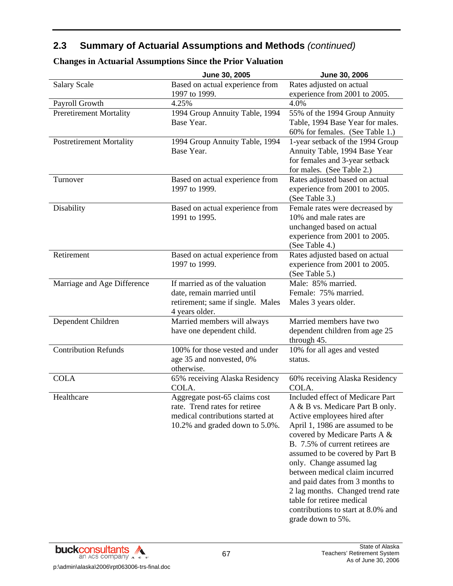|                                 | June 30, 2005                                                                                                                        | June 30, 2006                                                                                                                                                                                                                                                                                                                                                                                                                                                              |
|---------------------------------|--------------------------------------------------------------------------------------------------------------------------------------|----------------------------------------------------------------------------------------------------------------------------------------------------------------------------------------------------------------------------------------------------------------------------------------------------------------------------------------------------------------------------------------------------------------------------------------------------------------------------|
| <b>Salary Scale</b>             | Based on actual experience from<br>1997 to 1999.                                                                                     | Rates adjusted on actual<br>experience from 2001 to 2005.                                                                                                                                                                                                                                                                                                                                                                                                                  |
| Payroll Growth                  | 4.25%                                                                                                                                | 4.0%                                                                                                                                                                                                                                                                                                                                                                                                                                                                       |
| <b>Preretirement Mortality</b>  | 1994 Group Annuity Table, 1994<br>Base Year.                                                                                         | 55% of the 1994 Group Annuity<br>Table, 1994 Base Year for males.<br>60% for females. (See Table 1.)                                                                                                                                                                                                                                                                                                                                                                       |
| <b>Postretirement Mortality</b> | 1994 Group Annuity Table, 1994<br>Base Year.                                                                                         | 1-year setback of the 1994 Group<br>Annuity Table, 1994 Base Year<br>for females and 3-year setback<br>for males. (See Table 2.)                                                                                                                                                                                                                                                                                                                                           |
| Turnover                        | Based on actual experience from<br>1997 to 1999.                                                                                     | Rates adjusted based on actual<br>experience from 2001 to 2005.<br>(See Table 3.)                                                                                                                                                                                                                                                                                                                                                                                          |
| Disability                      | Based on actual experience from<br>1991 to 1995.                                                                                     | Female rates were decreased by<br>10% and male rates are<br>unchanged based on actual<br>experience from 2001 to 2005.<br>(See Table 4.)                                                                                                                                                                                                                                                                                                                                   |
| Retirement                      | Based on actual experience from<br>1997 to 1999.                                                                                     | Rates adjusted based on actual<br>experience from 2001 to 2005.<br>(See Table 5.)                                                                                                                                                                                                                                                                                                                                                                                          |
| Marriage and Age Difference     | If married as of the valuation<br>date, remain married until<br>retirement; same if single. Males<br>4 years older.                  | Male: 85% married.<br>Female: 75% married.<br>Males 3 years older.                                                                                                                                                                                                                                                                                                                                                                                                         |
| Dependent Children              | Married members will always<br>have one dependent child.                                                                             | Married members have two<br>dependent children from age 25<br>through 45.                                                                                                                                                                                                                                                                                                                                                                                                  |
| <b>Contribution Refunds</b>     | 100% for those vested and under<br>age 35 and nonvested, 0%<br>otherwise.                                                            | 10% for all ages and vested<br>status.                                                                                                                                                                                                                                                                                                                                                                                                                                     |
| <b>COLA</b>                     | 65% receiving Alaska Residency<br>COLA.                                                                                              | 60% receiving Alaska Residency<br>COLA.                                                                                                                                                                                                                                                                                                                                                                                                                                    |
| Healthcare                      | Aggregate post-65 claims cost<br>rate. Trend rates for retiree<br>medical contributions started at<br>10.2% and graded down to 5.0%. | Included effect of Medicare Part<br>A & B vs. Medicare Part B only.<br>Active employees hired after<br>April 1, 1986 are assumed to be<br>covered by Medicare Parts A &<br>B. 7.5% of current retirees are<br>assumed to be covered by Part B<br>only. Change assumed lag<br>between medical claim incurred<br>and paid dates from 3 months to<br>2 lag months. Changed trend rate<br>table for retiree medical<br>contributions to start at 8.0% and<br>grade down to 5%. |

### **Changes in Actuarial Assumptions Since the Prior Valuation**

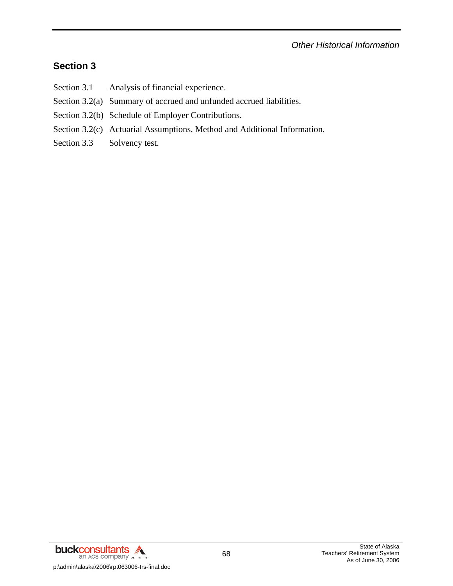*Other Historical Information* 

# **Section 3**

- Section 3.1 Analysis of financial experience.
- Section 3.2(a) Summary of accrued and unfunded accrued liabilities.
- Section 3.2(b) Schedule of Employer Contributions.
- Section 3.2(c) Actuarial Assumptions, Method and Additional Information.
- Section 3.3 Solvency test.

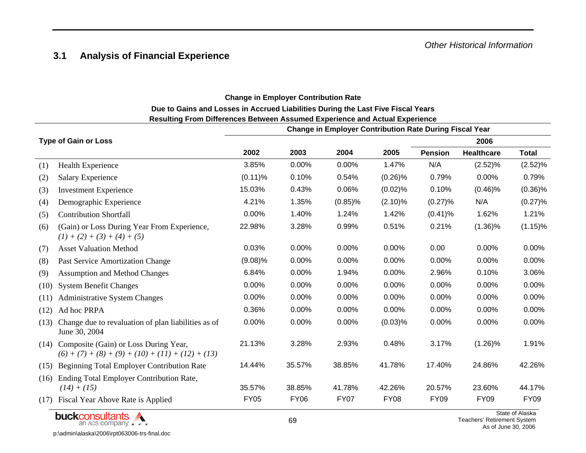#### **3.1 Analysis of Financial Experience**

#### **Change in Employer Contribution Rate Due to Gains and Losses in Accrued Liabilities During the Last Five Fiscal Years Resulting From Differences Between Assumed Experience and Actual Experience**

|      |                                                                                              | <b>Change in Employer Contribution Rate During Fiscal Year</b> |             |             |             |                |                   |              |  |
|------|----------------------------------------------------------------------------------------------|----------------------------------------------------------------|-------------|-------------|-------------|----------------|-------------------|--------------|--|
|      | <b>Type of Gain or Loss</b>                                                                  |                                                                |             |             |             |                | 2006              |              |  |
|      |                                                                                              | 2002                                                           | 2003        | 2004        | 2005        | <b>Pension</b> | <b>Healthcare</b> | <b>Total</b> |  |
| (1)  | Health Experience                                                                            | 3.85%                                                          | 0.00%       | 0.00%       | 1.47%       | N/A            | (2.52)%           | (2.52)%      |  |
| (2)  | <b>Salary Experience</b>                                                                     | $(0.11)\%$                                                     | 0.10%       | 0.54%       | $(0.26)\%$  | 0.79%          | 0.00%             | 0.79%        |  |
| (3)  | <b>Investment Experience</b>                                                                 | 15.03%                                                         | 0.43%       | 0.06%       | (0.02)%     | 0.10%          | $(0.46)\%$        | $(0.36)\%$   |  |
| (4)  | Demographic Experience                                                                       | 4.21%                                                          | 1.35%       | $(0.85)\%$  | $(2.10)\%$  | (0.27)%        | N/A               | (0.27)%      |  |
| (5)  | <b>Contribution Shortfall</b>                                                                | 0.00%                                                          | 1.40%       | 1.24%       | 1.42%       | $(0.41)\%$     | 1.62%             | 1.21%        |  |
| (6)  | (Gain) or Loss During Year From Experience,<br>$(1) + (2) + (3) + (4) + (5)$                 | 22.98%                                                         | 3.28%       | 0.99%       | 0.51%       | 0.21%          | $(1.36)\%$        | $(1.15)\%$   |  |
| (7)  | <b>Asset Valuation Method</b>                                                                | 0.03%                                                          | 0.00%       | 0.00%       | 0.00%       | 0.00           | 0.00%             | 0.00%        |  |
| (8)  | Past Service Amortization Change                                                             | $(9.08)\%$                                                     | 0.00%       | 0.00%       | 0.00%       | 0.00%          | 0.00%             | 0.00%        |  |
| (9)  | <b>Assumption and Method Changes</b>                                                         | 6.84%                                                          | 0.00%       | 1.94%       | 0.00%       | 2.96%          | 0.10%             | 3.06%        |  |
| (10) | <b>System Benefit Changes</b>                                                                | 0.00%                                                          | 0.00%       | 0.00%       | 0.00%       | 0.00%          | 0.00%             | 0.00%        |  |
| (11) | <b>Administrative System Changes</b>                                                         | 0.00%                                                          | 0.00%       | 0.00%       | 0.00%       | 0.00%          | 0.00%             | 0.00%        |  |
| (12) | Ad hoc PRPA                                                                                  | 0.36%                                                          | 0.00%       | 0.00%       | 0.00%       | 0.00%          | 0.00%             | 0.00%        |  |
| (13) | Change due to revaluation of plan liabilities as of<br>June 30, 2004                         | 0.00%                                                          | 0.00%       | 0.00%       | (0.03)%     | 0.00%          | 0.00%             | 0.00%        |  |
| (14) | Composite (Gain) or Loss During Year,<br>$(6) + (7) + (8) + (9) + (10) + (11) + (12) + (13)$ | 21.13%                                                         | 3.28%       | 2.93%       | 0.48%       | 3.17%          | $(1.26)\%$        | 1.91%        |  |
| (15) | <b>Beginning Total Employer Contribution Rate</b>                                            | 14.44%                                                         | 35.57%      | 38.85%      | 41.78%      | 17.40%         | 24.86%            | 42.26%       |  |
| (16) | Ending Total Employer Contribution Rate,<br>$(14) + (15)$                                    | 35.57%                                                         | 38.85%      | 41.78%      | 42.26%      | 20.57%         | 23.60%            | 44.17%       |  |
| (17) | Fiscal Year Above Rate is Applied                                                            | <b>FY05</b>                                                    | <b>FY06</b> | <b>FY07</b> | <b>FY08</b> | <b>FY09</b>    | <b>FY09</b>       | <b>FY09</b>  |  |

buckconsultants

p:\admin\alaska\2006\rpt063006-trs-final.doc

State of Alaska Teachers' Retirement System As of June 30, 2006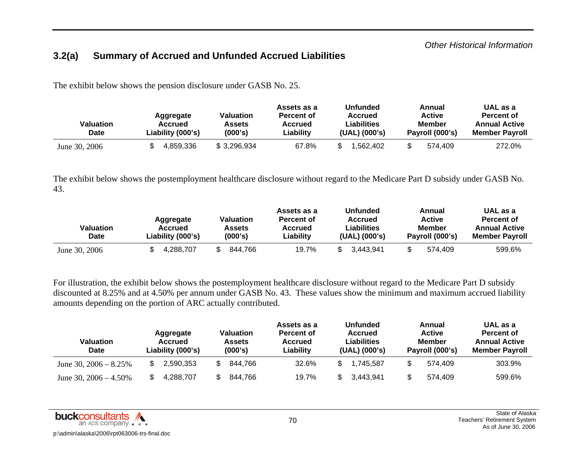#### **3.2(a) Summary of Accrued and Unfunded Accrued Liabilities**

The exhibit below shows the pension disclosure under GASB No. 25.

| Valuation<br><b>Date</b> | Aggregate<br>Accrued<br>Liability (000's) | Valuation<br>Assets<br>(000's) | Assets as a<br><b>Percent of</b><br>Accrued<br>Liability | <b>Unfunded</b><br><b>Accrued</b><br><b>Liabilities</b><br>(UAL) (000's) | Annual<br><b>Active</b><br>Member<br>Payroll (000's) | UAL as a<br>Percent of<br><b>Annual Active</b><br><b>Member Pavroll</b> |
|--------------------------|-------------------------------------------|--------------------------------|----------------------------------------------------------|--------------------------------------------------------------------------|------------------------------------------------------|-------------------------------------------------------------------------|
| June 30, 2006            | 4.859.336                                 | \$3,296,934                    | 67.8%                                                    | .562.402                                                                 | 574.409                                              | 272.0%                                                                  |

The exhibit below shows the postemployment healthcare disclosure without regard to the Medicare Part D subsidy under GASB No. 43.

| Valuation<br>Date | Aggregate<br>Accrued<br>Liability (000's) | Valuation<br>Assets<br>(000's) | Assets as a<br><b>Percent of</b><br>Accrued<br>Liability | <b>Unfunded</b><br>Accrued<br>Liabilities<br>(UAL) (000's) | Annual<br><b>Active</b><br><b>Member</b><br>Payroll (000's) | UAL as a<br>Percent of<br><b>Annual Active</b><br><b>Member Payroll</b> |
|-------------------|-------------------------------------------|--------------------------------|----------------------------------------------------------|------------------------------------------------------------|-------------------------------------------------------------|-------------------------------------------------------------------------|
| June 30, 2006     | 4.288.707                                 | 844.766                        | 19.7%                                                    | 3.443.941                                                  | 574.409                                                     | 599.6%                                                                  |

For illustration, the exhibit below shows the postemployment healthcare disclosure without regard to the Medicare Part D subsidy discounted at 8.25% and at 4.50% per annum under GASB No. 43. These values show the minimum and maximum accrued liability amounts depending on the portion of ARC actually contributed.

| Valuation<br><b>Date</b> | <b>Valuation</b><br>Aggregate<br><b>Assets</b><br>Accrued<br>(000's)<br>Liability (000's) |         | Assets as a<br><b>Percent of</b><br><b>Accrued</b><br>Liability | <b>Unfunded</b><br><b>Accrued</b><br><b>Liabilities</b><br>(UAL) (000's) | Annual<br><b>Active</b><br><b>Member</b><br>Payroll (000's) | UAL as a<br><b>Percent of</b><br><b>Annual Active</b><br><b>Member Payroll</b> |  |
|--------------------------|-------------------------------------------------------------------------------------------|---------|-----------------------------------------------------------------|--------------------------------------------------------------------------|-------------------------------------------------------------|--------------------------------------------------------------------------------|--|
| June 30, $2006 - 8.25\%$ | 2,590,353                                                                                 | 844,766 | 32.6%                                                           | 1.745.587                                                                | 574.409                                                     | 303.9%                                                                         |  |
| June 30, $2006 - 4.50\%$ | 4.288.707                                                                                 | 844,766 | 19.7%                                                           | 3.443.941                                                                | 574.409                                                     | 599.6%                                                                         |  |

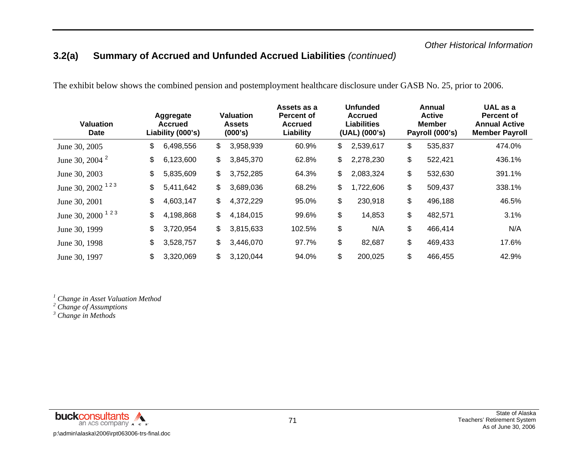## **3.2(a) Summary of Accrued and Unfunded Accrued Liabilities** *(continued)*

The exhibit below shows the combined pension and postemployment healthcare disclosure under GASB No. 25, prior to 2006.

| <b>Valuation</b><br>Date     | Aggregate<br><b>Accrued</b><br>Liability (000's) | <b>Valuation</b><br><b>Assets</b><br>(000's) | Assets as a<br><b>Percent of</b><br><b>Accrued</b><br>Liability | <b>Unfunded</b><br><b>Accrued</b><br><b>Liabilities</b><br>(UAL) (000's) | Annual<br><b>Active</b><br><b>Member</b><br>Payroll (000's) | UAL as a<br><b>Percent of</b><br><b>Annual Active</b><br><b>Member Payroll</b> |
|------------------------------|--------------------------------------------------|----------------------------------------------|-----------------------------------------------------------------|--------------------------------------------------------------------------|-------------------------------------------------------------|--------------------------------------------------------------------------------|
| June 30, 2005                | \$<br>6,498,556                                  | \$<br>3,958,939                              | 60.9%                                                           | \$<br>2,539,617                                                          | \$<br>535,837                                               | 474.0%                                                                         |
| June 30, 2004 <sup>2</sup>   | \$<br>6,123,600                                  | \$<br>3,845,370                              | 62.8%                                                           | \$<br>2,278,230                                                          | \$<br>522,421                                               | 436.1%                                                                         |
| June 30, 2003                | \$<br>5,835,609                                  | \$<br>3,752,285                              | 64.3%                                                           | \$<br>2,083,324                                                          | \$<br>532,630                                               | 391.1%                                                                         |
| June 30, 2002 <sup>123</sup> | \$<br>5,411,642                                  | \$<br>3,689,036                              | 68.2%                                                           | \$<br>1,722,606                                                          | \$<br>509,437                                               | 338.1%                                                                         |
| June 30, 2001                | \$<br>4,603,147                                  | \$<br>4,372,229                              | 95.0%                                                           | \$<br>230,918                                                            | \$<br>496,188                                               | 46.5%                                                                          |
| June 30, 2000 <sup>123</sup> | \$<br>4,198,868                                  | \$<br>4,184,015                              | 99.6%                                                           | \$<br>14,853                                                             | \$<br>482,571                                               | 3.1%                                                                           |
| June 30, 1999                | \$<br>3,720,954                                  | \$<br>3,815,633                              | 102.5%                                                          | \$<br>N/A                                                                | \$<br>466,414                                               | N/A                                                                            |
| June 30, 1998                | \$<br>3,528,757                                  | \$<br>3,446,070                              | 97.7%                                                           | \$<br>82,687                                                             | \$<br>469,433                                               | 17.6%                                                                          |
| June 30, 1997                | \$<br>3,320,069                                  | \$<br>3,120,044                              | 94.0%                                                           | \$<br>200,025                                                            | \$<br>466,455                                               | 42.9%                                                                          |

*1 Change in Asset Valuation Method* 

*2 Change of Assumptions* 

*3 Change in Methods*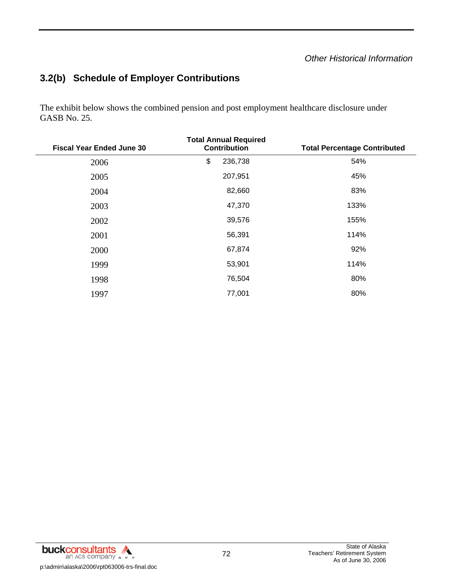#### *Other Historical Information*

# **3.2(b) Schedule of Employer Contributions**

The exhibit below shows the combined pension and post employment healthcare disclosure under GASB No. 25.

| <b>Fiscal Year Ended June 30</b> | <b>Total Annual Required</b><br><b>Contribution</b> | <b>Total Percentage Contributed</b> |
|----------------------------------|-----------------------------------------------------|-------------------------------------|
| 2006                             | \$<br>236,738                                       | 54%                                 |
| 2005                             | 207,951                                             | 45%                                 |
| 2004                             | 82,660                                              | 83%                                 |
| 2003                             | 47,370                                              | 133%                                |
| 2002                             | 39,576                                              | 155%                                |
| 2001                             | 56,391                                              | 114%                                |
| 2000                             | 67,874                                              | 92%                                 |
| 1999                             | 53,901                                              | 114%                                |
| 1998                             | 76,504                                              | 80%                                 |
| 1997                             | 77,001                                              | 80%                                 |

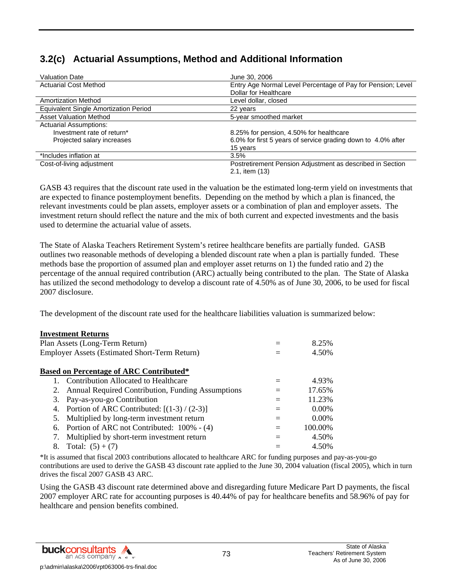# **3.2(c) Actuarial Assumptions, Method and Additional Information**

| <b>Valuation Date</b>                        | June 30, 2006                                                |
|----------------------------------------------|--------------------------------------------------------------|
| <b>Actuarial Cost Method</b>                 | Entry Age Normal Level Percentage of Pay for Pension; Level  |
|                                              | Dollar for Healthcare                                        |
| <b>Amortization Method</b>                   | Level dollar, closed                                         |
| <b>Equivalent Single Amortization Period</b> | 22 years                                                     |
| <b>Asset Valuation Method</b>                | 5-year smoothed market                                       |
| <b>Actuarial Assumptions:</b>                |                                                              |
| Investment rate of return*                   | 8.25% for pension, 4.50% for healthcare                      |
| Projected salary increases                   | 6.0% for first 5 years of service grading down to 4.0% after |
|                                              | 15 years                                                     |
| *Includes inflation at                       | 3.5%                                                         |
| Cost-of-living adjustment                    | Postretirement Pension Adjustment as described in Section    |
|                                              | 2.1, item (13)                                               |

GASB 43 requires that the discount rate used in the valuation be the estimated long-term yield on investments that are expected to finance postemployment benefits. Depending on the method by which a plan is financed, the relevant investments could be plan assets, employer assets or a combination of plan and employer assets. The investment return should reflect the nature and the mix of both current and expected investments and the basis used to determine the actuarial value of assets.

The State of Alaska Teachers Retirement System's retiree healthcare benefits are partially funded. GASB outlines two reasonable methods of developing a blended discount rate when a plan is partially funded. These methods base the proportion of assumed plan and employer asset returns on 1) the funded ratio and 2) the percentage of the annual required contribution (ARC) actually being contributed to the plan. The State of Alaska has utilized the second methodology to develop a discount rate of 4.50% as of June 30, 2006, to be used for fiscal 2007 disclosure.

The development of the discount rate used for the healthcare liabilities valuation is summarized below:

|                                                      | <b>Investment Returns</b>                         |     |          |  |  |  |
|------------------------------------------------------|---------------------------------------------------|-----|----------|--|--|--|
|                                                      | Plan Assets (Long-Term Return)                    |     | 8.25%    |  |  |  |
| <b>Employer Assets (Estimated Short-Term Return)</b> |                                                   |     |          |  |  |  |
|                                                      | <b>Based on Percentage of ARC Contributed*</b>    |     |          |  |  |  |
|                                                      | Contribution Allocated to Healthcare              |     | 4.93%    |  |  |  |
| 2.                                                   | Annual Required Contribution, Funding Assumptions | $=$ | 17.65%   |  |  |  |
| 3.                                                   | Pay-as-you-go Contribution                        | $=$ | 11.23%   |  |  |  |
| 4.                                                   | Portion of ARC Contributed: $[(1-3)/(2-3)]$       | $=$ | 0.00%    |  |  |  |
| 5.                                                   | Multiplied by long-term investment return         | $=$ | $0.00\%$ |  |  |  |
| 6.                                                   | Portion of ARC not Contributed: 100% - (4)        | $=$ | 100.00%  |  |  |  |
| 7.                                                   | Multiplied by short-term investment return        |     | 4.50%    |  |  |  |
| 8.                                                   | Total: $(5) + (7)$                                |     | 4.50%    |  |  |  |

\*It is assumed that fiscal 2003 contributions allocated to healthcare ARC for funding purposes and pay-as-you-go contributions are used to derive the GASB 43 discount rate applied to the June 30, 2004 valuation (fiscal 2005), which in turn drives the fiscal 2007 GASB 43 ARC.

Using the GASB 43 discount rate determined above and disregarding future Medicare Part D payments, the fiscal 2007 employer ARC rate for accounting purposes is 40.44% of pay for healthcare benefits and 58.96% of pay for healthcare and pension benefits combined.